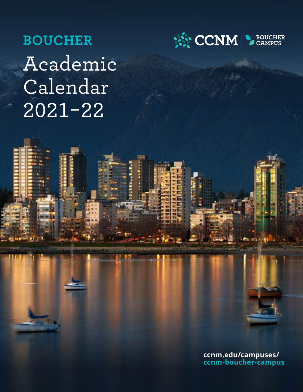# **BOUCHER** Academic Calendar 2021-22



**ccnm.edu/campuses/ [ccnm-boucher-campus](https://www.ccnm.edu/campuses/ccnm-boucher-campus)**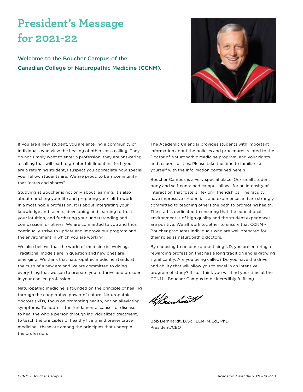# **President's Message for 2021-22**

Welcome to the Boucher Campus of the Canadian College of Naturopathic Medicine (CCNM).



If you are a new student, you are entering a community of individuals who view the healing of others as a calling. They do not simply want to enter a profession; they are answering a calling that will lead to greater fulfillment in life. If you are a returning student, I suspect you appreciate how special your fellow students are. We are proud to be a community that "cares and shares".

Studying at Boucher is not only about learning. It's also about enriching your life and preparing yourself to work in a most noble profession. It is about integrating your knowledge and talents, developing and learning to trust your intuition, and furthering your understanding and compassion for others. We are committed to you and thus continually strive to update and improve our program and the environment in which you are working.

We also believe that the world of medicine is evolving. Traditional models are in question and new ones are emerging. We think that naturopathic medicine stands at the cusp of a new era and we are committed to doing everything that we can to prepare you to thrive and prosper in your chosen profession.

Naturopathic medicine is founded on the principle of healing through the cooperative power of nature. Naturopathic doctors (NDs) focus on promoting health, not on alleviating symptoms. To address the fundamental causes of disease, to heal the whole person through individualized treatment, to teach the principles of healthy living and preventative medicine—these are among the principles that underpin the profession.

The Academic Calendar provides students with important information about the policies and procedures related to the Doctor of Naturopathic Medicine program, and your rights and responsibilities. Please take the time to familiarize yourself with the information contained herein.

Boucher Campus is a very special place. Our small student body and self-contained campus allows for an intensity of interaction that fosters life-long friendships. The faculty have impressive credentials and experience and are strongly committed to teaching others the path to promoting health. The staff is dedicated to ensuring that the educational environment is of high quality and the student experiences are positive. We all work together to ensure that CCNM – Boucher graduates individuals who are well prepared for their roles as naturopathic doctors.

By choosing to become a practicing ND, you are entering a rewarding profession that has a long tradition and is growing significantly. Are you being called? Do you have the drive and ability that will allow you to excel in an intensive program of study? If so, I think you will find your time at the CCNM – Boucher Campus to be incredibly fulfilling.

Sheinhawit

Bob Bernhardt, B.Sc., LLM, M.Ed., PhD President/CEO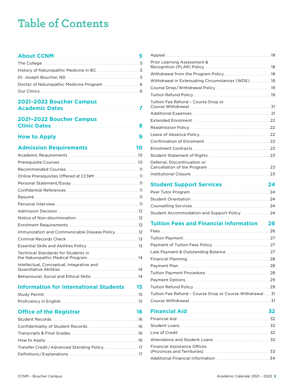# <span id="page-2-0"></span>**Table of Contents**

## **[About CCNM](#page-5-0)** . . **5**

## **[2021–2022 Boucher Campus](#page-7-0)  [Academic Dates](#page-7-0)** . **7**

### **[2021–2022 Boucher Campus](#page-8-0)  [Clinic Dates](#page-8-0)** . . **8**

|--|--|--|

## **[Admission Requirements](#page-10-0)** . . **10**

| Immunization and Communicable Disease Policy 12 |  |
|-------------------------------------------------|--|
|                                                 |  |
|                                                 |  |
| Technical Standards for Students in             |  |
| Intellectual, Conceptual, Integrative and       |  |
|                                                 |  |
|                                                 |  |

### **[Information for International Students](#page-15-0)** . **15**

### **[Office of the Registrar](#page-16-0)** . **16 [Financial Aid](#page-32-0)** . **32**

| Prior Learning Assessment &                      |  |
|--------------------------------------------------|--|
|                                                  |  |
| Withdrawal in Extenuating Circumstances (WDE) 18 |  |
|                                                  |  |
|                                                  |  |
| Tuition Fee Refund - Course Drop or              |  |
|                                                  |  |
|                                                  |  |
|                                                  |  |
|                                                  |  |
|                                                  |  |
|                                                  |  |
|                                                  |  |
| Deferral, Discontinuation or                     |  |
|                                                  |  |

## **[Student Support Services](#page-24-0)** . **24**

## **[Tuition Fees and Financial Information](#page-26-0)** . **26**

| Tuition Fee Refund - Course Drop or Course Withdrawal  31 |  |
|-----------------------------------------------------------|--|
|                                                           |  |

| Financial Assistance Offices |  |
|------------------------------|--|
|                              |  |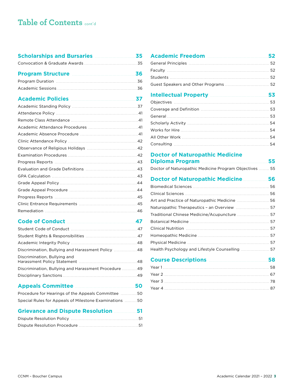# **Table of Contents** cont'd

| <b>Scholarships and Bursaries</b> Material 25 |  |
|-----------------------------------------------|--|
|                                               |  |
| Program Structure <b>Manual</b> 26            |  |
|                                               |  |

| Academic Policies Manuel Academic Policies (1997) |  |
|---------------------------------------------------|--|

#### **[Code of Conduct](#page-47-0)** . **47**

| Discrimination, Bullying and Harassment Policy  48    |  |
|-------------------------------------------------------|--|
| Discrimination, Bullying and                          |  |
| Discrimination, Bullying and Harassment Procedure  49 |  |
|                                                       |  |
|                                                       |  |

#### **[Appeals Committee](#page-50-0)** . **50**

| Procedure for Hearings of the Appeals Committee 50     |  |
|--------------------------------------------------------|--|
| Special Rules for Appeals of Milestone Examinations 50 |  |

#### **[Grievance and Dispute Resolution](#page-51-0)** . **51**

| Intellectual Property <b>Manual</b> 2014 153 |  |
|----------------------------------------------|--|
|                                              |  |
|                                              |  |
|                                              |  |
|                                              |  |
|                                              |  |
|                                              |  |
|                                              |  |

#### **[Doctor of Naturopathic Medicine](#page-55-0)  [Diploma Program](#page-55-0)** . **55**

| Doctor of Naturopathic Medicine Program Objectives  55 |  |
|--------------------------------------------------------|--|

#### **[Doctor of Naturopathic Medicine](#page-56-0)** . **56**

| Art and Practice of Naturopathic Medicine  56   |  |
|-------------------------------------------------|--|
| Naturopathic Therapeutics - an Overview  57     |  |
| Traditional Chinese Medicine/Acupuncture  57    |  |
|                                                 |  |
|                                                 |  |
|                                                 |  |
|                                                 |  |
| Health Psychology and Lifestyle Counselling  57 |  |

# **[Course Descriptions](#page-58-0)** . **58**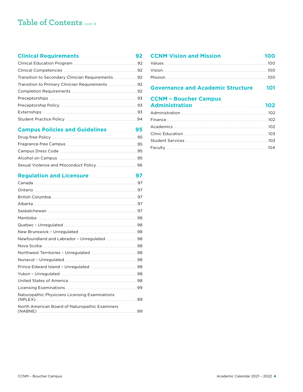# **Table of Contents** cont'd

### **[Clinical Requirements](#page-92-0)** . **92**

| Transition to Secondary Clinician Requirements 92 |  |
|---------------------------------------------------|--|
| Transition to Primary Clinician Requirements  92  |  |
|                                                   |  |
|                                                   |  |
|                                                   |  |
|                                                   |  |
|                                                   |  |

#### **[Campus Policies and Guidelines](#page-95-0)** . . . . . . . . . . . . . . . . . . . .**95**

### **[Regulation and Licensure](#page-97-0)** . **97**

| Newfoundland and Labrador - Unregulated 98     |    |
|------------------------------------------------|----|
|                                                |    |
|                                                |    |
|                                                |    |
|                                                |    |
|                                                |    |
|                                                |    |
|                                                |    |
| Naturopathic Physicians Licensing Examinations | 99 |
| North American Board of Naturopathic Examiners | 99 |

## **[CCNM Vision and Mission](#page-100-0)** . . **100** [Values . 100](#page-100-0) [Vision . 100](#page-100-0) [Mission . 100](#page-100-0)

### **[Governance and Academic Structure](#page-101-0)** . **101**

#### **[CCNM – Boucher Campus](#page-102-0)  [Administration](#page-102-0)** . **102**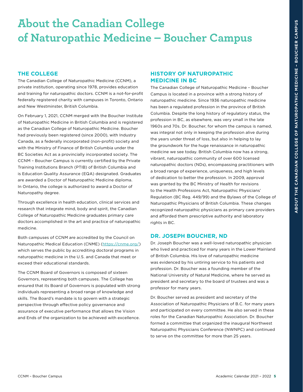# <span id="page-5-0"></span>**About the Canadian College of Naturopathic Medicine – Boucher Campus**

#### **THE COLLEGE**

The Canadian College of Naturopathic Medicine (CCNM), a private institution, operating since 1978, provides education and training for naturopathic doctors. CCNM is a not-for-profit federally registered charity with campuses in Toronto, Ontario and New Westminster, British Columbia.

On February 1, 2021, CCNM merged with the Boucher Institute of Naturopathic Medicine in British Columbia and is registered as the Canadian College of Naturopathic Medicine. Boucher had previously been registered (since 2000), with Industry Canada, as a federally incorporated (non-profit) society and with the Ministry of Finance of British Columbia under the BC Societies Act as a provincially incorporated society. The CCNM – Boucher Campus is currently certified by the Private Training Institutions Branch (PTIB) of British Columbia and is Education Quality Assurance (EQA) designated. Graduates are awarded a Doctor of Naturopathic Medicine diploma. In Ontario, the college is authorized to award a Doctor of Naturopathy degree.

Through excellence in health education, clinical services and research that integrate mind, body and spirit, the Canadian College of Naturopathic Medicine graduates primary care doctors accomplished in the art and practice of naturopathic medicine.

Both campuses of CCNM are accredited by the Council on Naturopathic Medical Education (CNME) [\(https://cnme.org/](https://cnme.org/)) which serves the public by accrediting doctoral programs in naturopathic medicine in the U.S. and Canada that meet or exceed their educational standards.

The CCNM Board of Governors is composed of sixteen Governors, representing both campuses. The College has ensured that its Board of Governors is populated with strong individuals representing a broad range of knowledge and skills. The Board's mandate is to govern with a strategic perspective through effective policy governance and assurance of executive performance that allows the Vision and Ends of the organization to be achieved with excellence.

#### **HISTORY OF NATUROPATHIC MEDICINE IN BC**

The Canadian College of Naturopathic Medicine – Boucher Campus is located in a province with a strong history of naturopathic medicine. Since 1936 naturopathic medicine has been a regulated profession in the province of British Columbia. Despite the long history of regulatory status, the profession in BC, as elsewhere, was very small in the late 1960s and 70s. Dr. Boucher, for whom the campus is named, was integral not only in keeping the profession alive during the years under threat of loss, but also in helping to lay the groundwork for the huge renaissance in naturopathic medicine we see today. British Columbia now has a strong, vibrant, naturopathic community of over 600 licensed naturopathic doctors (NDs), encompassing practitioners with a broad range of experience, uniqueness, and high levels of dedication to better the profession. In 2009, approval was granted by the BC Ministry of Health for revisions to the Health Professions Act, Naturopathic Physicians' Regulation (BC Reg. 449/99) and the Bylaws of the College of Naturopathic Physicians of British Columbia. These changes recognized naturopathic physicians as primary care providers and afforded them prescriptive authority and laboratory rights in BC.

#### **DR. JOSEPH BOUCHER, ND**

Dr. Joseph Boucher was a well-loved naturopathic physician who lived and practiced for many years in the Lower Mainland of British Columbia. His love of naturopathic medicine was evidenced by his untiring service to his patients and profession. Dr. Boucher was a founding member of the National University of Natural Medicine, where he served as president and secretary to the board of trustees and was a professor for many years.

Dr. Boucher served as president and secretary of the Association of Naturopathic Physicians of B.C. for many years and participated on every committee. He also served in these roles for the Canadian Naturopathic Association. Dr. Boucher formed a committee that organized the inaugural Northwest Naturopathic Physicians Conference (NWNPC) and continued to serve on the committee for more than 25 years.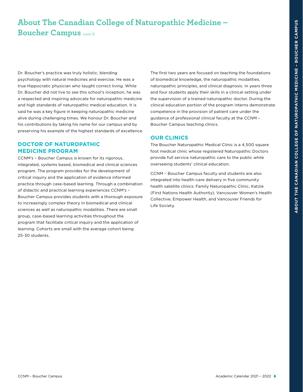# <span id="page-6-0"></span>**About The Canadian College of Naturopathic Medicine – Boucher Campus** cont'd

Dr. Boucher's practice was truly holistic, blending psychology with natural medicines and exercise. He was a true Hippocratic physician who taught correct living. While Dr. Boucher did not live to see this school's inception, he was a respected and inspiring advocate for naturopathic medicine and high standards of naturopathic medical education. It is said he was a key figure in keeping naturopathic medicine alive during challenging times. We honour Dr. Boucher and his contributions by taking his name for our campus and by preserving his example of the highest standards of excellence.

#### **DOCTOR OF NATUROPATHIC MEDICINE PROGRAM**

CCNM's – Boucher Campus is known for its rigorous, integrated, systems based, biomedical and clinical sciences program. The program provides for the development of critical inquiry and the application of evidence informed practice through case-based learning. Through a combination of didactic and practical learning experiences CCNM's – Boucher Campus provides students with a thorough exposure to increasingly complex theory in biomedical and clinical sciences as well as naturopathic modalities. There are small group, case-based learning activities throughout the program that facilitate critical inquiry and the application of learning. Cohorts are small with the average cohort being 25-30 students.

The first two years are focused on teaching the foundations of biomedical knowledge, the naturopathic modalities, naturopathic principles, and clinical diagnosis. In years three and four students apply their skills in a clinical setting under the supervision of a trained naturopathic doctor. During the clinical education portion of the program interns demonstrate competence in the provision of patient care under the guidance of professional clinical faculty at the CCNM – Boucher Campus teaching clinics.

#### **OUR CLINICS**

The Boucher Naturopathic Medical Clinic is a 4,500 square foot medical clinic whose registered Naturopathic Doctors provide full service naturopathic care to the public while overseeing students' clinical education.

CCNM – Boucher Campus faculty and students are also integrated into health-care delivery in five community health satellite clinics: Family Naturopathic Clinic, Katzie (First Nations Health Authority), Vancouver Women's Health Collective, Empower Health, and Vancouver Friends for Life Society.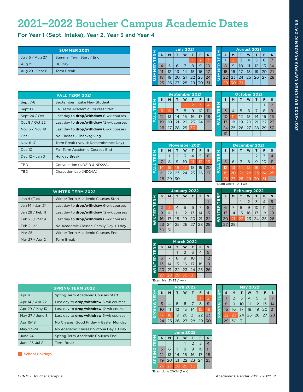# <span id="page-7-0"></span>**2021–2022 Boucher Campus Academic Dates**

For Year 1 (Sept. Intake), Year 2, Year 3 and Year 4

| <b>SUMMER 2021</b> |                         |
|--------------------|-------------------------|
| July 5 / Aug 27    | Summer Term Start / End |
| Aug 2              | <b>BC</b> Day           |
| Aug 29 - Sept 6    | <b>Term Break</b>       |

|                   | <b>FALL TERM 2021</b>                          |
|-------------------|------------------------------------------------|
| Sept 7-8          | September Intake New Student                   |
| Sept 13           | Fall Term Academic Courses Start               |
| Sept $24 / Oct 1$ | Last day to <b>drop/withdraw</b> 6-wk courses  |
| Oct 8 / Oct 22    | Last day to <b>drop/withdraw</b> 12-wk courses |
| Nov 5 / Nov 19    | Last day to <b>drop/withdraw</b> 6-wk courses  |
| Oct 11            | No Classes - Thanksgiving                      |
| Nov 11-17         | Term Break (Nov 11: Remembrance Day)           |
| Dec 10            | Fall Term Academic Courses End                 |
| Dec 12 - Jan 3    | <b>Holiday Break</b>                           |
| <b>TBD</b>        | Convocation (ND21B & ND22A)                    |
| TBD               | Dissection Lab (ND24A)                         |

|                 | <b>WINTER TERM 2022</b>                        |
|-----------------|------------------------------------------------|
| Jan 4 (Tue)     | Winter Term Academic Courses Start             |
| Jan 14 / Jan 21 | Last day to <b>drop/withdraw</b> 6-wk courses  |
| Jan 28 / Feb 11 | Last day to <b>drop/withdraw</b> 12-wk courses |
| Feb 25 / Mar 4  | Last day to <b>drop/withdraw</b> 6-wk courses  |
| Feb 21-22       | No Academic Classes: Family Day + 1 day        |
| <b>Mar 25</b>   | Winter Term Academic Courses End               |
| Mar 27 - Apr 2  | <b>Term Break</b>                              |

|                  | <b>SPRING TERM 2022</b>                        |
|------------------|------------------------------------------------|
| Apr 4            | Spring Term Academic Courses Start             |
| Apr 14 / Apr 22  | Last day to <b>drop/withdraw</b> 6-wk courses  |
| Apr 29 / May 13  | Last day to <b>drop/withdraw</b> 12-wk courses |
| May $27/$ June 3 | Last day to <b>drop/withdraw</b> 6-wk courses  |
| Apr 15-18        | No Classes: Good Friday + Easter Monday        |
| May 23-24        | No Academic Classes: Victoria Day + 1 day      |
| June 24          | Spring Term Academic Courses End               |
| June 26-Jul 2    | <b>Term Break</b>                              |

School Holidays

|               |    |    |                | <b>July 2021</b> |    |    |    |
|---------------|----|----|----------------|------------------|----|----|----|
| ΣŠ            | s  | м  | т              | w                |    | F  | s  |
|               |    |    |                |                  |    | 2  | ΙŻ |
|               | 4  | 5  | 6              |                  | 8  | 9  | 10 |
|               | 11 | 12 | 1 <sub>3</sub> | 14               | 15 | 16 | 17 |
| <b>SUMMIR</b> | 18 | 19 | 20             | 21               | 22 | 23 | 24 |
|               | 25 | 26 | 27             | 28               | 29 | 30 | 31 |
|               |    |    |                |                  |    |    |    |

|                    |    | <b>September 2021</b> |    |    |                      |    |    |  |  |
|--------------------|----|-----------------------|----|----|----------------------|----|----|--|--|
| $\frac{2}{\alpha}$ | s  | м                     |    | w  |                      | F  | s  |  |  |
|                    |    |                       |    |    | 2                    | k  |    |  |  |
|                    | 5  |                       |    | 8  | 9                    | 10 | 11 |  |  |
| ₹                  | 12 | 13                    | 14 | 15 | 16                   | 17 | 18 |  |  |
|                    | 19 | 20                    | 21 |    | $22 \mid 23 \mid 24$ |    | 25 |  |  |
|                    |    | $26 \mid 27$          | 28 | 29 |                      |    |    |  |  |

|                            |              |    |    |       | <b>August 2021</b> |                |    |
|----------------------------|--------------|----|----|-------|--------------------|----------------|----|
| $\mathbf{\Sigma}_{\alpha}$ | $\mathbf{s}$ | M  | т  | w     |                    | F              | s  |
| ▬                          |              | 2  | 3  | 4     | 5                  | 6              | 7  |
|                            | 8            | 9  | 10 | 11    | 12                 | 1 <sub>3</sub> | 14 |
|                            | 15           | 16 | 17 | 18    | 19                 | 20             | 21 |
| <b>SUMMER</b>              | 22           | 23 | 24 | 25 26 |                    | 27             | 28 |
|                            | 29           | 30 | 31 |       |                    |                |    |

|    |                         | <b>September 2021</b>        |                  |       |       |    |
|----|-------------------------|------------------------------|------------------|-------|-------|----|
| S  |                         |                              | w                |       | м     | S  |
|    | $\overline{\mathbf{z}}$ | 2                            |                  |       |       |    |
| 11 | 10                      | 9                            | 8                |       | Ġ.    | 5  |
| 18 | 17                      | 16 <sup>°</sup>              | 15 <sup>15</sup> | 14    | 13    | 12 |
| 25 |                         | $21 \mid 22 \mid 23 \mid 24$ |                  |       | 20    | 19 |
|    |                         | 30                           |                  | 28 29 | 26 27 |    |
|    |                         |                              |                  |       |       |    |

|              |              |                |    |                | October 2021 |    |                |
|--------------|--------------|----------------|----|----------------|--------------|----|----------------|
|              | $\mathbf{s}$ | M              | т  | W              | т            | F  | s              |
| $\mathbf{z}$ |              |                |    |                |              |    | $\overline{2}$ |
|              | 3            | $\overline{4}$ | 5  | 6              | 7            | 8  | 9              |
|              | 10           | 11             | 12 | 1 <sub>3</sub> | 14           | 15 | 16             |
| <b>HALL</b>  | 17           | 18             | 19 | 20             | 21           | 22 | 23             |
|              | 24           | 25             | 26 | 27             | 28           | 29 | 30             |
|              | 31           |                |    |                |              |    |                |

|            |    |    | <b>November 2021</b> |    |    |          |    |
|------------|----|----|----------------------|----|----|----------|----|
| <b>NIS</b> | S  | M  | т                    | W  |    | F        | S  |
|            |    |    | 2                    | 3  | 4  | 5        | 6  |
|            |    | 8  | 9                    | 10 |    | $12^{1}$ | 13 |
| ₹          | 14 | 15 | 16                   |    | 18 | 19       | 20 |
|            | 21 |    | $22$   23   24   25  |    |    | 26       | 27 |
|            | 28 | 29 | 30                   |    |    |          |    |

|      |    | <b>December 2021</b>  |    |    |    |    |    |
|------|----|-----------------------|----|----|----|----|----|
|      | S  | M                     | т  | w  |    | F  | S  |
| ERM  |    |                       |    |    | 2  | 3  |    |
|      | 5  | 6                     | 7  | 8  | 9  | 10 | 11 |
| EALI | 12 | 13                    | 14 | 15 | 16 | 17 | 18 |
|      | 19 | 20                    | 21 | 22 | 23 | 24 | 25 |
|      | 26 | 27                    | 28 | 29 | 30 | 31 |    |
|      |    | *Exam Dec 6-10 (1 wk) |    |    |    |    |    |

**February 2022 S M T W T F S**  $1 | 2 | 3 | 4 | 5$  $6$  7 8 9 10 11 12 13 14 15 16 17 18 19 20 21 22 23 24 25 26

|                         | January 2022   |    |                |          |    |    |    |
|-------------------------|----------------|----|----------------|----------|----|----|----|
| $\frac{\Sigma}{\alpha}$ | $\mathbf{s}$   | M  | т              | W        |    | F  | S  |
|                         |                |    |                |          |    |    |    |
|                         | $\overline{2}$ | Ī  | $\overline{4}$ | 5        | 6  |    | 8  |
|                         | 9              | 10 | 11             | 12       | 13 | 14 | 15 |
| <b>NINTE</b>            | 16             | 17 | 18             | 19       | 20 | 21 | 22 |
|                         | 23             | 24 |                | 25 26 27 |    | 28 | 29 |
|                         | 30             | 31 |                |          |    |    |    |

| 30 | 31 |                   |    |    |                                      |    |
|----|----|-------------------|----|----|--------------------------------------|----|
|    |    |                   |    |    |                                      |    |
|    |    | <b>March 2022</b> |    |    |                                      |    |
| S  | М  |                   | w  |    | F                                    | S  |
|    |    |                   | 2  | 3  | 4                                    | 5  |
| 6  |    | 8                 | 9  | 10 | 11                                   | 12 |
| 13 | 14 | 15                | 16 | 17 | 18                                   | 19 |
| 20 | 21 |                   |    |    | $22 \mid 23 \mid 24 \mid 25 \mid 26$ |    |
|    |    |                   |    |    |                                      |    |

#### 27 28 29 30 31 \*Exam Mar 21-25 (1 wk)

**WINTER TERM**

**WINTER TERM** 

|              |                         | <b>April 2022</b> |       |                |    |    |              |  |  |
|--------------|-------------------------|-------------------|-------|----------------|----|----|--------------|--|--|
|              | S                       | M                 |       | w              |    | F  | s            |  |  |
|              |                         |                   |       |                |    |    | 2            |  |  |
|              | $\overline{\mathbf{z}}$ |                   | 5     | 6              |    | 8  | $\mathsf{Q}$ |  |  |
| <b>ZPRIN</b> | 10                      | 11                | 12    | 1 <sub>3</sub> | 14 | 15 | 16           |  |  |
|              |                         | 18                | 19    | 20             | 21 | 22 | 23           |  |  |
|              | 24                      | 25                | 26 27 |                | 28 | 29 | 30           |  |  |

|                                |    | <b>May 2022</b> |    |    |          |    |    |  |  |  |
|--------------------------------|----|-----------------|----|----|----------|----|----|--|--|--|
|                                |    | м               |    |    |          |    |    |  |  |  |
|                                |    | 2               | 3  | 4  | 5        | 6  |    |  |  |  |
|                                | 8  | 9               | 10 | 11 | 12       | 13 | 14 |  |  |  |
| $\overline{\overline{\alpha}}$ | 15 | 16              | 17 | 18 | 19       | 20 | 21 |  |  |  |
| င္တ                            | 22 | 23              | 24 |    | 25 26 27 |    | 28 |  |  |  |
|                                |    | 30              | 31 |    |          |    |    |  |  |  |

|                |    | <b>June 2022</b> |    |    |    |    |    |  |  |  |
|----------------|----|------------------|----|----|----|----|----|--|--|--|
| $\frac{8}{10}$ | S  | M                |    | w  |    | F  | S  |  |  |  |
|                |    |                  |    |    | 2  | 3  | 4  |  |  |  |
|                | 5  | 6                |    | 8  | 9  | 10 | 11 |  |  |  |
| <b>SPRING</b>  | 12 | 1 <sub>3</sub>   | 14 | 15 | 16 | 17 | 18 |  |  |  |
|                | 19 | 20               | 21 | 22 | 23 | 24 | 25 |  |  |  |
|                | 26 | 27               | 28 | 29 | 30 |    |    |  |  |  |

\*Exam June 20-24 (1 wk)

**WINTER TERM**

**WINTER** 

**TERM** 

 $27$  28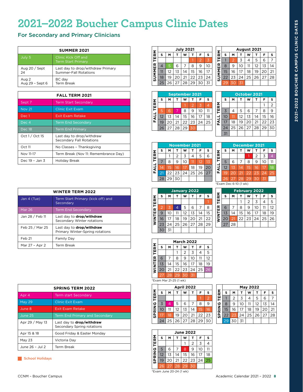# <span id="page-8-0"></span>**2021–2022 Boucher Campus Clinic Dates**

# For Secondary and Primary Clinicians

|                 | <b>SUMMER 2021</b>                               |  |  |  |  |  |  |
|-----------------|--------------------------------------------------|--|--|--|--|--|--|
| July 5          | Clinic Kick Off and<br><b>Term Start Primary</b> |  |  |  |  |  |  |
| Aug 20 / Sept   | Last day to drop/withdraw Primary                |  |  |  |  |  |  |
| 24              | <b>Summer-Fall Rotations</b>                     |  |  |  |  |  |  |
| Aug 2           | BC day                                           |  |  |  |  |  |  |
| Aug 29 - Sept 6 | <b>Term Break</b>                                |  |  |  |  |  |  |

|                | <b>FALL TERM 2021</b>                                        |  |  |  |  |  |  |
|----------------|--------------------------------------------------------------|--|--|--|--|--|--|
| Sept 7         | <b>Term Start Secondary</b>                                  |  |  |  |  |  |  |
| <b>Nov 21</b>  | <b>Clinic Exit Exam</b>                                      |  |  |  |  |  |  |
| Dec 1          | Exit Exam Retake                                             |  |  |  |  |  |  |
| Dec 4          | <b>Term End Secondary</b>                                    |  |  |  |  |  |  |
| Dec 18         | <b>Term End Primary</b>                                      |  |  |  |  |  |  |
| Oct 1 / Oct 15 | Last day to drop/withdraw<br><b>Secondary Fall Rotations</b> |  |  |  |  |  |  |
| Oct 11         | No Classes - Thanksgiving                                    |  |  |  |  |  |  |
| Nov 11-17      | Term Break (Nov 11: Remembrance Day)                         |  |  |  |  |  |  |
| Dec 19 - Jan 3 | Holiday Break                                                |  |  |  |  |  |  |

| <b>WINTER TERM 2022</b> |                                                                     |  |  |  |  |
|-------------------------|---------------------------------------------------------------------|--|--|--|--|
| Jan 4 (Tue)             | Term Start Primary (kick off) and<br>Secondary                      |  |  |  |  |
| <b>Mar 26</b>           | <b>Term End Secondary</b>                                           |  |  |  |  |
| Jan 28 / Feb 11         | Last day to <b>drop/withdraw</b><br>Secondary Winter rotations      |  |  |  |  |
| Feb 25 / Mar 25         | Last day to <b>drop/withdraw</b><br>Primary Winter-Spring rotations |  |  |  |  |
| Feb 21                  | Family Day                                                          |  |  |  |  |
| Mar 27 - Apr 2          | <b>Term Break</b>                                                   |  |  |  |  |

|                 | <b>SPRING TERM 2022</b>                                        |  |  |  |  |  |  |
|-----------------|----------------------------------------------------------------|--|--|--|--|--|--|
| Apr 4           | Term start Secondary                                           |  |  |  |  |  |  |
| <b>May 29</b>   | <b>Clinic Exit Exam</b>                                        |  |  |  |  |  |  |
| June 8          | Exit Exam Retake                                               |  |  |  |  |  |  |
| June 25         | <b>Term End Primary and Secondary</b>                          |  |  |  |  |  |  |
| Apr 29 / May 13 | Last day to <b>drop/withdraw</b><br>Secondary Spring rotations |  |  |  |  |  |  |
| Apr 15 & 18     | Good Friday & Easter Monday                                    |  |  |  |  |  |  |
| May 23          | Victoria Day                                                   |  |  |  |  |  |  |
| June 26 - Jul 2 | Term Break                                                     |  |  |  |  |  |  |

School Holidays

| <b>July 2021</b> |    |    |    |    |                |    |  |  |  |
|------------------|----|----|----|----|----------------|----|--|--|--|
| s                | м  |    | w  |    | F              | s  |  |  |  |
|                  |    |    |    |    | $\overline{2}$ | 3  |  |  |  |
| 4                | 5  | 6  |    | 8  | 9              | 10 |  |  |  |
| 11               | 12 | 13 | 14 | 15 | 16             | 17 |  |  |  |
| 18               | 19 | 20 | 21 | 22 | 23             | 24 |  |  |  |
| 25               | 26 | 27 | 28 | 29 | 30             | 31 |  |  |  |
|                  |    |    |    |    |                |    |  |  |  |

|             |    | <b>September 2021</b> |    |    |    |    |    |  |  |  |
|-------------|----|-----------------------|----|----|----|----|----|--|--|--|
|             | S  | M                     |    | w  |    |    | s  |  |  |  |
| TERM        |    |                       |    |    | 2  | z  |    |  |  |  |
|             | 6  | 6                     |    | 8  | 9  | 10 |    |  |  |  |
| <b>FALL</b> | 12 | 1 <sub>3</sub>        | 14 | 15 | 16 | 17 | 18 |  |  |  |
|             | 19 | 20                    | 21 | 22 | 23 | 24 | 25 |  |  |  |
|             | 26 | 27                    | 28 | 29 |    |    |    |  |  |  |

|             |    | August 2021 |    |    |    |                |    |  |  |  |  |
|-------------|----|-------------|----|----|----|----------------|----|--|--|--|--|
| <b>TERM</b> | s  | м           |    | w  | т  | F              | s  |  |  |  |  |
|             |    | 2           | 3  | 4  | 5  | 6              | 7  |  |  |  |  |
|             | 8  | 9           | 10 | 11 | 12 | 1 <sub>3</sub> | 14 |  |  |  |  |
| SUMMER      | 15 | 16          | 17 | 18 | 19 | 20             | 21 |  |  |  |  |
|             | 22 | 23          | 24 | 25 | 26 | 27             | 28 |  |  |  |  |
|             |    |             | 31 |    |    |                |    |  |  |  |  |

|             |                | <b>October 2021</b> |    |    |    |    |                |  |  |  |  |  |
|-------------|----------------|---------------------|----|----|----|----|----------------|--|--|--|--|--|
|             | S              | M                   | т  | w  | т  | F  | s              |  |  |  |  |  |
|             |                |                     |    |    |    |    | $\overline{2}$ |  |  |  |  |  |
| <b>TERM</b> | $\overline{3}$ | 4                   | 5  | 6  | 7  | 8  | 9              |  |  |  |  |  |
|             | 10             | 11                  | 12 | 13 | 14 | 15 | 16             |  |  |  |  |  |
| <b>FALL</b> | 17             | 18                  | 19 | 20 | 21 | 22 | 23             |  |  |  |  |  |
|             | 24             | 25                  | 26 | 27 | 28 | 29 | 30             |  |  |  |  |  |
|             | 31             |                     |    |    |    |    |                |  |  |  |  |  |

|             |    | <b>November 2021</b> |                |    |    |    |    |  |  |
|-------------|----|----------------------|----------------|----|----|----|----|--|--|
|             | S  | M                    |                | w  |    | F  | S  |  |  |
| TERM        |    |                      | $\overline{2}$ | 3  | 4  | 5  | 6  |  |  |
|             |    | 8                    | 9              | 10 |    | 12 | 13 |  |  |
| <b>FALL</b> | 14 | 15                   | 16             | 17 | 18 | 19 | 20 |  |  |
|             | 21 | 22                   | 23             | 24 | 25 | 26 | 27 |  |  |
|             | 28 | 29                   | 30             |    |    |    |    |  |  |

|             |                       | <b>December 2021</b> |    |                 |    |    |    |  |  |
|-------------|-----------------------|----------------------|----|-----------------|----|----|----|--|--|
|             | s                     | M                    | т  | w               | т  | F  | s  |  |  |
| <b>TERM</b> |                       |                      |    |                 | 2  | 3  | 4  |  |  |
|             | 5                     | 6                    | 7  | 8               | 9  | 10 | 11 |  |  |
| <b>FALL</b> | 12                    | 13                   | 14 | 15              | 16 | 17 | 18 |  |  |
|             | 19                    | 20                   | 21 | $2\overline{2}$ | 23 | 24 | 25 |  |  |
|             | 26                    | 27                   | 28 | 29              | 30 | 31 |    |  |  |
|             | *Exam Dec 6-10 (1 wk) |                      |    |                 |    |    |    |  |  |

**February 2022 S M T W T F S**  $1 2 3 4 5$  $6$  7 8 9 10 11 12 13 14 15 16 17 18 19 20 21 22 23 24 25 26

**WINTER TERM**

WINTER<sup>-</sup>

**TERM** 

27 28

|        |                | January 2022            |                |    |                |    |    |  |  |
|--------|----------------|-------------------------|----------------|----|----------------|----|----|--|--|
|        | S              | M                       | т              | W  | т              | F  | S  |  |  |
| TERM   |                |                         |                |    |                |    |    |  |  |
|        | $\overline{2}$ | $\overline{\mathbf{z}}$ | $\overline{4}$ | 5  | 6              | 7  | 8  |  |  |
|        | 9              | 10                      | 11             | 12 | 1 <sub>3</sub> | 14 | 15 |  |  |
| WINTER | 16             | 17                      | 18             | 19 | 20             | 21 | 22 |  |  |
|        | 23             | 24                      | 25             | 26 | 27             | 28 | 29 |  |  |
|        | 30             | 31                      |                |    |                |    |    |  |  |

|             |    | <b>March 2022</b> |    |                |    |    |    |  |
|-------------|----|-------------------|----|----------------|----|----|----|--|
|             | S  | M                 |    | w              | т  | F  | S  |  |
| <b>TERM</b> |    |                   |    | $\overline{2}$ | 3  | 4  | 5  |  |
|             | 6  | 7                 | 8  | 9              | 10 | 11 | 12 |  |
|             | 13 | 14                | 15 | 16             | 17 | 18 | 19 |  |
| WINTER      | 20 | 21                | 22 | 23             | 24 | 25 | 26 |  |
|             | 27 | 28                | 29 | 30             | 31 |    |    |  |

| *Exam Mar 21-25 (1 wk) |  |  |  |
|------------------------|--|--|--|

|               |    | <b>April 2022</b> |    |    |    |    |                |  |
|---------------|----|-------------------|----|----|----|----|----------------|--|
|               | s  | м                 | т  | w  |    | F  | s              |  |
| <b>TERM</b>   |    |                   |    |    |    |    | $\overline{2}$ |  |
|               | 3  |                   | 5  | 6  |    | 8  | 9              |  |
| <b>SPRING</b> | 10 | 11                | 12 | 13 | 14 | 15 | 16             |  |
|               |    | 18                | 19 | 20 | 21 | 22 | 23             |  |
|               | 24 | 25                | 26 | 27 | 28 | 29 | 30             |  |

**June 2022 S M T W T F S**

|        |    | <b>May 2022</b> |    |    |    |                |    |  |
|--------|----|-----------------|----|----|----|----------------|----|--|
|        | s  | м               |    | w  |    | F              | s  |  |
| TERM   |    | $\overline{2}$  | 3  |    | 5  | 6              |    |  |
|        | 8  | 9               | 10 | 11 | 12 | 1 <sub>3</sub> | 14 |  |
| SPRING | 15 | 16              | 17 | 18 | 19 | 20             | 21 |  |
|        | 22 | $2\overline{3}$ | 24 | 25 | 26 | 27             | 28 |  |
|        |    | 30 <sub>o</sub> | 31 |    |    |                |    |  |

|        | s                       | M              |    | w  |    | F  |    |  |  |
|--------|-------------------------|----------------|----|----|----|----|----|--|--|
| TERM   |                         |                |    |    | 2  | 3  |    |  |  |
|        | 5                       | 6              |    | 8  | 9  | 10 | 11 |  |  |
| SPRING | 12                      | 1 <sub>3</sub> | 14 | 15 | 16 | 17 | 18 |  |  |
|        | 19                      | 20             | 21 | 22 | 23 | 24 | 25 |  |  |
|        | 26                      | 27             | 28 | 29 | 30 |    |    |  |  |
|        | *Exam June 20-24 (1 wk) |                |    |    |    |    |    |  |  |

**TERM** 

|               |    |    |    | <b>May 2022</b> |    |    |    |
|---------------|----|----|----|-----------------|----|----|----|
|               | s  | M  |    | w               |    | F  | s  |
| <b>TERM</b>   |    | 2  | 3  |                 | 5  | 6  |    |
|               | 8  | 9  | 10 | 11              | 12 | 13 | 14 |
| <b>SPRING</b> | 15 | 16 | 17 | 18              | 19 | 20 | 21 |
|               | 22 | 23 | 24 | 25              | 26 | 27 | 28 |
|               |    | 70 |    |                 |    |    |    |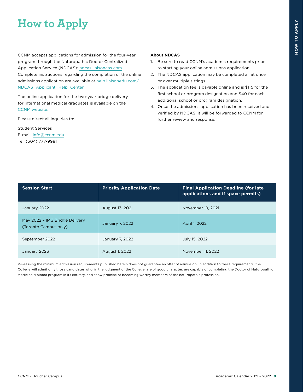# <span id="page-9-0"></span>**How to Apply**

CCNM accepts applications for admission for the four-year program through the Naturopathic Doctor Centralized Application Service (NDCAS): [ndcas.liaisoncas.com.](https://ndcas.liaisoncas.com/) Complete instructions regarding the completion of the online admissions application are available at [help.liaisonedu.com/](https://help.liaisonedu.com/NDCAS_Applicant_Help_Center) [NDCAS\\_Applicant\\_Help\\_Center.](https://help.liaisonedu.com/NDCAS_Applicant_Help_Center)

The online application for the two-year bridge delivery for international medical graduates is available on the [CCNM website.](https://www.ccnm.edu/future-students/international-medical-graduates)

Please direct all inquiries to:

Student Services E-mail: [info@ccnm.edu](mailto:info%40ccnm.edu?subject=) Tel: (604) 777-9981

#### **About NDCAS**

- 1. Be sure to read CCNM's academic requirements prior to starting your online admissions application.
- 2. The NDCAS application may be completed all at once or over multiple sittings.
- 3. The application fee is payable online and is \$115 for the first school or program designation and \$40 for each additional school or program designation.
- 4. Once the admissions application has been received and verified by NDCAS, it will be forwarded to CCNM for further review and response.

| <b>Session Start</b>                                    | <b>Priority Application Date</b> | <b>Final Application Deadline (for late)</b><br>applications and if space permits) |
|---------------------------------------------------------|----------------------------------|------------------------------------------------------------------------------------|
| January 2022                                            | August 13, 2021                  | November 19, 2021                                                                  |
| May 2022 - IMG Bridge Delivery<br>(Toronto Campus only) | January 7, 2022                  | April 1, 2022                                                                      |
| September 2022                                          | January 7, 2022                  | July 15, 2022                                                                      |
| January 2023                                            | August 1, 2022                   | November 11, 2022                                                                  |

Possessing the minimum admission requirements published herein does not guarantee an offer of admission. In addition to these requirements, the College will admit only those candidates who, in the judgment of the College, are of good character, are capable of completing the Doctor of Naturopathic Medicine diploma program in its entirety, and show promise of becoming worthy members of the naturopathic profession.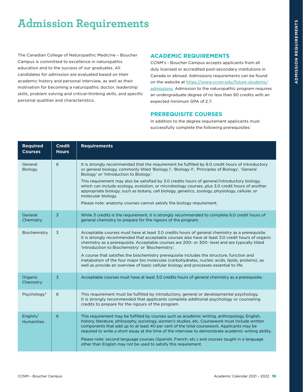# <span id="page-10-0"></span>**Admission Requirements**

The Canadian College of Naturopathic Medicine – Boucher Campus is committed to excellence in naturopathic education and to the success of our graduates. All candidates for admission are evaluated based on their academic history and personal interview, as well as their motivation for becoming a naturopathic doctor, leadership skills, problem solving and critical-thinking skills, and specific personal qualities and characteristics.

### **ACADEMIC REQUIREMENTS**

CCNM's - Boucher Campus accepts applicants from all duly licensed or accredited post-secondary institutions in Canada or abroad. Admissions requirements can be found on the website at [https://www.ccnm.edu/future-students/](https://www.ccnm.edu/future-students/admissions) [admissions](https://www.ccnm.edu/future-students/admissions). Admission to the naturopathic program requires an undergraduate degree of no less than 90 credits with an expected minimum GPA of 2.7.

#### **PREREQUISITE COURSES**

In addition to the degree requirement applicants must successfully complete the following prerequisites:

| <b>Required</b><br><b>Courses</b> | <b>Credit</b><br><b>Hours</b> | <b>Requirements</b>                                                                                                                                                                                                                                                                                                                                                                                                                                                                                                                                                                                                                                     |
|-----------------------------------|-------------------------------|---------------------------------------------------------------------------------------------------------------------------------------------------------------------------------------------------------------------------------------------------------------------------------------------------------------------------------------------------------------------------------------------------------------------------------------------------------------------------------------------------------------------------------------------------------------------------------------------------------------------------------------------------------|
| General<br>Biology                | 6                             | It is strongly recommended that the requirement be fulfilled by 6.0 credit hours of introductory<br>or general biology, commonly titled 'Biology I', 'Biology II', 'Principles of Biology', 'General<br>Biology' or 'Introduction to Biology'.<br>This requirement may also be satisfied by 3.0 credits hours of general/introductory biology,<br>which can include ecology, evolution, or microbiology courses, plus 3.0 credit hours of another<br>appropriate biology, such as botany, cell biology, genetics, zoology, physiology, cellular, or<br>molecular biology.<br>Please note: anatomy courses cannot satisfy the biology requirement.       |
|                                   |                               |                                                                                                                                                                                                                                                                                                                                                                                                                                                                                                                                                                                                                                                         |
| General<br>Chemistry              | $\overline{3}$                | While 3 credits is the requirement, it is strongly recommended to complete 6.0 credit hours of<br>general chemistry to prepare for the rigours of the program.                                                                                                                                                                                                                                                                                                                                                                                                                                                                                          |
| Biochemistry                      | $\overline{3}$                | Acceptable courses must have at least 3.0 credits hours of general chemistry as a prerequisite.<br>It is strongly recommended that acceptable courses also have at least 3.0 credit hours of organic<br>chemistry as a prerequisite. Acceptable courses are 200- or 300- level and are typically titled<br>'Introduction to Biochemistry' or 'Biochemistry'.<br>A course that satisfies the biochemistry prerequisite includes the structure, function and<br>metabolism of the four major bio molecules (carbohydrates, nucleic acids, lipids, proteins), as<br>well as provide an overview of basic cellular biology and processes essential to life. |
| Organic<br>Chemistry              | $\overline{3}$                | Acceptable courses must have at least 3.0 credits hours of general chemistry as a prerequisite.                                                                                                                                                                                                                                                                                                                                                                                                                                                                                                                                                         |
| Psychology*                       | 6                             | This requirement must be fulfilled by introductory, general or developmental psychology.<br>It is strongly recommended that applicants complete additional psychology or counseling<br>credits to prepare for the rigours of the program.                                                                                                                                                                                                                                                                                                                                                                                                               |
| English/<br><b>Humanities</b>     | 6                             | This requirement may be fulfilled by courses such as academic writing, anthropology, English,<br>history, literature, philosophy, sociology, women's studies, etc. Coursework must include written<br>components that add up to at least 40 per cent of the total coursework. Applicants may be<br>required to write a short essay at the time of the interview to demonstrate academic writing ability.<br>Please note: second language courses (Spanish, French, etc.) and courses taught in a language<br>other than English may not be used to satisfy this requirement.                                                                            |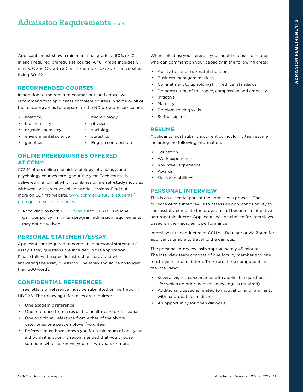# <span id="page-11-0"></span>**Admission Requirements cont'd**

Applicants must show a minimum final grade of 60% or 'C' in each required prerequisite course. A "C" grade includes C minus, C and C+, with a C minus at most Canadian universities being 60-62.

#### **RECOMMENDED COURSES**

In addition to the required courses outlined above, we recommend that applicants complete courses in some or all of the following areas to prepare for the ND program curriculum:

• anatomy

- microbiology • physics
- biochemistry • organic chemistry
- sociology
- environmental science • statistics
- genetics
- English composition

## **ONLINE PREREQUISITES OFFERED AT CCNM**

CCNM offers online chemistry, biology, physiology, and psychology courses throughout the year. Each course is delivered in a format which combines online self-study modules with weekly interactive online tutorial sessions. Find out more on CCNM's website, [www.ccnm.edu/future-students/](https://www.ccnm.edu/future-students/prerequisite-science-courses) [prerequisite-science-courses.](https://www.ccnm.edu/future-students/prerequisite-science-courses)

\* According to both [PTIB bylaws](http://www.privatetraininginstitutions.gov.bc.ca/) and CCNM – Boucher Campus policy, minimum program admission requirements may not be waived.\*

# **PERSONAL STATEMENT/ESSAY**

Applicants are required to complete a personal statement/ essay. Essay questions are included in the application. Please follow the specific instructions provided when answering the essay questions. The essay should be no longer than 500 words.

## **CONFIDENTIAL REFERENCES**

Three letters of reference must be submitted online through NDCAS. The following references are required:

- One academic reference
- One reference from a regulated health-care professional
- One additional reference from either of the above categories or a past employer/volunteer
- Referees must have known you for a minimum of one year, although it is strongly recommended that you choose someone who has known you for two years or more

When selecting your referee, you should choose someone who can comment on your capacity in the following areas:

- Ability to handle stressful situations
- Business management skills
- Commitment to upholding high ethical standards
- Demonstration of tolerance, compassion and empathy
- **Initiative**
- **Maturity**
- Problem solving skills
- Self-discipline

## **RESUMÉ**

Applicants must submit a current curriculum vitae/resumé including the following information:

- Education
- Work experience
- Volunteer experience
- Awards
- Skills and abilities

### **PERSONAL INTERVIEW**

This is an essential part of the admissions process. The purpose of this interview is to assess an applicant's ability to successfully complete the program and become an effective naturopathic doctor. Applicants will be chosen for interviews based on their academic performance.

Interviews are conducted at CCNM – Boucher or via Zoom for applicants unable to travel to the campus.

The personal interview lasts approximately 45 minutes. The interview team consists of one faculty member and one fourth-year student intern. There are three components to the interview:

- Several vignettes/scenarios with applicable questions (for which no prior medical knowledge is required)
- Additional questions related to motivation and familiarity with naturopathic medicine
- An opportunity for open dialogue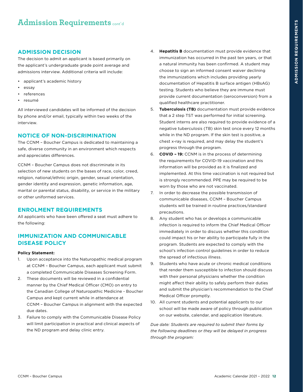#### <span id="page-12-0"></span>**ADMISSION DECISION**

The decision to admit an applicant is based primarily on the applicant's undergraduate grade point average and admissions interview. Additional criteria will include:

- applicant's academic history
- essay
- **references**
- resumé

All interviewed candidates will be informed of the decision by phone and/or email, typically within two weeks of the interview.

#### **NOTICE OF NON-DISCRIMINATION**

The CCNM – Boucher Campus is dedicated to maintaining a safe, diverse community in an environment which respects and appreciates differences.

CCNM – Boucher Campus does not discriminate in its selection of new students on the bases of race, color, creed, religion, national/ethnic origin, gender, sexual orientation, gender identity and expression, genetic information, age, marital or parental status, disability, or service in the military or other uniformed services.

#### **ENROLMENT REQUIREMENTS**

All applicants who have been offered a seat must adhere to the following:

#### **IMMUNIZATION AND COMMUNICABLE DISEASE POLICY**

#### **Policy Statement:**

- 1. Upon acceptance into the Naturopathic medical program at CCNM – Boucher Campus, each applicant must submit a completed Communicable Diseases Screening Form.
- 2. These documents will be reviewed in a confidential manner by the Chief Medical Officer (CMO) on entry to the Canadian College of Naturopathic Medicine - Boucher Campus and kept current while in attendance at CCNM – Boucher Campus in alignment with the expected due dates.
- 3. Failure to comply with the Communicable Disease Policy will limit participation in practical and clinical aspects of the ND program and delay clinic entry.
- 4. **Hepatitis B** documentation must provide evidence that immunization has occurred in the past ten years, or that a natural immunity has been confirmed. A student may choose to sign an informed consent waiver declining the immunizations which includes providing yearly documentation of Hepatitis B surface antigen (HBsAG) testing. Students who believe they are immune must provide current documentation (seroconversion) from a qualified healthcare practitioner.
- 5. **Tuberculosis (TB)** documentation must provide evidence that a 2 step TST was performed for initial screening. Student interns are also required to provide evidence of a negative tuberculosis (TB) skin test once every 12 months while in the ND program. If the skin test is positive, a chest x-ray is required, and may delay the student's progress through the program.
- 6. **COVID 19:** CCNM is in the process of determining the requirements for COVID-19 vaccination and this information will be provided as it is finalized and implemented. At this time vaccination is not required but is strongly recommended. PPE may be required to be worn by those who are not vaccinated.
- 7. In order to decrease the possible transmission of communicable diseases, CCNM – Boucher Campus students will be trained in routine practices/standard precautions.
- 8. Any student who has or develops a communicable infection is required to inform the Chief Medical Officer immediately in order to discuss whether this condition could impact his or her ability to participate fully in the program. Students are expected to comply with the school's infection control guidelines in order to reduce the spread of infectious illness.
- 9. Students who have acute or chronic medical conditions that render them susceptible to infection should discuss with their personal physicians whether the condition might affect their ability to safely perform their duties and submit the physician's recommendation to the Chief Medical Officer promptly.
- 10. All current students and potential applicants to our school will be made aware of policy through publication on our website, calendar, and application literature.

*Due date: Students are required to submit their forms by the following deadlines or they will be delayed in progress through the program:*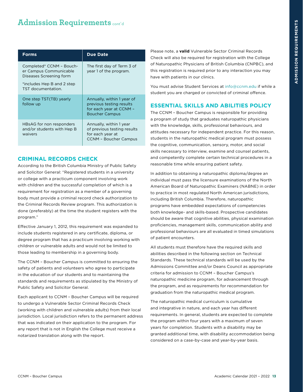# <span id="page-13-0"></span>**Admission Requirements cont'd**

| <b>Forms</b>                                                                                                                      | <b>Due Date</b>                                                                                            |
|-----------------------------------------------------------------------------------------------------------------------------------|------------------------------------------------------------------------------------------------------------|
| Completed* CCNM - Bouch-<br>er Campus Communicable<br>Diseases Screening form<br>*includes Hep B and 2 step<br>TST documentation. | The first day of Term 3 of<br>year 1 of the program.                                                       |
| One step TST(TB) yearly<br>follow up                                                                                              | Annually, within 1 year of<br>previous testing results<br>for each year at CCNM -<br><b>Boucher Campus</b> |
| HBsAG for non responders<br>and/or students with Hep B<br>waivers                                                                 | Annually, within 1 year<br>of previous testing results<br>for each year at<br><b>CCNM - Boucher Campus</b> |

#### **CRIMINAL RECORDS CHECK**

According to the British Columbia Ministry of Public Safety and Solicitor General: "Registered students in a university or college with a practicum component involving work with children and the successful completion of which is a requirement for registration as a member of a governing body must provide a criminal record check authorization to the Criminal Records Review program. This authorization is done (preferably) at the time the student registers with the program."

Effective January 1, 2012, this requirement was expanded to include students registered in any certificate, diploma, or degree program that has a practicum involving working with children or vulnerable adults and would not be limited to those leading to membership in a governing body.

The CCNM – Boucher Campus is committed to ensuring the safety of patients and volunteers who agree to participate in the education of our students and to maintaining the standards and requirements as stipulated by the Ministry of Public Safety and Solicitor General.

Each applicant to CCNM – Boucher Campus will be required to undergo a Vulnerable Sector Criminal Records Check (working with children and vulnerable adults) from their local jurisdiction. Local jurisdiction refers to the permanent address that was indicated on their application to the program. For any report that is not in English the College must receive a notarized translation along with the report.

Please note, a **valid** Vulnerable Sector Criminal Records Check will also be required for registration with the College of Naturopathic Physicians of British Columbia (CNPBC), and this registration is required prior to any interaction you may have with patients in our clinics.

You must advise Student Services at [info@ccnm.edu](mailto:info%40ccnm.edu?subject=) if while a student you are charged or convicted of criminal offence.

#### **ESSENTIAL SKILLS AND ABILITIES POLICY**

The CCNM – Boucher Campus is responsible for providing a program of study that graduates naturopathic physicians with the knowledge, skills, professional behaviours, and attitudes necessary for independent practice. For this reason, students in the naturopathic medical program must possess the cognitive, communication, sensory, motor, and social skills necessary to interview, examine and counsel patients, and competently complete certain technical procedures in a reasonable time while ensuring patient safety.

In addition to obtaining a naturopathic diploma/degree an individual must pass the licensure examinations of the North American Board of Naturopathic Examiners (NABNE) in order to practice in most regulated North American jurisdictions, including British Columbia. Therefore, naturopathic programs have embedded expectations of competencies both knowledge- and skills-based. Prospective candidates should be aware that cognitive abilities, physical examination proficiencies, management skills, communication ability and professional behaviours are all evaluated in timed simulations of patient encounters.

All students must therefore have the required skills and abilities described in the following section on Technical Standards. These technical standards will be used by the Admissions Committee and/or Deans Council as appropriate criteria for admission to CCNM – Boucher Campus's naturopathic medicine program, for advancement through the program, and as requirements for recommendation for graduation from the naturopathic medical program.

The naturopathic medical curriculum is cumulative and integrative in nature, and each year has different requirements. In general, students are expected to complete the program within four years with a maximum of seven years for completion. Students with a disability may be granted additional time, with disability accommodation being considered on a case-by-case and year-by-year basis.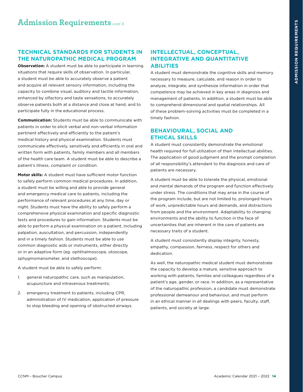### <span id="page-14-0"></span>**TECHNICAL STANDARDS FOR STUDENTS IN THE NATUROPATHIC MEDICAL PROGRAM**

**Observation:** A student must be able to participate in learning situations that require skills of observation. In particular, a student must be able to accurately observe a patient and acquire all relevant sensory information, including the capacity to combine visual, auditory and tactile information, enhanced by olfactory and taste sensations, to accurately observe patients both at a distance and close at hand, and to participate fully in the educational process.

**Communication:** Students must be able to communicate with patients in order to elicit verbal and non-verbal information pertinent effectively and efficiently to the patient's medical history and physical examination. Students must communicate effectively, sensitively and efficiently in oral and written form with patients, family members and all members of the health care team. A student must be able to describe a patient's illness, complaint or condition.

**Motor skills:** A student must have sufficient motor function to safely perform common medical procedures. In addition, a student must be willing and able to provide general and emergency medical care to patients, including the performance of relevant procedures at any time, day or night. Students must have the ability to safely perform a comprehensive physical examination and specific diagnostic tests and procedures to gain information. Students must be able to perform a physical examination on a patient, including palpation, auscultation, and percussion, independently and in a timely fashion. Students must be able to use common diagnostic aids or instruments, either directly or in an adaptive form (eg. ophthalmoscope, otoscope, sphygmomanometer, and stethoscope).

A student must be able to safely perform:

- 1. general naturopathic care, such as manipulation, acupuncture and intravenous treatments;
- 2. emergency treatment to patients, including CPR, administration of IV medication, application of pressure to stop bleeding and opening of obstructed airways.

### **INTELLECTUAL, CONCEPTUAL, INTEGRATIVE AND QUANTITATIVE ABILITIES**

A student must demonstrate the cognitive skills and memory necessary to measure, calculate, and reason in order to analyze, integrate, and synthesize information in order that competence may be achieved in key areas in diagnosis and management of patients. In addition, a student must be able to comprehend dimensional and spatial relationships. All of these problem-solving activities must be completed in a timely fashion.

## **BEHAVIOURAL, SOCIAL AND ETHICAL SKILLS**

A student must consistently demonstrate the emotional health required for full utilization of their intellectual abilities. The application of good judgment and the prompt completion of all responsibility's attendant to the diagnosis and care of patients are necessary.

A student must be able to tolerate the physical, emotional and mental demands of the program and function effectively under stress. The conditions that may arise in the course of the program include, but are not limited to, prolonged hours of work, unpredictable hours and demands, and distractions from people and the environment. Adaptability to changing environments and the ability to function in the face of uncertainties that are inherent in the care of patients are necessary traits of a student.

A student must consistently display integrity, honesty, empathy, compassion, fairness, respect for others and dedication.

As well, the naturopathic medical student must demonstrate the capacity to develop a mature, sensitive approach to working with patients, families and colleagues regardless of a patient's age, gender, or race. In addition, as a representative of the naturopathic profession, a candidate must demonstrate professional demeanour and behaviour, and must perform in an ethical manner in all dealings with peers, faculty, staff, patients, and society at large.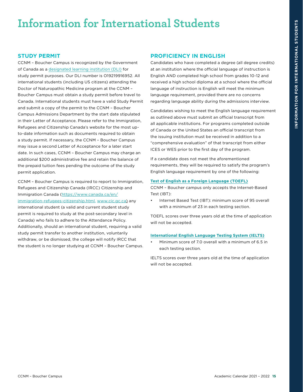# <span id="page-15-0"></span>**Information for International Students**

## **STUDY PERMIT**

CCNM – Boucher Campus is recognized by the Government of Canada as a [designated learning institution \(DLI\)](http://www.cic.gc.ca/english/study/study-institutions-list.asp) for study permit purposes. Our DLI number is O19219916952. All international students (including US citizens) attending the Doctor of Naturopathic Medicine program at the CCNM – Boucher Campus must obtain a study permit before travel to Canada. International students must have a valid Study Permit and submit a copy of the permit to the CCNM – Boucher Campus Admissions Department by the start date stipulated in their Letter of Acceptance. Please refer to the Immigration, Refugees and Citizenship Canada's website for the most upto-date information such as documents required to obtain a study permit. If necessary, the CCNM – Boucher Campus may issue a second Letter of Acceptance for a later start date. In such cases, CCNM – Boucher Campus may charge an additional \$200 administrative fee and retain the balance of the prepaid tuition fees pending the outcome of the study permit application.

CCNM – Boucher Campus is required to report to Immigration, Refugees and Citizenship Canada (IRCC) Citizenship and Immigration Canada ([https://www.canada.ca/en/](https://www.canada.ca/en/immigration-refugees-citizenship.html) [immigration-refugees-citizenship.html,](https://www.canada.ca/en/immigration-refugees-citizenship.html) [www.cic.gc.ca\)](https://www.cic.gc.ca/) any international student (a valid and current student study permit is required to study at the post-secondary level in Canada) who fails to adhere to the Attendance Policy. Additionally, should an international student, requiring a valid study permit transfer to another institution, voluntarily withdraw, or be dismissed, the college will notify IRCC that the student is no longer studying at CCNM – Boucher Campus.

# **PROFICIENCY IN ENGLISH**

Candidates who have completed a degree (all degree credits) at an institution where the official language of instruction is English AND completed high school from grades 10-12 and received a high school diploma at a school where the official language of instruction is English will meet the minimum language requirement, provided there are no concerns regarding language ability during the admissions interview.

Candidates wishing to meet the English language requirement as outlined above must submit an official transcript from all applicable institutions. For programs completed outside of Canada or the United States an official transcript from the issuing institution must be received in addition to a "comprehensive evaluation" of that transcript from either ICES or WES prior to the first day of the program.

If a candidate does not meet the aforementioned requirements, they will be required to satisfy the program's English language requirement by one of the following:

#### **Test of English as a Foreign Language (TOEFL)**

CCNM – Boucher campus only accepts the Internet-Based Test (IBT):

Internet Based Test (IBT): minimum score of 95 overall with a minimum of 23 in each testing section.

TOEFL scores over three years old at the time of application will not be accepted.

#### **International English Language Testing System (IELTS)**

• Minimum score of 7.0 overall with a minimum of 6.5 in each testing section.

IELTS scores over three years old at the time of application will not be accepted.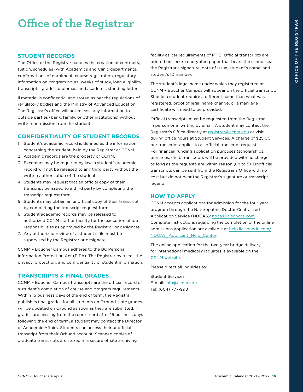# <span id="page-16-0"></span>**Office of the Registrar**

#### **STUDENT RECORDS**

The Office of the Registrar handles the creation of contracts, tuition, schedules (with Academics and Clinic departments), confirmations of enrolment, course registration, regulatory information on program hours, weeks of study, loan eligibility, transcripts, grades, diplomas, and academic standing letters.

ll material is confidential and stored as per the regulations of regulatory bodies and the Ministry of Advanced Education. The Registrar's office will not release any information to outside parties (bank, family, or other institutions) without written permission from the student.

#### **CONFIDENTIALITY OF STUDENT RECORDS**

- 1. Student's academic record is defined as the information concerning the student, held by the Registrar at CCNM.
- 2. Academic records are the property of CCNM.
- 3. Except as may be required by law, a student's academic record will not be released to any third party without the written authorization of the student.
- 4. Students may request that an official copy of their transcript be issued to a third party by completing the transcript request form.
- 5. Students may obtain an unofficial copy of their transcript by completing the transcript request form.
- 6. Student academic records may be released to authorized CCNM staff or faculty for the execution of job responsibilities as approved by the Registrar or designate.
- 7. Any authorized review of a student's file must be supervised by the Registrar or designate.

CCNM – Boucher Campus adheres to the BC Personal Information Protection Act (PIPA). The Registrar oversees the privacy, protection, and confidentiality of student information.

#### **TRANSCRIPTS & FINAL GRADES**

CCNM – Boucher Campus transcripts are the official record of a student's completion of course and program requirements. Within 15 business days of the end of term, the Registrar publishes final grades for all students on Orbund. Late grades will be updated on Orbund as soon as they are submitted. If grades are missing from the report card after 15 business days following the end of term, a student may contact the Director of Academic Affairs. Students can access their unofficial transcript from their Orbund account. Scanned copies of graduate transcripts are stored in a secure offsite archiving

facility as per requirements of PTIB. Official transcripts are printed on secure encrypted paper that bears the school seal, the Registrar's signature, date of issue, student's name, and student's ID number.

The student's legal name under which they registered at CCNM – Boucher Campus will appear on the official transcript. Should a student require a different name than what was registered, proof of legal name change, or a marriage certificate will need to be provided.

Official transcripts must be requested from the Registrar in person or in writing by email. A student may contact the Registrar's Office directly at [registrar@ccnm.edu](mailto:registrar%40ccnm.edu?subject=) or visit during office hours at Student Services. A charge of \$25.00 per transcript applies to all official transcript requests. For financial funding application purposes (scholarships, bursaries, etc.), transcripts will be provided with no charge as long as the requests are within reason (up to 5). Unofficial transcripts can be sent from the Registrar's Office with no cost but do not bear the Registrar's signature or transcript legend.

#### **HOW TO APPLY**

CCNM accepts applications for admission for the four-year program through the Naturopathic Doctor Centralized Application Service (NDCAS): [ndcas.liaisoncas.com.](https://ndcas.liaisoncas.com/) Complete instructions regarding the completion of the online admissions application are available at [help.liaisonedu.com/](https://help.liaisonedu.com/NDCAS_Applicant_Help_Center) [NDCAS\\_Applicant\\_Help\\_Center](https://help.liaisonedu.com/NDCAS_Applicant_Help_Center).

The online application for the two-year bridge delivery for international medical graduates is available on the [CCNM website.](https://www.ccnm.edu/future-students/international-medical-graduates)

Please direct all inquiries to:

Student Services E-mail: [info@ccnm.edu](mailto:info%40ccnm.edu?subject=) Tel: (604) 777-9981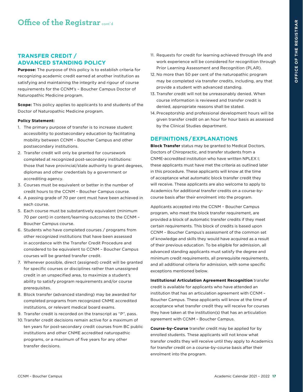## <span id="page-17-0"></span>**TRANSFER CREDIT / ADVANCED STANDING POLICY**

**Purpose:** The purpose of this policy is to establish criteria for recognizing academic credit earned at another institution as satisfying and maintaining the integrity and rigour of course requirements for the CCNM's – Boucher Campus Doctor of Naturopathic Medicine program.

**Scope:** This policy applies to applicants to and students of the Doctor of Naturopathic Medicine program.

#### **Policy Statement:**

- 1. The primary purpose of transfer is to increase student accessibility to postsecondary education by facilitating mobility between CCNM – Boucher Campus and other postsecondary institutions.
- 2. Transfer credit will only be granted for coursework completed at recognized post-secondary institutions: those that have provincial/state authority to grant degrees, diplomas and other credentials by a government or accrediting agency.
- 3. Courses must be equivalent or better in the number of credit hours to the CCNM – Boucher Campus course.
- 4. A passing grade of 70 per cent must have been achieved in each course.
- 5. Each course must be substantively equivalent (minimum 70 per cent) in content/learning outcomes to the CCNM – Boucher Campus course.
- 6. Students who have completed courses / programs from other recognized institutions that have been assessed in accordance with the Transfer Credit Procedure and considered to be equivalent to CCNM – Boucher Campus courses will be granted transfer credit.
- 7. Whenever possible, direct (assigned) credit will be granted for specific courses or disciplines rather than unassigned credit in an unspecified area, to maximize a student's ability to satisfy program requirements and/or course prerequisites.
- 8. Block transfer (advanced standing) may be awarded for completed programs from recognized CNME accredited institutions, or relevant medical board exams.
- 9. Transfer credit is recorded on the transcript as "P", pass.
- 10.Transfer credit decisions remain active for a maximum of ten years for post-secondary credit courses from BC public institutions and other CNME accredited naturopathic programs, or a maximum of five years for any other transfer decisions.
- 11. Requests for credit for learning achieved through life and work experience will be considered for recognition through Prior Learning Assessment and Recognition (PLAR).
- 12. No more than 50 per cent of the naturopathic program may be completed via transfer credits, including, any that provide a student with advanced standing.
- 13. Transfer credit will not be unreasonably denied. When course information is reviewed and transfer credit is denied, appropriate reasons shall be stated.
- 14. Preceptorship and professional development hours will be given transfer credit on an hour for hour basis as assessed by the Clinical Studies department.

#### **DEFINITIONS/EXPLANATIONS**

**Block Transfer** status may be granted to Medical Doctors, Doctors of Chiropractic, and transfer students from a CNME-accredited institution who have written NPLEX I; these applicants must have met the criteria as outlined later in this procedure. These applicants will know at the time of acceptance what automatic block transfer credit they will receive. These applicants are also welcome to apply to Academics for additional transfer credits on a course-bycourse basis after their enrolment into the program.

Applicants accepted into the CCNM – Boucher Campus program, who meet the block transfer requirement, are provided a block of automatic transfer credits if they meet certain requirements. This block of credits is based upon CCNM – Boucher Campus's assessment of the common set of knowledge and skills they would have acquired as a result of their previous education. To be eligible for admission, all advanced standing applicants must satisfy the degree and minimum credit requirements, all prerequisite requirements, and all additional criteria for admission, with some specific exceptions mentioned below.

**Institutional Articulation Agreement Recognition** transfer credit is available for applicants who have attended an institution that has an articulation agreement with CCNM – Boucher Campus. These applicants will know at the time of acceptance what transfer credit they will receive for courses they have taken at the institution(s) that has an articulation agreement with CCNM – Boucher Campus.

**Course-by-Course** transfer credit may be applied for by enrolled students. These applicants will not know what transfer credits they will receive until they apply to Academics for transfer credit on a course-by-course basis after their enrolment into the program.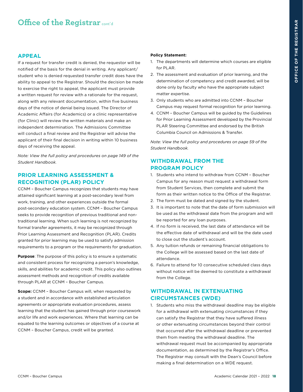#### <span id="page-18-0"></span>**APPEAL**

If a request for transfer credit is denied, the requestor will be notified of the basis for the denial in writing. Any applicant/ student who is denied requested transfer credit does have the ability to appeal to the Registrar. Should the decision be made to exercise the right to appeal, the applicant must provide a written request for review with a rationale for the request, along with any relevant documentation, within five business days of the notice of denial being issued. The Director of Academic Affairs (for Academics) or a clinic representative (for Clinic) will review the written materials and make an independent determination. The Admissions Committee will conduct a final review and the Registrar will advise the applicant of their final decision in writing within 10 business days of receiving the appeal.

*Note: View the full policy and procedures on page 149 of the Student Handbook.*

#### **PRIOR LEARNING ASSESSMENT & RECOGNITION (PLAR) POLICY**

CCNM – Boucher Campus recognizes that students may have attained significant learning at a post-secondary level from work, training, and other experiences outside the formal post-secondary education system. CCNM – Boucher Campus seeks to provide recognition of previous traditional and nontraditional learning. When such learning is not recognized by formal transfer agreements, it may be recognized through Prior Learning Assessment and Recognition (PLAR). Credits granted for prior learning may be used to satisfy admission requirements to a program or the requirements for graduation.

**Purpose**: The purpose of this policy is to ensure a systematic and consistent process for recognizing a person's knowledge, skills, and abilities for academic credit. This policy also outlines assessment methods and recognition of credits available through PLAR at CCNM – Boucher Campus.

**Scope:** CCNM – Boucher Campus will, when requested by a student and in accordance with established articulation agreements or appropriate evaluation procedures, assess learning that the student has gained through prior coursework and/or life and work experiences. Where that learning can be equated to the learning outcomes or objectives of a course at CCNM – Boucher Campus, credit will be granted.

#### **Policy Statement:**

- 1. The departments will determine which courses are eligible for PLAR.
- 2. The assessment and evaluation of prior learning, and the determination of competency and credit awarded, will be done only by faculty who have the appropriate subject matter expertise.
- 3. Only students who are admitted into CCNM Boucher Campus may request formal recognition for prior learning.
- 4. CCNM Boucher Campus will be guided by the Guidelines for Prior Learning Assessment developed by the Provincial PLAR Steering Committee and endorsed by the British Columbia Council on Admissions & Transfer.

*Note: View the full policy and procedures on page 59 of the Student Handbook.* 

## **WITHDRAWAL FROM THE PROGRAM POLICY**

- 1. Students who intend to withdraw from CCNM Boucher Campus for any reason must request a withdrawal form from Student Services, then complete and submit the form as their written notice to the Office of the Registrar.
- 2. The form must be dated and signed by the student.
- 3. It is important to note that the date of form submission will be used as the withdrawal date from the program and will be reported for any loan purposes.
- 4. If no form is received, the last date of attendance will be the effective date of withdrawal and will be the date used to close out the student's account.
- 5. Any tuition refunds or remaining financial obligations to the College will be assessed based on the last date of attendance.
- 6. Failure to attend for 10 consecutive scheduled class days without notice will be deemed to constitute a withdrawal from the College.

## **WITHDRAWAL IN EXTENUATING CIRCUMSTANCES (WDE)**

1. Students who miss the withdrawal deadline may be eligible for a withdrawal with extenuating circumstances if they can satisfy the Registrar that they have suffered illness or other extenuating circumstances beyond their control that occurred after the withdrawal deadline or prevented them from meeting the withdrawal deadline. The withdrawal request must be accompanied by appropriate documentation, as determined by the Registrar's Office. The Registrar may consult with the Dean's Council before making a final determination on a WDE request.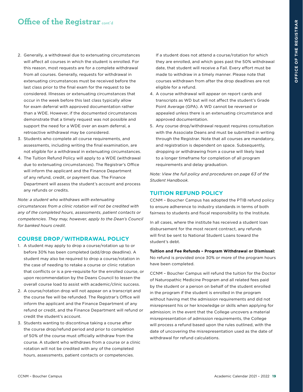- <span id="page-19-0"></span>2. Generally, a withdrawal due to extenuating circumstances will affect all courses in which the student is enrolled. For this reason, most requests are for a complete withdrawal from all courses. Generally, requests for withdrawal in extenuating circumstances must be received before the last class prior to the final exam for the request to be considered. Illnesses or extenuating circumstances that occur in the week before this last class typically allow for exam deferral with approved documentation rather than a WDE. However, if the documented circumstances demonstrate that a timely request was not possible and support the need for a WDE over an exam deferral, a retroactive withdrawal may be considered.
- 3. Students who complete all course requirements, and assessments, including writing the final examination, are not eligible for a withdrawal in extenuating circumstances.
- 4. The Tuition Refund Policy will apply to a WDE (withdrawal due to extenuating circumstances). The Registrar's Office will inform the applicant and the Finance Department of any refund, credit, or payment due. The Finance Department will assess the student's account and process any refunds or credits.

*Note: a student who withdraws with extenuating circumstances from a clinic rotation will not be credited with any of the completed hours, assessments, patient contacts or competencies. They may, however, apply to the Dean's Council for banked hours credit.*

#### **COURSE DROP/WITHDRAWAL POLICY**

- 1. A student may apply to drop a course/rotation up to or before 30% has been completed (add/drop deadline). A student may also be required to drop a course/rotation in the case of needing to retake a course or clinic rotation that conflicts or is a pre-requisite for the enrolled course, or upon recommendation by the Deans Council to lessen the overall course load to assist with academic/clinic success.
- 2. A course/rotation drop will not appear on a transcript and the course fee will be refunded. The Registrar's Office will inform the applicant and the Finance Department of any refund or credit, and the Finance Department will refund or credit the student's account.
- 3. Students wanting to discontinue taking a course after the course drop/refund period and prior to completion of 50% of the course must officially withdraw from the course. A student who withdraws from a course or a clinic rotation will not be credited with any of the completed hours, assessments, patient contacts or competencies.

If a student does not attend a course/rotation for which they are enrolled, and which goes past the 50% withdrawal date, that student will receive a Fail. Every effort must be made to withdraw in a timely manner. Please note that courses withdrawn from after the drop deadlines are not eligible for a refund.

- 4. A course withdrawal will appear on report cards and transcripts as WD but will not affect the student's Grade Point Average (GPA). A WD cannot be reversed or appealed unless there is an extenuating circumstance and approved documentation.
- 5. Any course drop/withdrawal request requires consultation with the Associate Deans and must be submitted in writing through the Registrar. Note that all courses are mandatory, and registration is dependent on space. Subsequently, dropping or withdrawing from a course will likely lead to a longer timeframe for completion of all program requirements and delay graduation.

*Note: View the full policy and procedures on page 63 of the Student Handbook.* 

#### **TUITION REFUND POLICY**

CCNM – Boucher Campus has adopted the PTIB refund policy to ensure adherence to industry standards in terms of both fairness to students and fiscal responsibility to the Institute.

In all cases, where the institute has received a student loan disbursement for the most recent contract, any refunds will first be sent to National Student Loans toward the student's debt.

**Tuition and Fee Refunds – Program Withdrawal or Dismissal:**  No refund is provided once 30% or more of the program hours have been completed.

CCNM – Boucher Campus will refund the tuition for the Doctor of Naturopathic Medicine Program and all related fees paid by the student or a person on behalf of the student enrolled in the program if the student is enrolled in the program without having met the admission requirements and did not misrepresent his or her knowledge or skills when applying for admission; in the event that the College uncovers a material misrepresentation of admission requirements, the College will process a refund based upon the rules outlined, with the date of uncovering the misrepresentation used as the date of withdrawal for refund calculations.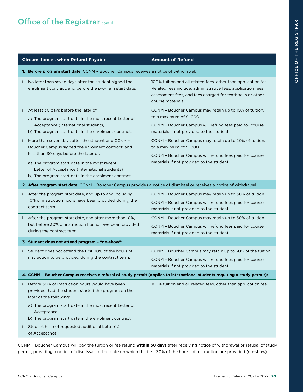| <b>Circumstances when Refund Payable</b>                                                                                                                                                                                                                                                                       | <b>Amount of Refund</b>                                                                                                                                                                                         |
|----------------------------------------------------------------------------------------------------------------------------------------------------------------------------------------------------------------------------------------------------------------------------------------------------------------|-----------------------------------------------------------------------------------------------------------------------------------------------------------------------------------------------------------------|
| <b>1. Before program start date, CCNM - Boucher Campus receives a notice of withdrawal:</b>                                                                                                                                                                                                                    |                                                                                                                                                                                                                 |
| No later than seven days after the student signed the<br>i.<br>enrolment contract, and before the program start date.                                                                                                                                                                                          | 100% tuition and all related fees, other than application fee.<br>Related fees include: administrative fees, application fees,<br>assessment fees, and fees charged for textbooks or other<br>course materials. |
| ii. At least 30 days before the later of:<br>a) The program start date in the most recent Letter of<br>Acceptance (international students)<br>b) The program start date in the enrolment contract.                                                                                                             | CCNM - Boucher Campus may retain up to 10% of tuition,<br>to a maximum of \$1,000.<br>CCNM - Boucher Campus will refund fees paid for course<br>materials if not provided to the student.                       |
| iii. More than seven days after the student and CCNM -<br>Boucher Campus signed the enrolment contract, and<br>less than 30 days before the later of:<br>a) The program start date in the most recent<br>Letter of Acceptance (international students)<br>b) The program start date in the enrolment contract. | CCNM - Boucher Campus may retain up to 20% of tuition,<br>to a maximum of \$1,300.<br>CCNM - Boucher Campus will refund fees paid for course<br>materials if not provided to the student.                       |
| 2. After program start date, CCNM - Boucher Campus provides a notice of dismissal or receives a notice of withdrawal:                                                                                                                                                                                          |                                                                                                                                                                                                                 |
| i. After the program start date, and up to and including<br>10% of instruction hours have been provided during the<br>contract term.                                                                                                                                                                           | CCNM - Boucher Campus may retain up to 30% of tuition.<br>CCNM - Boucher Campus will refund fees paid for course<br>materials if not provided to the student.                                                   |
| ii. After the program start date, and after more than 10%,<br>but before 30% of instruction hours, have been provided<br>during the contract term.                                                                                                                                                             | CCNM - Boucher Campus may retain up to 50% of tuition.<br>CCNM - Boucher Campus will refund fees paid for course<br>materials if not provided to the student.                                                   |
| 3. Student does not attend program - "no-show":                                                                                                                                                                                                                                                                |                                                                                                                                                                                                                 |
| i. Student does not attend the first 30% of the hours of<br>instruction to be provided during the contract term.                                                                                                                                                                                               | CCNM - Boucher Campus may retain up to 50% of the tuition.<br>CCNM - Boucher Campus will refund fees paid for course<br>materials if not provided to the student.                                               |
| 4. CCNM - Boucher Campus receives a refusal of study permit (applies to international students requiring a study permit):                                                                                                                                                                                      |                                                                                                                                                                                                                 |
| i. Before 30% of instruction hours would have been<br>provided, had the student started the program on the<br>later of the following:<br>a) The program start date in the most recent Letter of<br>Acceptance                                                                                                  | 100% tuition and all related fees, other than application fee.                                                                                                                                                  |
| b) The program start date in the enrolment contract<br>ii. Student has not requested additional Letter(s)<br>of Acceptance.                                                                                                                                                                                    |                                                                                                                                                                                                                 |
|                                                                                                                                                                                                                                                                                                                |                                                                                                                                                                                                                 |

CCNM – Boucher Campus will pay the tuition or fee refund **within 30 days** after receiving notice of withdrawal or refusal of study permit, providing a notice of dismissal, or the date on which the first 30% of the hours of instruction are provided (no-show).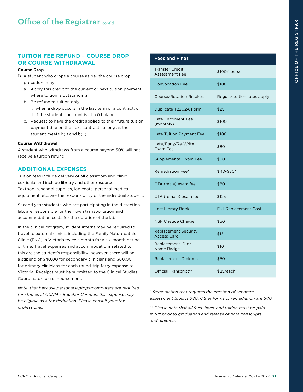### <span id="page-21-0"></span>**TUITION FEE REFUND – COURSE DROP OR COURSE WITHDRAWAL**

#### **Course Drop**

- 1) A student who drops a course as per the course drop procedure may:
	- a. Apply this credit to the current or next tuition payment, where tuition is outstanding
	- b. Be refunded tuition only
		- i. when a drop occurs in the last term of a contract, or ii. if the student's account is at a 0 balance
	- c. Request to have the credit applied to their future tuition payment due on the next contract so long as the student meets b(i) and b(ii).

#### **Course Withdrawal**

A student who withdraws from a course beyond 30% will not receive a tuition refund.

#### **ADDITIONAL EXPENSES**

Tuition fees include delivery of all classroom and clinic curricula and include library and other resources. Textbooks, school supplies, lab coats, personal medical equipment, etc. are the responsibility of the individual student.

Second year students who are participating in the dissection lab, are responsible for their own transportation and accommodation costs for the duration of the lab.

In the clinical program, student interns may be required to travel to external clinics, including the Family Naturopathic Clinic (FNC) in Victoria twice a month for a six-month period of time. Travel expenses and accommodations related to this are the student's responsibility; however, there will be a stipend of \$40.00 for secondary clinicians and \$60.00 for primary clinicians for each round-trip ferry expense to Victoria. Receipts must be submitted to the Clinical Studies Coordinator for reimbursement.

*Note: that because personal laptops/computers are required for studies at CCNM – Boucher Campus, this expense may be eligible as a tax deduction. Please consult your tax professional.* 

| <b>Fees and Fines</b>                             |                              |
|---------------------------------------------------|------------------------------|
| <b>Transfer Credit</b><br><b>Assessment Fee</b>   | \$100/course                 |
| <b>Convocation Fee</b>                            | \$100                        |
| <b>Course/Rotation Retakes</b>                    | Regular tuition rates apply  |
| Duplicate T2202A Form                             | \$25                         |
| <b>Late Enrolment Fee</b><br>(monthly)            | \$100                        |
| Late Tuition Payment Fee                          | \$100                        |
| Late/Early/Re-Write<br>Exam Fee                   | \$80                         |
| Supplemental Exam Fee                             | \$80                         |
| Remediation Fee*                                  | \$40-\$80*                   |
| CTA (male) exam fee                               | \$80                         |
| CTA (female) exam fee                             | \$125                        |
| <b>Lost Library Book</b>                          | <b>Full Replacement Cost</b> |
| NSF Cheque Charge                                 | \$50                         |
| <b>Replacement Security</b><br><b>Access Card</b> | \$15                         |
| Replacement ID or<br>Name Badge                   | \$10                         |
| Replacement Diploma                               | \$50                         |
| Official Transcript**                             | \$25/each                    |

*\* Remediation that requires the creation of separate assessment tools is \$80. Other forms of remediation are \$40.* 

*\*\* Please note that all fees, fines, and tuition must be paid in full prior to graduation and release of final transcripts and diploma.*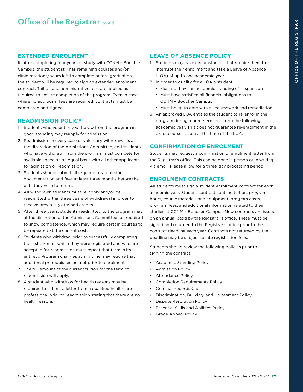#### <span id="page-22-0"></span>**EXTENDED ENROLMENT**

If, after completing four years of study with CCNM – Boucher Campus, the student still has remaining courses and/or clinic rotations/hours left to complete before graduation, the student will be required to sign an extended enrolment contract. Tuition and administrative fees are applied as required to ensure completion of the program. Even in cases where no additional fees are required, contracts must be completed and signed.

#### **READMISSION POLICY**

- 1. Students who voluntarily withdraw from the program in good standing may reapply for admission.
- 2. Readmission in every case of voluntary withdrawal is at the discretion of the Admissions Committee, and students who have withdrawn from the program must compete for available space on an equal basis with all other applicants for admission or readmission.
- 3. Students should submit all required re-admission documentation and fees at least three months before the date they wish to return.
- 4. All withdrawn students must re-apply and/or be readmitted within three years of withdrawal in order to receive previously attained credits.
- 5. After three years, students readmitted to the program may, at the discretion of the Admissions Committee, be required to show competence, which may require certain courses to be repeated at the current cost.
- 6. Students who withdraw prior to successfully completing the last term for which they were registered and who are accepted for readmission must repeat that term in its entirety. Program changes at any time may require that additional prerequisites be met prior to enrolment.
- 7. The full amount of the current tuition for the term of readmission will apply.
- 8. A student who withdrew for health reasons may be required to submit a letter from a qualified healthcare professional prior to readmission stating that there are no health reasons

## **LEAVE OF ABSENCE POLICY**

- 1. Students may have circumstances that require them to interrupt their enrollment and take a Leave of Absence (LOA) of up to one academic year.
- 2. In order to qualify for a LOA a student:
	- Must not have an academic standing of suspension
	- Must have satisfied all financial obligations to CCNM – Boucher Campus
	- Must be up to date with all coursework and remediation
- 3. An approved LOA entitles the student to re-enrol in the program during a predetermined term the following academic year. This does not guarantee re-enrolment in the exact courses taken at the time of the LOA.

#### **CONFIRMATION OF ENROLMENT**

Students may request a confirmation of enrolment letter from the Registrar's office. This can be done in person or in writing via email. Please allow for a three-day processing period.

#### **ENROLMENT CONTRACTS**

All students must sign a student enrollment contract for each academic year. Student contracts outline tuition, program hours, course materials and equipment, program costs, program fees, and additional information related to their studies at CCNM – Boucher Campus. New contracts are issued on an annual basis by the Registrar's office. These must be signed and returned to the Registrar's office prior to the contract deadline each year. Contracts not returned by the deadline may be subject to late registration fees.

Students should review the following policies prior to signing the contract:

- Academic Standing Policy
- Admission Policy
- Attendance Policy
- Completion Requirements Policy
- Criminal Records Check
- Discrimination, Bullying, and Harassment Policy
- Dispute Resolution Policy
- Essential Skills and Abilities Policy
- Grade Appeal Policy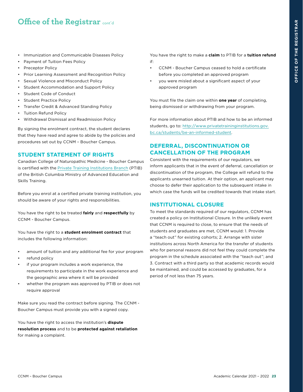- <span id="page-23-0"></span>• Immunization and Communicable Diseases Policy
- Payment of Tuition Fees Policy
- Preceptor Policy
- Prior Learning Assessment and Recognition Policy
- Sexual Violence and Misconduct Policy
- Student Accommodation and Support Policy
- Student Code of Conduct
- Student Practice Policy
- Transfer Credit & Advanced Standing Policy
- Tuition Refund Policy
- Withdrawal Dismissal and Readmission Policy

By signing the enrolment contract, the student declares that they have read and agree to abide by the policies and procedures set out by CCNM – Boucher Campus.

#### **STUDENT STATEMENT OF RIGHTS**

Canadian College of Naturopathic Medicine - Boucher Campus is certified with the [Private Training Institutions Branch](https://www.privatetraininginstitutions.gov.bc.ca/) (PTIB) of the British Columbia Ministry of Advanced Education and Skills Training.

Before you enrol at a certified private training institution, you should be aware of your rights and responsibilities.

You have the right to be treated **fairly** and **respectfully** by CCNM - Boucher Campus.

You have the right to a **student enrolment contract** that includes the following information:

- amount of tuition and any additional fee for your program
- refund policy
- if your program includes a work experience, the requirements to participate in the work experience and the geographic area where it will be provided
- whether the program was approved by PTIB or does not require approval

Make sure you read the contract before signing. The CCNM - Boucher Campus must provide you with a signed copy.

You have the right to access the institution's **dispute resolution process** and to be **protected against retaliation** for making a complaint.

You have the right to make a **claim** to PTIB for a **tuition refund** if:

- CCNM Boucher Campus ceased to hold a certificate before you completed an approved program
- you were misled about a significant aspect of your approved program

You must file the claim one within **one year** of completing, being dismissed or withdrawing from your program.

For more information about PTIB and how to be an informed students, go to: [http://www.privatetraininginstitutions.gov.](http://www.privatetraininginstitutions.gov.bc.ca/students/be-an-informed-student) [bc.ca/students/be-an-informed-student.](http://www.privatetraininginstitutions.gov.bc.ca/students/be-an-informed-student)

## **DEFERRAL, DISCONTINUATION OR CANCELLATION OF THE PROGRAM**

Consistent with the requirements of our regulators, we inform applicants that in the event of deferral, cancellation or discontinuation of the program, the College will refund to the applicants unearned tuition. At their option, an applicant may choose to defer their application to the subsequent intake in which case the funds will be credited towards that intake start.

#### **INSTITUTIONAL CLOSURE**

To meet the standards required of our regulators, CCNM has created a policy on Institutional Closure. In the unlikely event that CCNM is required to close, to ensure that the needs of students and graduates are met, CCNM would: 1. Provide a "teach out" for existing cohorts; 2. Arrange with sister institutions across North America for the transfer of students who for personal reasons did not feel they could complete the program in the schedule associated with the "teach out"; and 3. Contract with a third party so that academic records would be maintained, and could be accessed by graduates, for a period of not less than 75 years.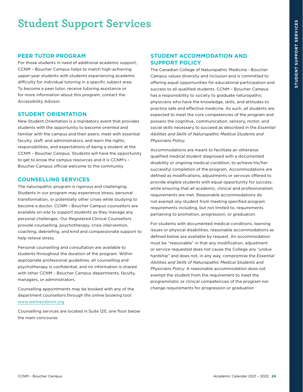# <span id="page-24-0"></span>**Student Support Services**

#### **PEER TUTOR PROGRAM**

For those students in need of additional academic support, CCNM – Boucher Campus helps to match high-achieving upper-year students with students experiencing academic difficulty for individual tutoring in a specific subject area. To become a peer tutor, receive tutoring assistance or for more information about this program, contact the Accessibility Advisor.

#### **STUDENT ORIENTATION**

New Student Orientation is a mandatory event that provides students with the opportunity to become oriented and familiar with the campus and their peers; meet with essential faculty, staff, and administrators; and learn the rights, responsibilities, and expectations of being a student at the CCNM – Boucher Campus. Students will have the opportunity to get to know the campus resources and it is CCNM's – Boucher Campus official welcome to the community

#### **COUNSELLING SERVICES**

The naturopathic program is rigorous and challenging. Students in our program may experience stress, personal transformation, or potentially other crises while studying to become a doctor. CCNM – Boucher Campus counsellors are available on-site to support students as they manage any personal challenges. Our Registered Clinical Counsellors provide counselling, psychotherapy, crisis intervention, coaching, debriefing, and kind and compassionate support to help relieve stress.

Personal counselling and consultation are available to students throughout the duration of the program. Within appropriate professional guidelines, all counselling and psychotherapy is confidential, and no information is shared with other CCNM – Boucher Campus departments, faculty, managers, or administrators.

Counselling appointments may be booked with any of the department counsellors through the online booking tool: [www.wellnessbinm.org](https://www.wellnessbinm.org/)

Counselling services are located in Suite 125, one floor below the main concourse.

#### **STUDENT ACCOMMODATION AND SUPPORT POLICY**

The Canadian College of Naturopathic Medicine - Boucher Campus values diversity and inclusion and is committed to offering equal opportunities for educational participation and success to all qualified students. CCNM – Boucher Campus has a responsibility to society to graduate naturopathic physicians who have the knowledge, skills, and attitudes to practice safe and effective medicine. As such, all students are expected to meet the core competencies of the program and possess the cognitive, communication, sensory, motor, and social skills necessary to succeed as described in the *Essential Abilities and Skills of Naturopathic Medical Students and Physicians Policy.*

Accommodations are meant to facilitate an otherwise qualified medical student diagnosed with a documented disability or ongoing medical condition, to achieve his/her successful completion of the program. Accommodations are defined as modifications, adjustments or services offered to provide eligible students with equal opportunity for success, while ensuring that all academic, clinical and professionalism requirements are met. Reasonable accommodations do not exempt any student from meeting specified program requirements including, but not limited to, requirements pertaining to promotion, progression, or graduation.

For students with documented medical conditions, learning issues or physical disabilities, reasonable accommodations as defined below are available by request. An accommodation must be "reasonable" in that any modification, adjustment or service requested does not cause the College any "undue hardship" and does not, in any way, compromise the *Essential Abilities and Skills of Naturopathic Medical Students and Physicians Policy*. A reasonable accommodation does not exempt the student from the requirement to meet the programmatic or clinical competencies of the program nor change requirements for progression or graduation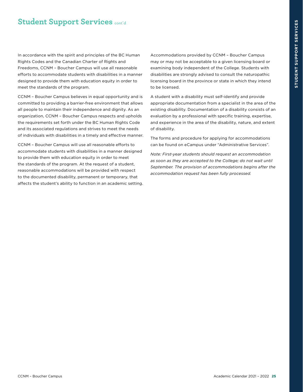# **Student Support Services cont'd**

In accordance with the spirit and principles of the BC Human Rights Codes and the Canadian Charter of Rights and Freedoms, CCNM – Boucher Campus will use all reasonable efforts to accommodate students with disabilities in a manner designed to provide them with education equity in order to meet the standards of the program.

CCNM – Boucher Campus believes in equal opportunity and is committed to providing a barrier-free environment that allows all people to maintain their independence and dignity. As an organization, CCNM – Boucher Campus respects and upholds the requirements set forth under the BC Human Rights Code and its associated regulations and strives to meet the needs of individuals with disabilities in a timely and effective manner.

CCNM – Boucher Campus will use all reasonable efforts to accommodate students with disabilities in a manner designed to provide them with education equity in order to meet the standards of the program. At the request of a student, reasonable accommodations will be provided with respect to the documented disability, permanent or temporary, that affects the student's ability to function in an academic setting. Accommodations provided by CCNM – Boucher Campus may or may not be acceptable to a given licensing board or examining body independent of the College. Students with disabilities are strongly advised to consult the naturopathic licensing board in the province or state in which they intend to be licensed.

A student with a disability must self-identify and provide appropriate documentation from a specialist in the area of the existing disability. Documentation of a disability consists of an evaluation by a professional with specific training, expertise, and experience in the area of the disability, nature, and extent of disability.

The forms and procedure for applying for accommodations can be found on eCampus under "Administrative Services".

*Note: First-year students should request an accommodation as soon as they are accepted to the College; do not wait until September. The provision of accommodations begins after the accommodation request has been fully processed.*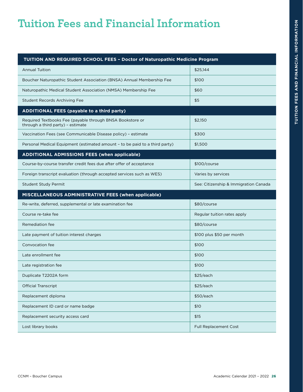<span id="page-26-0"></span>

| TUITION AND REQUIRED SCHOOL FEES - Doctor of Naturopathic Medicine Program |  |
|----------------------------------------------------------------------------|--|
|                                                                            |  |

| <b>Annual Tuition</b>                                                                          | \$25,144                              |
|------------------------------------------------------------------------------------------------|---------------------------------------|
| Boucher Naturopathic Student Association (BNSA) Annual Membership Fee                          | \$100                                 |
| Naturopathic Medical Student Association (NMSA) Membership Fee                                 | \$60                                  |
| <b>Student Records Archiving Fee</b>                                                           | \$5                                   |
| <b>ADDITIONAL FEES (payable to a third party)</b>                                              |                                       |
| Required Textbooks Fee (payable through BNSA Bookstore or<br>through a third party) - estimate | \$2,150                               |
| Vaccination Fees (see Communicable Disease policy) - estimate                                  | \$300                                 |
| Personal Medical Equipment (estimated amount - to be paid to a third party)                    | \$1,500                               |
| <b>ADDITIONAL ADMISSIONS FEES (when applicable)</b>                                            |                                       |
| Course-by-course transfer credit fees due after offer of acceptance                            | \$100/course                          |
| Foreign transcript evaluation (through accepted services such as WES)                          | Varies by services                    |
| <b>Student Study Permit</b>                                                                    | See: Citizenship & Immigration Canada |
| MISCELLANEOUS ADMINISTRATIVE FEES (when applicable)                                            |                                       |
|                                                                                                |                                       |
| Re-write, deferred, supplemental or late examination fee                                       | \$80/course                           |
| Course re-take fee                                                                             | Regular tuition rates apply           |
| Remediation fee                                                                                | \$80/course                           |
| Late payment of tuition interest charges                                                       | \$100 plus \$50 per month             |
| Convocation fee                                                                                | \$100                                 |
| Late enrollment fee                                                                            | \$100                                 |
| Late registration fee                                                                          | \$100                                 |
| Duplicate T2202A form                                                                          | \$25/each                             |
| <b>Official Transcript</b>                                                                     | \$25/each                             |
| Replacement diploma                                                                            | \$50/each                             |
| Replacement ID card or name badge                                                              | \$10                                  |
| Replacement security access card                                                               | \$15                                  |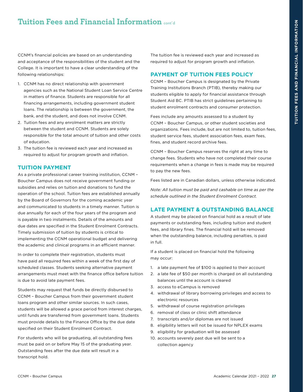<span id="page-27-0"></span>CCNM's financial policies are based on an understanding and acceptance of the responsibilities of the student and the College. It is important to have a clear understanding of the following relationships:

- 1. CCNM has no direct relationship with government agencies such as the National Student Loan Service Centre in matters of finance. Students are responsible for all financing arrangements, including government student loans. The relationship is between the government, the bank, and the student, and does not involve CCNM.
- 2. Tuition fees and any enrolment matters are strictly between the student and CCNM. Students are solely responsible for the total amount of tuition and other costs of education.
- 3. The tuition fee is reviewed each year and increased as required to adjust for program growth and inflation.

#### **TUITION PAYMENT**

As a private professional career training institution, CCNM – Boucher Campus does not receive government funding or subsidies and relies on tuition and donations to fund the operation of the school. Tuition fees are established annually by the Board of Governors for the coming academic year and communicated to students in a timely manner. Tuition is due annually for each of the four years of the program and is payable in two instalments. Details of the amounts and due dates are specified in the Student Enrolment Contracts. Timely submission of tuition by students is critical to implementing the CCNM operational budget and delivering the academic and clinical programs in an efficient manner.

In order to complete their registration, students must have paid all required fees within a week of the first day of scheduled classes. Students seeking alternative payment arrangements must meet with the finance office before tuition is due to avoid late payment fees.

Students may request that funds be directly disbursed to CCNM – Boucher Campus from their government student loans program and other similar sources. In such cases, students will be allowed a grace period from interest charges, until funds are transferred from government loans. Students must provide details to the Finance Office by the due date specified on their Student Enrolment Contract.

For students who will be graduating, all outstanding fees must be paid on or before May 15 of the graduating year. Outstanding fees after the due date will result in a transcript hold.

The tuition fee is reviewed each year and increased as required to adjust for program growth and inflation.

#### **PAYMENT OF TUITION FEES POLICY**

CCNM – Boucher Campus is designated by the Private Training Institutions Branch (PTIB), thereby making our students eligible to apply for financial assistance through Student Aid BC. PTIB has strict guidelines pertaining to student enrolment contracts and consumer protection.

Fees include any amounts assessed to a student by CCNM – Boucher Campus, or other student societies and organizations. Fees include, but are not limited to, tuition fees, student service fees, student association fees, exam fees, fines, and student record archive fees.

CCNM – Boucher Campus reserves the right at any time to change fees. Students who have not completed their course requirements when a change in fees is made may be required to pay the new fees.

Fees listed are in Canadian dollars, unless otherwise indicated.

*Note: All tuition must be paid and cashable on time as per the schedule outlined in the Student Enrolment Contract.* 

#### **LATE PAYMENT & OUTSTANDING BALANCE**

A student may be placed on financial hold as a result of late payments or outstanding fees, including tuition and student fees, and library fines. The financial hold will be removed when the outstanding balance, including penalties, is paid in full.

If a student is placed on financial hold the following may occur:

- 1. a late payment fee of \$100 is applied to their account
- 2. a late fee of \$50 per month is charged on all outstanding balances until the account is cleared
- 3. access to eCampus is removed
- 4. withdrawal of library borrowing privileges and access to electronic resources
- 5. withdrawal of course registration privileges
- 6. removal of class or clinic shift attendance
- 7. transcripts and/or diplomas are not issued
- 8. eligibility letters will not be issued for NPLEX exams
- 9. eligibility for graduation will be assessed
- 10. accounts severely past due will be sent to a collection agency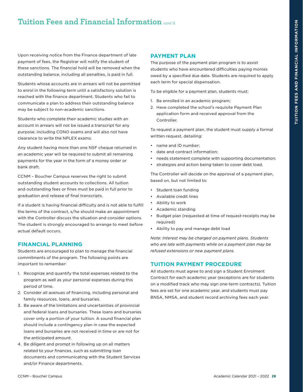<span id="page-28-0"></span>Upon receiving notice from the Finance department of late payment of fees, the Registrar will notify the student of these sanctions. The financial hold will be removed when the outstanding balance, including all penalties, is paid in full.

Students whose accounts are in arrears will not be permitted to enrol in the following term until a satisfactory solution is reached with the finance department. Students who fail to communicate a plan to address their outstanding balance may be subject to non-academic sanctions.

Students who complete their academic studies with an account in arrears will not be issued a transcript for any purpose, including CONO exams and will also not have clearance to write the NPLEX exams.

Any student having more than one NSF cheque returned in an academic year will be required to submit all remaining payments for the year in the form of a money order or bank draft.

CCNM – Boucher Campus reserves the right to submit outstanding student accounts to collections. All tuition and outstanding fees or fines must be paid in full prior to graduation and release of final transcripts.

If a student is having financial difficulty and is not able to fulfill the terms of the contract, s/he should make an appointment with the Controller discuss the situation and consider options. The student is strongly encouraged to arrange to meet before actual default occurs.

## **FINANCIAL PLANNING**

Students are encouraged to plan to manage the financial commitments of the program. The following points are important to remember:

- 1. Recognize and quantify the total expenses related to the program as well as your personal expenses during this period of time.
- 2. Consider all avenues of financing, including personal and family resources, loans, and bursaries.
- 3. Be aware of the limitations and uncertainties of provincial and federal loans and bursaries. These loans and bursaries cover only a portion of your tuition. A sound financial plan should include a contingency plan in case the expected loans and bursaries are not received in time or are not for the anticipated amount.
- 4. Be diligent and prompt in following up on all matters related to your finances, such as submitting loan documents and communicating with the Student Services and/or Finance departments.

## **PAYMENT PLAN**

The purpose of the payment plan program is to assist students who have encountered difficulties paying monies owed by a specified due date. Students are required to apply each term for special dispensation.

To be eligible for a payment plan, students must:

- 1. Be enrolled in an academic program;
- 2. Have completed the school's requisite Payment Plan application form and received approval from the Controller.

To request a payment plan, the student must supply a formal written request, detailing:

- name and ID number;
- date and contract information:
- needs statement complete with supporting documentation;
- strategies and action being taken to cover debt load.

The Controller will decide on the approval of a payment plan, based on, but not limited to:

- Student loan funding
- Available credit lines
- Ability to work
- Academic standing
- Budget plan (requested at time of request-receipts may be required)
- Ability to pay and manage debt load

*Note: Interest may be charged on payment plans. Students who are late with payments while on a payment plan may be refused extensions or new payment plans.* 

#### **TUITION PAYMENT PROCEDURE**

All students must agree to and sign a Student Enrolment Contract for each academic year (exceptions are for students on a modified track who may sign one-term contracts). Tuition fees are set for one academic year, and students must pay BNSA, NMSA, and student record archiving fees each year.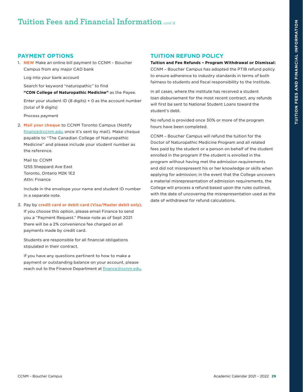## **PAYMENT OPTIONS**

1. **NEW** Make an online bill payment to CCNM – Boucher Campus from any major CAD bank

Log into your bank account

Search for keyword "naturopathic" to find **"CDN College of Naturopathic Medicine"** as the Payee.

Enter your student ID (8 digits) + 0 as the account number (total of 9 digits)

Process payment

2. **Mail your cheque** to CCNM Toronto Campus (Notify [finance@ccnm.edu](mailto:finance%40ccnm.edu?subject=) once it's sent by mail). Make cheque payable to "The Canadian College of Naturopathic Medicine" and please include your student number as the reference.

Mail to: CCNM 1255 Sheppard Ave East Toronto, Ontario M2K 1E2 Attn: Finance

Include in the envelope your name and student ID number in a separate note.

#### 3. Pay by **credit card or debit card (Visa/Master debit only)**.

If you choose this option, please email Finance to send you a "Payment Request." Please note as of Sept 2021 there will be a 2% convenience fee charged on all payments made by credit card.

Students are responsible for all financial obligations stipulated in their contract.

If you have any questions pertinent to how to make a payment or outstanding balance on your account, please reach out to the Finance Department at [finance@ccnm.edu.](mailto:finance%40ccnm.edu?subject=)

## **TUITION REFUND POLICY**

**Tuition and Fee Refunds – Program Withdrawal or Dismissal:**  CCNM – Boucher Campus has adopted the PTIB refund policy to ensure adherence to industry standards in terms of both fairness to students and fiscal responsibility to the Institute.

In all cases, where the institute has received a student loan disbursement for the most recent contract, any refunds will first be sent to National Student Loans toward the student's debt.

No refund is provided once 30% or more of the program hours have been completed.

CCNM – Boucher Campus will refund the tuition for the Doctor of Naturopathic Medicine Program and all related fees paid by the student or a person on behalf of the student enrolled in the program if the student is enrolled in the program without having met the admission requirements and did not misrepresent his or her knowledge or skills when applying for admission; in the event that the College uncovers a material misrepresentation of admission requirements, the College will process a refund based upon the rules outlined, with the date of uncovering the misrepresentation used as the date of withdrawal for refund calculations.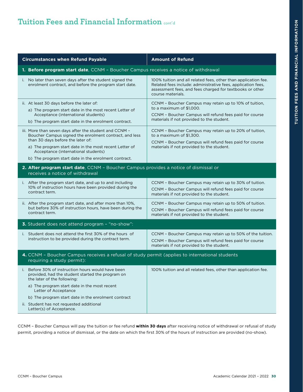| <b>Circumstances when Refund Payable</b>                                                                                                                                                                                                                                                                       | <b>Amount of Refund</b>                                                                                                                                                                                         |  |
|----------------------------------------------------------------------------------------------------------------------------------------------------------------------------------------------------------------------------------------------------------------------------------------------------------------|-----------------------------------------------------------------------------------------------------------------------------------------------------------------------------------------------------------------|--|
| 1. Before program start date, CCNM - Boucher Campus receives a notice of withdrawal                                                                                                                                                                                                                            |                                                                                                                                                                                                                 |  |
| i. No later than seven days after the student signed the<br>enrolment contract, and before the program start date.                                                                                                                                                                                             | 100% tuition and all related fees, other than application fee.<br>Related fees include: administrative fees, application fees,<br>assessment fees, and fees charged for textbooks or other<br>course materials. |  |
| ii. At least 30 days before the later of:<br>a) The program start date in the most recent Letter of<br>Acceptance (international students)<br>b) The program start date in the enrolment contract.                                                                                                             | CCNM - Boucher Campus may retain up to 10% of tuition,<br>to a maximum of \$1,000.<br>CCNM - Boucher Campus will refund fees paid for course<br>materials if not provided to the student.                       |  |
| iii. More than seven days after the student and CCNM -<br>Boucher Campus signed the enrolment contract, and less<br>than 30 days before the later of:<br>a) The program start date in the most recent Letter of<br>Acceptance (international students)<br>b) The program start date in the enrolment contract. | CCNM - Boucher Campus may retain up to 20% of tuition,<br>to a maximum of \$1,300.<br>CCNM - Boucher Campus will refund fees paid for course<br>materials if not provided to the student.                       |  |
| 2. After program start date, CCNM - Boucher Campus provides a notice of dismissal or<br>receives a notice of withdrawal                                                                                                                                                                                        |                                                                                                                                                                                                                 |  |
| i. After the program start date, and up to and including<br>10% of instruction hours have been provided during the<br>contract term.                                                                                                                                                                           | CCNM - Boucher Campus may retain up to 30% of tuition.<br>CCNM - Boucher Campus will refund fees paid for course<br>materials if not provided to the student.                                                   |  |
| ii. After the program start date, and after more than 10%,<br>but before 30% of instruction hours, have been during the<br>contract term.                                                                                                                                                                      | CCNM - Boucher Campus may retain up to 50% of tuition.<br>CCNM - Boucher Campus will refund fees paid for course<br>materials if not provided to the student.                                                   |  |
| 3. Student does not attend program - "no-show":                                                                                                                                                                                                                                                                |                                                                                                                                                                                                                 |  |
| i. Student does not attend the first 30% of the hours of<br>instruction to be provided during the contract term.                                                                                                                                                                                               | CCNM - Boucher Campus may retain up to 50% of the tuition.<br>CCNM - Boucher Campus will refund fees paid for course<br>materials if not provided to the student.                                               |  |
| 4. CCNM - Boucher Campus receives a refusal of study permit (applies to international students<br>requiring a study permit):                                                                                                                                                                                   |                                                                                                                                                                                                                 |  |
| i. Before 30% of instruction hours would have been<br>provided, had the student started the program on<br>the later of the following:                                                                                                                                                                          | 100% tuition and all related fees, other than application fee.                                                                                                                                                  |  |
| a) The program start date in the most recent<br>Letter of Acceptance                                                                                                                                                                                                                                           |                                                                                                                                                                                                                 |  |
| b) The program start date in the enrolment contract                                                                                                                                                                                                                                                            |                                                                                                                                                                                                                 |  |
| ii. Student has not requested additional<br>Letter(s) of Acceptance.                                                                                                                                                                                                                                           |                                                                                                                                                                                                                 |  |

CCNM – Boucher Campus will pay the tuition or fee refund **within 30 days** after receiving notice of withdrawal or refusal of study permit, providing a notice of dismissal, or the date on which the first 30% of the hours of instruction are provided (no-show).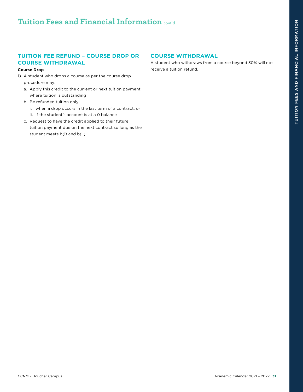# <span id="page-31-0"></span>**TUITION FEE REFUND – COURSE DROP OR COURSE WITHDRAWAL**

#### **Course Drop**

- 1) A student who drops a course as per the course drop procedure may:
	- a. Apply this credit to the current or next tuition payment, where tuition is outstanding
	- b. Be refunded tuition only
		- i. when a drop occurs in the last term of a contract, or ii. if the student's account is at a 0 balance
	- c. Request to have the credit applied to their future tuition payment due on the next contract so long as the student meets b(i) and b(ii).

# **COURSE WITHDRAWAL**

A student who withdraws from a course beyond 30% will not receive a tuition refund.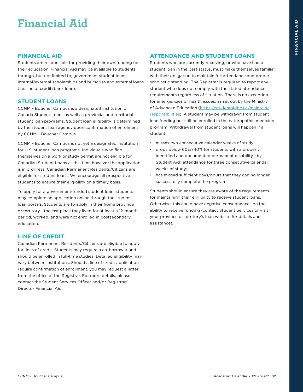# <span id="page-32-0"></span>**Financial Aid**

#### **FINANCIAL AID**

Students are responsible for providing their own funding for their education. Financial Aid may be available to students through, but not limited to, government student loans, internal/external scholarships and bursaries and external loans (i.e. line of credit/bank loan).

#### **STUDENT LOANS**

CCNM – Boucher Campus is a designated institution of Canada Student Loans as well as provincial and territorial student loan programs. Student loan eligibility is determined by the student loan agency upon confirmation of enrolment by CCNM – Boucher Campus.

CCNM – Boucher Campus is not yet a designated institution for U.S. student loan programs. Individuals who find themselves on a work or study permit are not eligible for Canadian Student Loans at this time however the application is in progress. Canadian Permanent Residents/Citizens are eligible for student loans. We encourage all prospective students to ensure their eligibility on a timely basis.

To apply for a government-funded student loan, students may complete an application online through the student loan portals. Students are to apply in their home province or territory - the last place they lived for at least a 12-month period, worked, and were not enrolled in postsecondary education.

#### **LINE OF CREDIT**

Canadian Permanent Residents/Citizens are eligible to apply for lines of credit. Students may require a co-borrower and should be enrolled in full-time studies. Detailed eligibility may vary between institutions. Should a line of credit application require confirmation of enrollment, you may request a letter from the office of the Registrar. For more details, please contact the Student Services Officer and/or Registrar/ Director Financial Aid.

#### **ATTENDANCE AND STUDENT LOANS**

Students who are currently receiving, or who have had a student loan in the past status, must make themselves familiar with their obligation to maintain full attendance and proper scholastic standing. The Registrar is required to report any student who does not comply with the stated attendance requirements regardless of situation. There is no exception for emergencies or health issues, as set out by the Ministry of Advanced Education [\(https://studentaidbc.ca/maintain/](https://studentaidbc.ca/maintain/responsibilities) [responsibilities](https://studentaidbc.ca/maintain/responsibilities)). A student may be withdrawn from student loan funding but still be enrolled in the naturopathic medicine program. Withdrawal from student loans will happen if a student:

- misses two consecutive calendar weeks of study;
- drops below 60% (40% for students with a properly identified and documented permanent disability—by Student Aid) attendance for three consecutive calendar weeks of study;
- has missed sufficient days/hours that they can no longer successfully complete the program.

Students should ensure they are aware of the requirements for maintaining their eligibility to receive student loans. Otherwise, this could have negative consequences on the ability to receive funding (contact Student Services or visit your province or territory's loan website for details and assistance).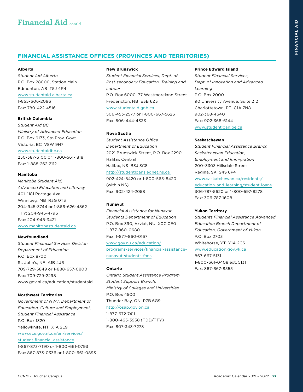### <span id="page-33-0"></span>**FINANCIAL ASSISTANCE OFFICES (PROVINCES AND TERRITORIES)**

#### **Alberta**

*Student Aid Alberta*  P.O. Box 28000, Station Main Edmonton, AB T5J 4R4 [www.studentaid.alberta.ca](https://studentaid.alberta.ca/) 1-855-606-2096 Fax: 780-422-4516

#### **British Columbia**

*Student Aid BC, Ministry of Advanced Education*  P.O. Box 9173, Stn Prov. Govt. Victoria, BC V8W 9H7 [www.studentaidbc.ca](https://studentaidbc.ca/) 250-387-6100 or 1-800-561-1818 Fax: 1-888-262-2112

#### **Manitoba**

*Manitoba Student Aid, Advanced Education and Literacy* 401–1181 Portage Ave. Winnipeg, MB R3G 0T3 204-945-3744 or 1-866-626-4862 TTY: 204-945-4796 Fax: 204-948-3421 [www.manitobastudentaid.ca](https://www.edu.gov.mb.ca/msa/)

#### **Newfoundland**

*Student Financial Services Division Department of Education*  P.O. Box 8700 St. John's, NF A1B 4J6 709-729-5849 or 1-888-657-0800 Fax: 709-729-2298 [www.gov.nl.ca/education/studentaid](https://www.gov.nl.ca/education/studentaid/)

#### **Northwest Territories**

*Government of NWT, Department of Education, Culture and Employment, Student Financial Assistance*  P.O. Box 1320 Yellowknife, NT X1A 2L9 [www.ece.gov.nt.ca/en/services/](https://www.ece.gov.nt.ca/en/services/student-financial-assistance) [student-financial-assistance](https://www.ece.gov.nt.ca/en/services/student-financial-assistance) 1-867-873-7190 or 1-800-661-0793 Fax: 867-873-0336 or 1-800-661-0893

#### **New Brunswick**

*Student Financial Services, Dept. of Post-secondary Education, Training and Labour*  P.O. Box 6000, 77 Westmoreland Street Fredericton, NB E3B 6Z3 [www.studentaid.gnb.ca](https://www2.gnb.ca/content/gnb/en/departments/post-secondary_education_training_and_labour/Skills/content/FinancialSupport/StudentFinancialServices.html)  506-453-2577 or 1-800-667-5626 Fax: 506-444-4333

#### **Nova Scotia**

*Student Assistance Office Department of Education*  2021 Brunswick Street, P.O. Box 2290, Halifax Central Halifax, NS B3J 3C8 [http://studentloans.ednet.ns.ca](https://novascotia.ca/studentassistance/)  902-424-8420 or 1-800-565-8420 (within NS)

Fax: 902-424-2058

#### **Nunavut**

*Financial Assistance for Nunavut Students Department of Education* P.O. Box 390, Arviat, NU X0C 0E0 1-877-860-0680 Fax: 1-877-860-0167 [www.gov.nu.ca/education/](https://www.gov.nu.ca/education/programs-services/financial-assistance-nunavut-students-fans) [programs-services/financial-assistance](https://www.gov.nu.ca/education/programs-services/financial-assistance-nunavut-students-fans)[nunavut-students-fans](https://www.gov.nu.ca/education/programs-services/financial-assistance-nunavut-students-fans)

#### **Ontario**

*Ontario Student Assistance Program, Student Support Branch, Ministry of Colleges and Universities* P.O. Box 4500 Thunder Bay, ON P7B 6G9 [http://osap.gov.on.ca](https://www.ontario.ca/page/osap-ontario-student-assistance-program) 

1-877-672-7411 1-800-465-3958 (TDD/TTY) Fax: 807-343-7278

#### **Prince Edward Island**

*Student Financial Services, Dept. of Innovation and Advanced Learning*  P.O. Box 2000 90 University Avenue, Suite 212 Charlottetown, PE C1A 7N8 902-368-4640 Fax: 902-368-6144 [www.studentloan.pe.ca](https://www.princeedwardisland.ca/en/topic/student-loans-bursaries-grants-and-awards?utm_source=redirect&utm_medium=url&utm_campaign=studentloans)

#### **Saskatchewan**

*Student Financial Assistance Branch Saskatchewan Education, Employment and Immigration* 200–3303 Hillsdale Street Regina, SK S4S 6P4 [www.saskatchewan.ca/residents/](www.saskatchewan.ca/residents/education-and-learning/student-loans) [education-and-learning/student-loans](www.saskatchewan.ca/residents/education-and-learning/student-loans) 306-787-5620 or 1-800-597-8278 Fax: 306-787-1608

#### **Yukon Territory**

*Students Financial Assistance Advanced Education Branch Department of Education, Government of Yukon* P.O. Box 2703 Whitehorse, YT Y1A 2C6 [www.education.gov.yk.ca](https://yukon.ca/en/education-and-schools)  867-667-5131 1-800-661-0408 ext. 5131 Fax: 867-667-8555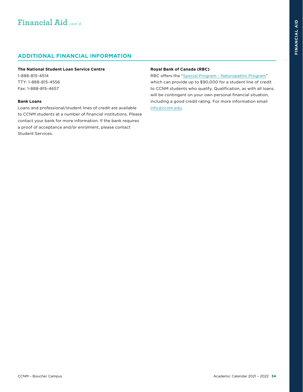#### <span id="page-34-0"></span>**The National Student Loan Service Centre**

1-888-815-4514 TTY: 1-888-815-4556 Fax: 1-888-815-4657

#### **Bank Loans**

Loans and professional/student lines of credit are available to CCNM students at a number of financial institutions. Please contact your bank for more information. If the bank requires a proof of acceptance and/or enrolment, please contact Student Services.

#### **Royal Bank of Canada (RBC)**

RBC offers the "[Special Program – Naturopathic Program"](http://www.rbcroyalbank.com/services/student/health-sciences-credit.html) which can provide up to \$90,000 for a student line of credit to CCNM students who qualify. Qualification, as with all loans, will be contingent on your own personal financial situation, including a good credit rating. For more information email [info@ccnm.edu.](mailto:info%40ccnm.edu?subject=)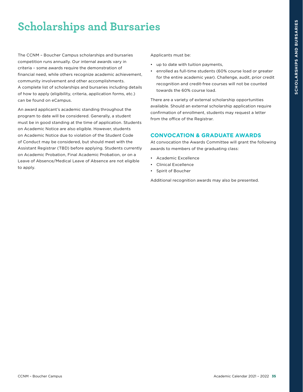# <span id="page-35-0"></span>**Scholarships and Bursaries**

The CCNM – Boucher Campus scholarships and bursaries competition runs annually. Our internal awards vary in criteria – some awards require the demonstration of financial need, while others recognize academic achievement, community involvement and other accomplishments. A complete list of scholarships and bursaries including details of how to apply (eligibility, criteria, application forms, etc.) can be found on eCampus.

An award applicant's academic standing throughout the program to date will be considered. Generally, a student must be in good standing at the time of application. Students on Academic Notice are also eligible. However, students on Academic Notice due to violation of the Student Code of Conduct may be considered, but should meet with the Assistant Registrar (TBD) before applying. Students currently on Academic Probation, Final Academic Probation, or on a Leave of Absence/Medical Leave of Absence are not eligible to apply.

Applicants must be:

- up to date with tuition payments,
- enrolled as full-time students (60% course load or greater for the entire academic year). Challenge, audit, prior credit recognition and credit-free courses will not be counted towards the 60% course load.

There are a variety of external scholarship opportunities available. Should an external scholarship application require confirmation of enrollment, students may request a letter from the office of the Registrar.

#### **CONVOCATION & GRADUATE AWARDS**

At convocation the Awards Committee will grant the following awards to members of the graduating class:

- Academic Excellence
- Clinical Excellence
- Spirit of Boucher

Additional recognition awards may also be presented.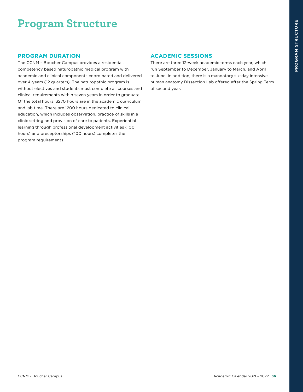# **Program Structure**

#### **PROGRAM DURATION**

The CCNM – Boucher Campus provides a residential, competency based naturopathic medical program with academic and clinical components coordinated and delivered over 4-years (12 quarters). The naturopathic program is without electives and students must complete all courses and clinical requirements within seven years in order to graduate. Of the total hours, 3270 hours are in the academic curriculum and lab time. There are 1200 hours dedicated to clinical education, which includes observation, practice of skills in a clinic setting and provision of care to patients. Experiential learning through professional development activities (100 hours) and preceptorships (100 hours) completes the program requirements.

#### **ACADEMIC SESSIONS**

There are three 12-week academic terms each year, which run September to December, January to March, and April to June. In addition, there is a mandatory six-day intensive human anatomy Dissection Lab offered after the Spring Term of second year.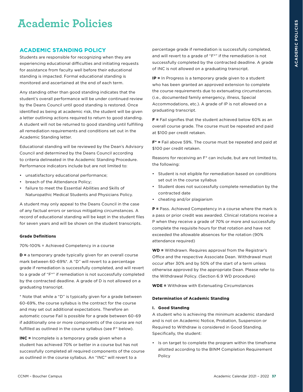# **Academic Policies**

#### **ACADEMIC STANDING POLICY**

Students are responsible for recognizing when they are experiencing educational difficulties and initiating requests for assistance from faculty well before their educational standing is impacted. Formal educational standing is monitored and ascertained at the end of each term.

Any standing other than good standing indicates that the student's overall performance will be under continued review by the Deans Council until good standing is restored. Once identified as being at academic risk, the student will be given a letter outlining actions required to return to good standing. A student will not be returned to good standing until fulfilling all remediation requirements and conditions set out in the Academic Standing letter.

Educational standing will be reviewed by the Dean's Advisory Council and determined by the Deans Council according to criteria delineated in the Academic Standing Procedure. Performance indicators include but are not limited to:

- unsatisfactory educational performance;
- breach of the Attendance Policy;
- failure to meet the Essential Abilities and Skills of Naturopathic Medical Students and Physicians Policy.

A student may only appeal to the Deans Council in the case of any factual errors or serious mitigating circumstances. A record of educational standing will be kept in the student files for seven years and will be shown on the student transcripts.

#### **Grade Definitions**

70%-100% = Achieved Competency in a course

**D =** a temporary grade typically given for an overall course mark between 60-69%\*. A "D" will revert to a percentage grade if remediation is successfully completed, and will revert to a grade of "F\*" if remediation is not successfully completed by the contracted deadline. A grade of D is not allowed on a graduating transcript.

\* Note that while a "D" is typically given for a grade between 60-69%, the course syllabus is the contract for the course and may set out additional expectations. Therefore an automatic course Fail is possible for a grade between 60-69 if additionally one or more components of the course are not fulfilled as outlined in the course syllabus (see F\* below).

**INC =** Incomplete is a temporary grade given when a student has achieved 70% or better in a course but has not successfully completed all required components of the course as outlined in the course syllabus. An "INC" will revert to a

percentage grade if remediation is successfully completed, and will revert to a grade of "F\*" if the remediation is not successfully completed by the contracted deadline. A grade of INC is not allowed on a graduating transcript.

**IP =** In Progress is a temporary grade given to a student who has been granted an approved extension to complete the course requirements due to extenuating circumstances. (i.e., documented family emergency, illness, Special Accommodations, etc.). A grade of IP is not allowed on a graduating transcript.

**F =** Fail signifies that the student achieved below 60% as an overall course grade. The course must be repeated and paid at \$100 per credit retaken.

**F\* =** Fail above 59%. The course must be repeated and paid at \$100 per credit retaken.

Reasons for receiving an F\* can include, but are not limited to, the following:

- Student is not eligible for remediation based on conditions set out in the course syllabus
- Student does not successfully complete remediation by the contracted date
- cheating and/or plagiarism

**P =** Pass. Achieved Competency in a course where the mark is a pass or prior credit was awarded. Clinical rotations receive a P when they receive a grade of 70% or more and successfully complete the requisite hours for that rotation and have not exceeded the allowable absences for the rotation (90% attendance required)

**WD =** Withdrawn. Requires approval from the Registrar's Office and the respective Associate Dean. Withdrawal must occur after 30% and by 50% of the start of a term unless otherwise approved by the appropriate Dean. Please refer to the Withdrawal Policy. (Section 6.9 WD procedure)

**WDE =** Withdraw with Extenuating Circumstances

#### **Determination of Academic Standing**

#### **I. Good Standing**

A student who is achieving the minimum academic standard and is not on Academic Notice, Probation, Suspension or Required to Withdraw is considered in Good Standing. Specifically, the student:

• Is on target to complete the program within the timeframe allotted according to the BINM Completion Requirement Policy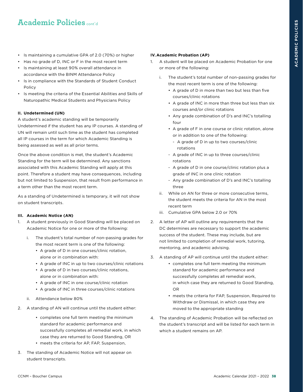- Is maintaining a cumulative GPA of 2.0 (70%) or higher
- Has no grade of D, INC or F in the most recent term
- Is maintaining at least 90% overall attendance in accordance with the BINM Attendance Policy
- Is in compliance with the Standards of Student Conduct Policy
- Is meeting the criteria of the Essential Abilities and Skills of Naturopathic Medical Students and Physicians Policy

#### **II. Undetermined (UN)**

A student's academic standing will be temporarily Undetermined if the student has any IP courses. A standing of UN will remain until such time as the student has completed all IP courses in the term for which Academic Standing is being assessed as well as all prior terms.

Once the above condition is met, the student's Academic Standing for the term will be determined. Any sanctions associated with this Academic Standing will apply at this point. Therefore a student may have consequences, including but not limited to Suspension, that result from performance in a term other than the most recent term.

As a standing of Undetermined is temporary, it will not show on student transcripts.

#### **III. Academic Notice (AN)**

- 1. A student previously in Good Standing will be placed on Academic Notice for one or more of the following:
	- i. The student's total number of non-passing grades for the most recent term is one of the following:
		- A grade of D in one courses/clinic rotation, alone or in combination with:
		- A grade of INC in up to two courses/clinic rotations
		- A grade of D in two courses/clinic rotations, alone or in combination with:
		- A grade of INC in one course/clinic rotation
		- A grade of INC in three courses/clinic rotations
	- ii. Attendance below 80%
- 2. A standing of AN will continue until the student either:
	- completes one full term meeting the minimum standard for academic performance and successfully completes all remedial work, in which case they are returned to Good Standing, OR • meets the criteria for AP, FAP, Suspension,
- 3. The standing of Academic Notice will not appear on student transcripts.

#### **IV.Academic Probation (AP)**

- 1. A student will be placed on Academic Probation for one or more of the following:
	- i. The student's total number of non-passing grades for the most recent term is one of the following:
		- A grade of D in more than two but less than five courses/clinic rotations
		- A grade of INC in more than three but less than six courses and/or clinic rotations
		- Any grade combination of D's and INC's totalling four
		- A grade of F in one course or clinic rotation, alone or in addition to one of the following:
			- A grade of D in up to two courses/clinic rotations
		- A grade of INC in up to three courses/clinic rotations
		- A grade of D in one course/clinic rotation plus a grade of INC in one clinic rotation
		- Any grade combination of D's and INC's totalling three
	- ii. While on AN for three or more consecutive terms, the student meets the criteria for AN in the most recent term
	- iii. Cumulative GPA below 2.0 or 70%
- 2. A letter of AP will outline any requirements that the DC determines are necessary to support the academic success of the student. These may include, but are not limited to completion of remedial work, tutoring, mentoring, and academic advising.
- 3. A standing of AP will continue until the student either:
	- completes one full term meeting the minimum standard for academic performance and successfully completes all remedial work, in which case they are returned to Good Standing, OR
		- meets the criteria for FAP, Suspension, Required to Withdraw or Dismissal, in which case they are moved to the appropriate standing
- 4. The standing of Academic Probation will be reflected on the student's transcript and will be listed for each term in which a student remains on AP.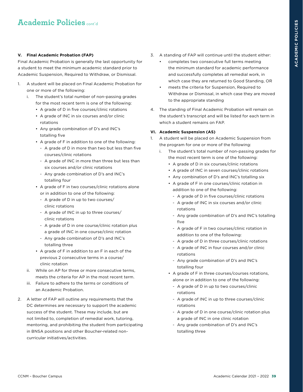#### **V. Final Academic Probation (FAP)**

Final Academic Probation is generally the last opportunity for a student to meet the minimum academic standard prior to Academic Suspension, Required to Withdraw, or Dismissal.

- 1. A student will be placed on Final Academic Probation for one or more of the following:
	- i. The student's total number of non-passing grades for the most recent term is one of the following:
		- A grade of D in five courses/clinic rotations
		- A grade of INC in six courses and/or clinic rotations
		- Any grade combination of D's and INC's totalling five
		- A grade of F in addition to one of the following:
			- A grade of D in more than two but less than five courses/clinic rotations
			- A grade of INC in more than three but less than six courses and/or clinic rotations
			- Any grade combination of D's and INC's totalling four
		- A grade of F in two courses/clinic rotations alone or in addition to one of the following:
			- A grade of D in up to two courses/ clinic rotations
			- A grade of INC in up to three courses/ clinic rotations
			- A grade of D in one course/clinic rotation plus a grade of INC in one course/clinic rotation
			- Any grade combination of D's and INC's totalling three
		- A grade of F in addition to an F in each of the previous 2 consecutive terms in a course/ clinic rotation
	- ii. While on AP for three or more consecutive terms, meets the criteria for AP in the most recent term.
	- iii. Failure to adhere to the terms or conditions of an Academic Probation.
- 2. A letter of FAP will outline any requirements that the DC determines are necessary to support the academic success of the student. These may include, but are not limited to, completion of remedial work, tutoring, mentoring, and prohibiting the student from participating in BNSA positions and other Boucher-related noncurricular initiatives/activities.
- 3. A standing of FAP will continue until the student either:
	- completes two consecutive full terms meeting the minimum standard for academic performance and successfully completes all remedial work, in which case they are returned to Good Standing, OR
	- meets the criteria for Suspension, Required to Withdraw or Dismissal, in which case they are moved to the appropriate standing
- 4. The standing of Final Academic Probation will remain on the student's transcript and will be listed for each term in which a student remains on FAP.

#### **VI. Academic Suspension (AS)**

- A student will be placed on Academic Suspension from the program for one or more of the following:
	- i. The student's total number of non-passing grades for the most recent term is one of the following:
		- A grade of D in six courses/clinic rotations
		- A grade of INC in seven courses/clinic rotations
		- Any combination of D's and INC's totalling six
		- A grade of F in one courses/clinic rotation in addition to one of the following:
			- A grade of D in five courses/clinic rotations
			- A grade of INC in six courses and/or clinic rotations
			- Any grade combination of D's and INC's totalling five
			- A grade of F in two courses/clinic rotation in addition to one of the following:
			- A grade of D in three courses/clinic rotations
			- A grade of INC in four courses and/or clinic rotations
			- Any grade combination of D's and INC's totalling four
		- A grade of F in three courses/courses rotations, alone or in addition to one of the following:
			- A grade of D in up to two courses/clinic rotations
			- A grade of INC in up to three courses/clinic rotations
			- A grade of D in one course/clinic rotation plus a grade of INC in one clinic rotation
			- Any grade combination of D's and INC's totalling three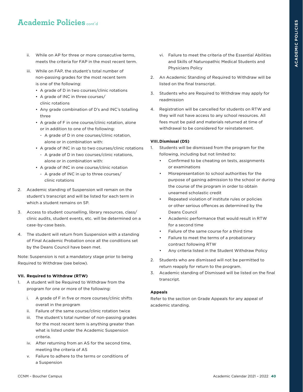- ii. While on AP for three or more consecutive terms, meets the criteria for FAP in the most recent term.
- iii. While on FAP, the student's total number of non-passing grades for the most recent term is one of the following:
	- A grade of D in two courses/clinic rotations
	- A grade of INC in three courses/ clinic rotations
	- Any grade combination of D's and INC's totalling three
	- A grade of F in one course/clinic rotation, alone or in addition to one of the following:
		- A grade of D in one courses/clinic rotation, alone or in combination with:
	- A grade of INC in up to two courses/clinic rotations
		- A grade of D in two courses/clinic rotations, alone or in combination with:
	- A grade of INC in one course/clinic rotation
		- A grade of INC in up to three courses/ clinic rotations
- 2. Academic standing of Suspension will remain on the student's transcript and will be listed for each term in which a student remains on SP.
- 3. Access to student counselling, library resources, class/ clinic audits, student events, etc. will be determined on a case-by-case basis.
- 4. The student will return from Suspension with a standing of Final Academic Probation once all the conditions set by the Deans Council have been met.

Note: Suspension is not a mandatory stage prior to being Required to Withdraw (see below).

#### **VII. Required to Withdraw (RTW)**

- 1. A student will be Required to Withdraw from the program for one or more of the following:
	- i. A grade of F in five or more courses/clinic shifts overall in the program
	- ii. Failure of the same course/clinic rotation twice
	- iii. The student's total number of non-passing grades for the most recent term is anything greater than what is listed under the Academic Suspension criteria.
	- iv. After returning from an AS for the second time, meeting the criteria of AS
	- v. Failure to adhere to the terms or conditions of a Suspension
- vi. Failure to meet the criteria of the Essential Abilities and Skills of Naturopathic Medical Students and Physicians Policy
- 2. An Academic Standing of Required to Withdraw will be listed on the final transcript.
- 3. Students who are Required to Withdraw may apply for readmission
- 4. Registration will be cancelled for students on RTW and they will not have access to any school resources. All fees must be paid and materials returned at time of withdrawal to be considered for reinstatement.

#### **VIII.Dismissal (DS)**

- 1. Students will be dismissed from the program for the following, including but not limited to:
	- Confirmed to be cheating on tests, assignments or examinations
	- Misrepresentation to school authorities for the purpose of gaining admission to the school or during the course of the program in order to obtain unearned scholastic credit
	- Repeated violation of institute rules or policies or other serious offences as determined by the Deans Council
	- Academic performance that would result in RTW for a second time
	- Failure of the same course for a third time
	- Failure to meet the terms of a probationary contract following RTW
	- Any criteria listed in the Student Withdraw Policy
- 2. Students who are dismissed will not be permitted to return reapply for return to the program.
- 3. Academic standing of Dismissed will be listed on the final transcript.

#### **Appeals**

Refer to the section on Grade Appeals for any appeal of academic standing.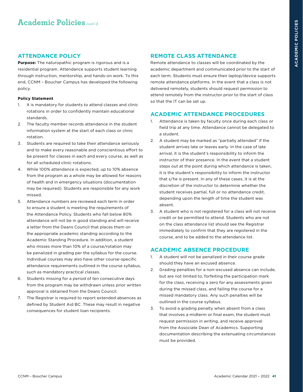#### **ATTENDANCE POLICY**

**Purpose:** The naturopathic program is rigorous and is a residential program. Attendance supports student learning through instruction, mentorship, and hands-on work. To this end, CCNM – Boucher Campus has developed the following policy.

#### **Policy Statement**

- 1. It is mandatory for students to attend classes and clinic rotations in order to confidently maintain educational standards.
- 2. The faculty member records attendance in the student information system at the start of each class or clinic rotation.
- 3. Students are required to take their attendance seriously and to make every reasonable and conscientious effort to be present for classes in each and every course, as well as for all scheduled clinic rotations.
- 4. While 100% attendance is expected, up to 10% absence from the program as a whole may be allowed for reasons of health and in emergency situations (documentation may be required). Students are responsible for any work missed.
- 5. Attendance numbers are reviewed each term in order to ensure a student is meeting the requirements of the Attendance Policy. Students who fall below 80% attendance will not be in good standing and will receive a letter from the Deans Council that places them on the appropriate academic standing according to the Academic Standing Procedure. In addition, a student who misses more than 10% of a course/rotation may be penalized in grading per the syllabus for the course. Individual courses may also have other course-specific attendance requirements outlined in the course syllabus, such as mandatory practical classes.
- 6. Students missing for a period of ten consecutive days from the program may be withdrawn unless prior written approval is obtained from the Deans Council.
- 7. The Registrar is required to report extended absences as defined by Student Aid BC. These may result in negative consequences for student loan recipients.

#### **REMOTE CLASS ATTENDANCE**

Remote attendance to classes will be coordinated by the academic department and communicated prior to the start of each term. Students must ensure their laptop/device supports remote attendance platforms. In the event that a class is not delivered remotely, students should request permission to attend remotely from the instructor prior to the start of class so that the IT can be set up.

#### **ACADEMIC ATTENDANCE PROCEDURES**

- 1. Attendance is taken by faculty once during each class or field trip at any time. Attendance cannot be delegated to a student.
- 2. A student may be marked as "partially attended" if the student arrives late or leaves early. In the case of late arrival, it is the student's responsibility to inform the instructor of their presence. In the event that a student steps out at the point during which attendance is taken, it is the student's responsibility to inform the instructor that s/he is present. In any of these cases, it is at the discretion of the instructor to determine whether the student receives partial, full or no attendance credit, depending upon the length of time the student was absent.
- 3. A student who is not registered for a class will not receive credit or be permitted to attend. Students who are not on the class attendance list should see the Registrar immediately to confirm that they are registered in the course, and to be added to the attendance list.

#### **ACADEMIC ABSENCE PROCEDURE**

- 1. A student will not be penalized in their course grade should they have an excused absence.
- 2. Grading penalties for a non-excused absence can include, but are not limited to, forfeiting the participation mark for the class, receiving a zero for any assessments given during the missed class, and failing the course for a missed mandatory class. Any such penalties will be outlined in the course syllabus.
- 3. To avoid a grading penalty when absent from a class that involves a midterm or final exam, the student must request permission in writing, and receive approval from the Associate Dean of Academics. Supporting documentation describing the extenuating circumstances must be provided.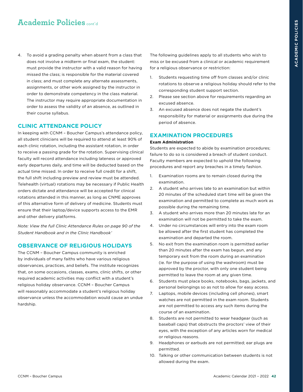4. To avoid a grading penalty when absent from a class that does not involve a midterm or final exam, the student: must provide the instructor with a valid reason for having missed the class; is responsible for the material covered in class; and must complete any alternate assessments, assignments, or other work assigned by the instructor in order to demonstrate competency in the class material. The instructor may require appropriate documentation in order to assess the validity of an absence, as outlined in their course syllabus.

#### **CLINIC ATTENDANCE POLICY**

In keeping with CCNM – Boucher Campus's attendance policy, all student clinicians will be required to attend at least 90% of each clinic rotation, including the assistant rotation, in order to receive a passing grade for the rotation. Supervising clinical faculty will record attendance including lateness or approved early departures daily, and time will be deducted based on the actual time missed. In order to receive full credit for a shift, the full shift including preview and review must be attended. Telehealth (virtual) rotations may be necessary if Public Health orders dictate and attendance will be accepted for clinical rotations attended in this manner, as long as CNME approves of this alternative form of delivery of medicine. Students must ensure that their laptop/device supports access to the EMR and other delivery platforms.

*Note: View the full Clinic Attendance Rules on page 90 of the Student Handbook and in the Clinic Handbook'* 

#### **OBSERVANCE OF RELIGIOUS HOLIDAYS**

The CCNM – Boucher Campus community is enriched by individuals of many faiths who have various religious observances, practices, and beliefs. The institute recognizes that, on some occasions, classes, exams, clinic shifts, or other required academic activities may conflict with a student's religious holiday observance. CCNM – Boucher Campus will reasonably accommodate a student's religious holiday observance unless the accommodation would cause an undue hardship.

The following guidelines apply to all students who wish to miss or be excused from a clinical or academic requirement for a religious observance or restriction:

- 1. Students requesting time off from classes and/or clinic rotations to observe a religious holiday should refer to the corresponding student support section.
- 2. Please see section above for requirements regarding an excused absence.
- 3. An excused absence does not negate the student's responsibility for material or assignments due during the period of absence.

#### **EXAMINATION PROCEDURES**

#### **Exam Administration**

Students are expected to abide by examination procedures; failure to do so is considered a breach of student conduct. Faculty members are expected to uphold the following procedures and report any breaches in a timely fashion.

- 1. Examination rooms are to remain closed during the examination.
- 2. A student who arrives late to an examination but within 20 minutes of the scheduled start time will be given the examination and permitted to complete as much work as possible during the remaining time.
- 3. A student who arrives more than 20 minutes late for an examination will not be permitted to take the exam.
- 4. Under no circumstances will entry into the exam room be allowed after the first student has completed the examination and departed the room.
- 5. No exit from the examination room is permitted earlier than 20 minutes after the exam has begun, and any temporary exit from the room during an examination (ie. for the purpose of using the washroom) must be approved by the proctor, with only one student being permitted to leave the room at any given time.
- 6. Students must place books, notebooks, bags, jackets, and personal belongings so as not to allow for easy access.
- 7. Laptops, mobile devices (including cell phones), smart watches are not permitted in the exam room. Students are not permitted to access any such items during the course of an examination.
- 8. Students are not permitted to wear headgear (such as baseball caps) that obstructs the proctors' view of their eyes, with the exception of any articles worn for medical or religious reasons.
- 9. Headphones or earbuds are not permitted; ear plugs are permitted.
- 10. Talking or other communication between students is not allowed during the exam.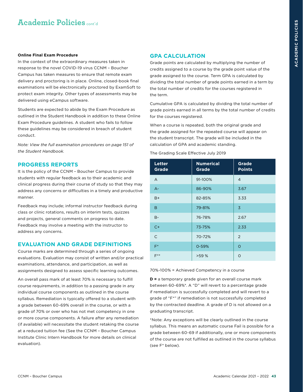#### **Online Final Exam Procedure**

In the context of the extraordinary measures taken in response to the novel COVID-19 virus CCNM – Boucher Campus has taken measures to ensure that remote exam delivery and proctoring is in place. Online, closed-book final examinations will be electronically proctored by ExamSoft to protect exam integrity. Other types of assessments may be delivered using eCampus software.

Students are expected to abide by the Exam Procedure as outlined in the Student Handbook in addition to these Online Exam Procedure guidelines. A student who fails to follow these guidelines may be considered in breach of student conduct.

*Note: View the full examination procedures on page 151 of the Student Handbook.* 

#### **PROGRESS REPORTS**

It is the policy of the CCNM – Boucher Campus to provide students with regular feedback as to their academic and clinical progress during their course of study so that they may address any concerns or difficulties in a timely and productive manner.

Feedback may include; informal instructor feedback during class or clinic rotations, results on interim tests, quizzes and projects, general comments on progress to date. Feedback may involve a meeting with the instructor to address any concerns.

#### **EVALUATION AND GRADE DEFINITIONS**

Course marks are determined through a series of ongoing evaluations. Evaluation may consist of written and/or practical examinations, attendance, and participation, as well as assignments designed to assess specific learning outcomes.

An overall pass mark of at least 70% is necessary to fulfill course requirements, in addition to a passing grade in any individual course components as outlined in the course syllabus. Remediation is typically offered to a student with a grade between 60-69% overall in the course, or with a grade of 70% or over who has not met competency in one or more course components. A failure after any remediation (if available) will necessitate the student retaking the course at a reduced tuition fee (See the CCNM – Boucher Campus Institute Clinic Intern Handbook for more details on clinical evaluation).

#### **GPA CALCULATION**

Grade points are calculated by multiplying the number of credits assigned to a course by the grade point value of the grade assigned to the course. Term GPA is calculated by dividing the total number of grade points earned in a term by the total number of credits for the courses registered in the term.

Cumulative GPA is calculated by dividing the total number of grade points earned in all terms by the total number of credits for the courses registered.

When a course is repeated, both the original grade and the grade assigned for the repeated course will appear on the student transcript. The grade will be included in the calculation of GPA and academic standing.

#### The Grading Scale Effective July 2019

| <b>Letter</b><br><b>Grade</b> | <b>Numerical</b><br><b>Grade</b> | <b>Grade</b><br><b>Points</b> |
|-------------------------------|----------------------------------|-------------------------------|
| A                             | 91-100%                          | $\overline{4}$                |
| $A -$                         | 86-90%                           | 3.67                          |
| $B+$                          | 82-85%                           | 3.33                          |
| B                             | 79-81%                           | $\overline{3}$                |
| $B -$                         | 76-78%                           | 2.67                          |
| $C+$                          | 73-75%                           | 2.33                          |
| $\overline{C}$                | 70-72%                           | $\mathcal{P}$                 |
| $F^*$                         | $0 - 59%$                        | $\Omega$                      |
| $F***$                        | >59 %                            | O                             |

#### 70%-100% = Achieved Competency in a course

**D =** a temporary grade given for an overall course mark between 60-69%\*. A "D" will revert to a percentage grade if remediation is successfully completed and will revert to a grade of "F\*" if remediation is not successfully completed by the contracted deadline. A grade of D is not allowed on a graduating transcript.

\*Note: Any exceptions will be clearly outlined in the course syllabus. This means an automatic course Fail is possible for a grade between 60-69 if additionally, one or more components of the course are not fulfilled as outlined in the course syllabus (see F\* below).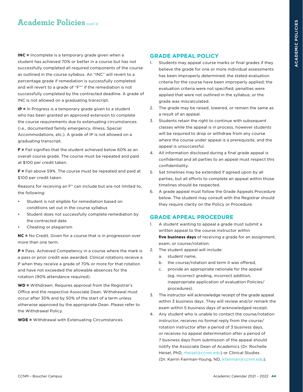**INC =** Incomplete is a temporary grade given when a student has achieved 70% or better in a course but has not successfully completed all required components of the course as outlined in the course syllabus. An "INC" will revert to a percentage grade if remediation is successfully completed and will revert to a grade of "F\*" if the remediation is not successfully completed by the contracted deadline. A grade of INC is not allowed on a graduating transcript.

**IP =** In Progress is a temporary grade given to a student who has been granted an approved extension to complete the course requirements due to extenuating circumstances. (i.e., documented family emergency, illness, Special Accommodations, etc.). A grade of IP is not allowed on a graduating transcript.

**F =** Fail signifies that the student achieved below 60% as an overall course grade. The course must be repeated and paid at \$100 per credit taken.

**F =** Fail above 59%. The course must be repeated and paid at \$100 per credit taken.

Reasons for receiving an F\* can include but are not limited to, the following:

- Student is not eligible for remediation based on conditions set out in the course syllabus
- Student does not successfully complete remediation by the contracted date
- Cheating or plagiarism

**NC =** No Credit. Given for a course that is in progression over more than one term.

**P =** Pass. Achieved Competency in a course where the mark is a pass or prior credit was awarded. Clinical rotations receive a P when they receive a grade of 70% or more for that rotation and have not exceeded the allowable absences for the rotation (90% attendance required).

**WD =** Withdrawn. Requires approval from the Registrar's Office and the respective Associate Dean. Withdrawal must occur after 30% and by 50% of the start of a term unless otherwise approved by the appropriate Dean. Please refer to the Withdrawal Policy.

**WDE =** Withdrawal with Extenuating Circumstances.

#### **GRADE APPEAL POLICY**

- Students may appeal course marks or final grades if they believe the grade for one or more individual assessments has been improperly determined; the stated evaluation criteria for the course have been improperly applied; the evaluation criteria were not specified; penalties were applied that were not outlined in the syllabus; or the grade was miscalculated.
- 2. The grade may be raised, lowered, or remain the same as a result of an appeal.
- 3. Students retain the right to continue with subsequent classes while the appeal is in process, however students will be required to drop or withdraw from any course where the course under appeal is a prerequisite, and the appeal is unsuccessful.
- 4. All information disclosed during a final grade appeal is confidential and all parties to an appeal must respect this confidentiality.
- 5. Set timelines may be extended if agreed upon by all parties, but all efforts to complete an appeal within those timelines should be respected.
- 6. A grade appeal must follow the Grade Appeals Procedure below. The student may consult with the Registrar should they require clarity on the Policy or Procedure.

#### **GRADE APPEAL PROCEDURE**

- 1. A student wanting to appeal a grade must submit a written appeal to the course instructor within **five business days** of receiving a grade for an assignment, exam, or course/rotation.
- 2. The student appeal will include:
	- a. student name,
	- b. the course/rotation and term it was offered,
	- c. provide an appropriate rationale for the appeal (eg. incorrect grading, incorrect addition, inappropriate application of evaluation Policies/ procedures).
- 3. The instructor will acknowledge receipt of the grade appeal within 3 business days. They will review and/or remark the exam within 5 business days of acknowledged receipt.
- 4. Any student who is unable to contact the course/rotation instructor, receives no formal reply from the course/ rotation instructor after a period of 3 business days, or receives no appeal determination after a period of 7 business days from submission of the appeal should notify the Associate Dean of Academics (Dr. Rochelle Heisel, PhD, [rheisel@ccnm.edu\)](mailto:rheisel%40ccnm.edu?subject=) or Clinical Studies (Dr. Karrin Fairman-Young, ND, [kfairman@ccnm.edu\)](mailto:kfairman%40ccnm.edu?subject=).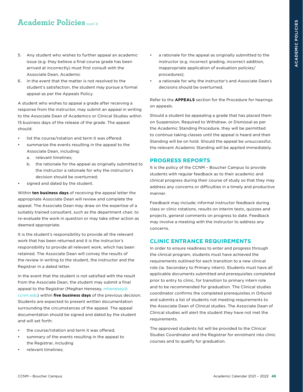- 5. Any student who wishes to further appeal an academic issue (e.g. they believe a final course grade has been arrived at incorrectly) must first consult with the Associate Dean, Academic
- 6. In the event that the matter is not resolved to the student's satisfaction, the student may pursue a formal appeal as per the Appeals Policy.

A student who wishes to appeal a grade after receiving a response from the instructor, may submit an appeal in writing to the Associate Dean of Academics or Clinical Studies within 15 business days of the release of the grade. The appeal should:

- list the course/rotation and term it was offered;
- summarize the events resulting in the appeal to the Associate Dean, including:
	- a. relevant timelines;
	- b. the rationale for the appeal as originally submitted to the instructor a rationale for why the instructor's decision should be overturned;
- signed and dated by the student.

Within **ten business days** of receiving the appeal letter the appropriate Associate Dean will review and complete the appeal. The Associate Dean may draw on the expertise of a suitably trained consultant, such as the department chair, to re-evaluate the work in question or may take other action as deemed appropriate.

It is the student's responsibility to provide all the relevant work that has been returned and it is the instructor's responsibility to provide all relevant work, which has been retained. The Associate Dean will convey the results of the review in writing to the student, the instructor and the Registrar in a dated letter.

In the event that the student is not satisfied with the result from the Associate Dean, the student may submit a final appeal to the Registrar (Meghan Henesey, [mhenesey@](mailto:mhenesey%40ccnm.edu?subject=) [ccnm.edu](mailto:mhenesey%40ccnm.edu?subject=)) within **five business days** of the previous decision. Students are expected to present written documentation surrounding the circumstances of the appeal. The appeal documentation should be signed and dated by the student and will set forth:

- the course/rotation and term it was offered;
- summary of the events resulting in the appeal to the Registrar, including
- relevant timelines;
- a rationale for the appeal as originally submitted to the instructor (e.g. incorrect grading, incorrect addition, inappropriate application of evaluation policies/ procedures);
- a rationale for why the instructor's and Associate Dean's decisions should be overturned.

Refer to the **APPEALS** section for the Procedure for hearings on appeals.

Should a student be appealing a grade that has placed them on Suspension, Required to Withdraw, or Dismissal as per the Academic Standing Procedure, they will be permitted to continue taking classes until the appeal is heard and their Standing will be on hold. Should the appeal be unsuccessful, the relevant Academic Standing will be applied immediately.

#### **PROGRESS REPORTS**

It is the policy of the CCNM – Boucher Campus to provide students with regular feedback as to their academic and clinical progress during their course of study so that they may address any concerns or difficulties in a timely and productive manner.

Feedback may include; informal instructor feedback during class or clinic rotations, results on interim tests, quizzes and projects, general comments on progress to date. Feedback may involve a meeting with the instructor to address any concerns.

#### **CLINIC ENTRANCE REQUIREMENTS**

In order to ensure readiness to enter and progress through the clinical program, students must have achieved the requirements outlined for each transition to a new clinical role (ie. Secondary to Primary intern). Students must have all applicable documents submitted and prerequisites completed prior to entry to clinic, for transition to primary intern role and to be recommended for graduation. The Clinical studies coordinator confirms the completed prerequisites in Orbund and submits a list of students not meeting requirements to the Associate Dean of Clinical studies. The Associate Dean of Clinical studies will alert the student they have not met the requirements.

The approved students list will be provided to the Clinical Studies Coordinator and the Registrar for enrolment into clinic courses and to qualify for graduation.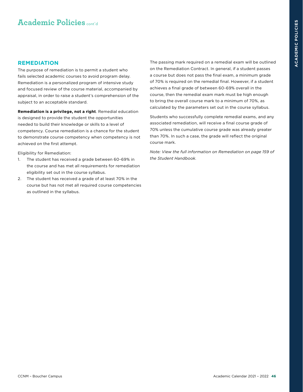#### **REMEDIATION**

The purpose of remediation is to permit a student who fails selected academic courses to avoid program delay. Remediation is a personalized program of intensive study and focused review of the course material, accompanied by appraisal, in order to raise a student's comprehension of the subject to an acceptable standard.

**Remediation is a privilege, not a right**. Remedial education is designed to provide the student the opportunities needed to build their knowledge or skills to a level of competency. Course remediation is a chance for the student to demonstrate course competency when competency is not achieved on the first attempt.

Eligibility for Remediation:

- 1. The student has received a grade between 60-69% in the course and has met all requirements for remediation eligibility set out in the course syllabus.
- 2. The student has received a grade of at least 70% in the course but has not met all required course competencies as outlined in the syllabus.

The passing mark required on a remedial exam will be outlined on the Remediation Contract. In general, if a student passes a course but does not pass the final exam, a minimum grade of 70% is required on the remedial final. However, if a student achieves a final grade of between 60-69% overall in the course, then the remedial exam mark must be high enough to bring the overall course mark to a minimum of 70%, as calculated by the parameters set out in the course syllabus.

Students who successfully complete remedial exams, and any associated remediation, will receive a final course grade of 70% unless the cumulative course grade was already greater than 70%. In such a case, the grade will reflect the original course mark.

*Note: View the full information on Remediation on page 159 of the Student Handbook.*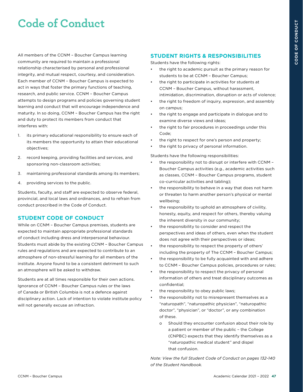# **Code of Conduct**

All members of the CCNM – Boucher Campus learning community are required to maintain a professional relationship characterised by personal and professional integrity, and mutual respect, courtesy, and consideration. Each member of CCNM – Boucher Campus is expected to act in ways that foster the primary functions of teaching, research, and public service. CCNM – Boucher Campus attempts to design programs and policies governing student learning and conduct that will encourage independence and maturity. In so doing, CCNM – Boucher Campus has the right and duty to protect its members from conduct that interferes with:

- 1. its primary educational responsibility to ensure each of its members the opportunity to attain their educational objectives;
- 2. record keeping, providing facilities and services, and sponsoring non-classroom activities;
- 3. maintaining professional standards among its members;
- 4. providing services to the public.

Students, faculty, and staff are expected to observe federal, provincial, and local laws and ordinances, and to refrain from conduct proscribed in the Code of Conduct.

#### **STUDENT CODE OF CONDUCT**

While on CCNM – Boucher Campus premises, students are expected to maintain appropriate professional standards of conduct including dress and interpersonal behaviour. Students must abide by the existing CCNM – Boucher Campus rules and regulations and are expected to contribute to an atmosphere of non-stressful learning for all members of the institute. Anyone found to be a consistent detriment to such an atmosphere will be asked to withdraw.

Students are at all times responsible for their own actions. Ignorance of CCNM – Boucher Campus rules or the laws of Canada or British Columbia is not a defence against disciplinary action. Lack of intention to violate institute policy will not generally excuse an infraction.

#### **STUDENT RIGHTS & RESPONSIBILITIES**

Students have the following rights:

- the right to academic pursuit as the primary reason for students to be at CCNM – Boucher Campus;
- the right to participate in activities for students at CCNM – Boucher Campus, without harassment, intimidation, discrimination, disruption or acts of violence;
- the right to freedom of inquiry, expression, and assembly on campus;
- the right to engage and participate in dialogue and to examine diverse views and ideas;
- the right to fair procedures in proceedings under this Code;
- the right to respect for one's person and property:
- the right to privacy of personal information.

Students have the following responsibilities:

- the responsibility not to disrupt or interfere with CCNM Boucher Campus activities (e.g., academic activities such as classes, CCNM – Boucher Campus programs, student co-curricular activities and tabling);
- the responsibility to behave in a way that does not harm or threaten to harm another person's physical or mental wellbeing;
- the responsibility to uphold an atmosphere of civility, honesty, equity, and respect for others, thereby valuing the inherent diversity in our community;
- the responsibility to consider and respect the perspectives and ideas of others, even when the student does not agree with their perspectives or ideas;
- the responsibility to respect the property of others' including the property of The CCNM – Boucher Campus;
- the responsibility to be fully acquainted with and adhere to CCNM – Boucher Campus policies, procedures or rules;
- the responsibility to respect the privacy of personal information of others and treat disciplinary outcomes as confidential;
- the responsibility to obey public laws;
- the responsibility not to misrepresent themselves as a "naturopath", "naturopathic physician", "naturopathic doctor", "physician", or "doctor", or any combination of these.
	- o Should they encounter confusion about their role by a patient or member of the public – the College (CNPBC) expects that they identify themselves as a "naturopathic medical student" and dispel that confusion.

*Note: View the full Student Code of Conduct on pages 132-140 of the Student Handbook.*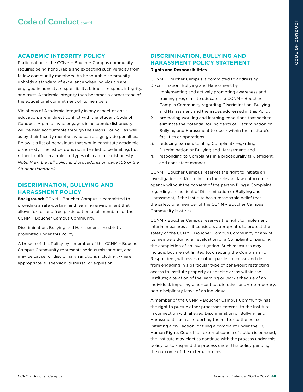#### **ACADEMIC INTEGRITY POLICY**

Participation in the CCNM – Boucher Campus community requires being honourable and expecting such veracity from fellow community members. An honourable community upholds a standard of excellence when individuals are engaged in honesty, responsibility, fairness, respect, integrity, and trust. Academic integrity then becomes a cornerstone of the educational commitment of its members.

Violations of Academic Integrity in any aspect of one's education, are in direct conflict with the Student Code of Conduct. A person who engages in academic dishonesty will be held accountable through the Deans Council, as well as by their faculty member, who can assign grade penalties. Below is a list of behaviours that would constitute academic dishonesty. The list below is not intended to be limiting, but rather to offer examples of types of academic dishonesty. *Note: View the full policy and procedures on page 106 of the Student Handbook.* 

#### **DISCRIMINATION, BULLYING AND HARASSMENT POLICY**

**Background:** CCNM – Boucher Campus is committed to providing a safe working and learning environment that allows for full and free participation of all members of the CCNM – Boucher Campus Community.

Discrimination, Bullying and Harassment are strictly prohibited under this Policy.

A breach of this Policy by a member of the CCNM – Boucher Campus Community represents serious misconduct, and may be cause for disciplinary sanctions including, where appropriate, suspension, dismissal or expulsion.

#### **DISCRIMINATION, BULLYING AND HARASSMENT POLICY STATEMENT Rights and Responsibilities**

CCNM – Boucher Campus is committed to addressing Discrimination, Bullying and Harassment by

- 1. implementing and actively promoting awareness and training programs to educate the CCNM – Boucher Campus Community regarding Discrimination, Bullying and Harassment and the issues addressed in this Policy;
- 2. promoting working and learning conditions that seek to eliminate the potential for incidents of Discrimination or Bullying and Harassment to occur within the Institute's facilities or operations;
- 3. reducing barriers to filing Complaints regarding Discrimination or Bullying and Harassment; and
- 4. responding to Complaints in a procedurally fair, efficient, and consistent manner.

CCNM – Boucher Campus reserves the right to initiate an investigation and/or to inform the relevant law enforcement agency without the consent of the person filing a Complaint regarding an incident of Discrimination or Bullying and Harassment, if the Institute has a reasonable belief that the safety of a member of the CCNM – Boucher Campus Community is at risk.

CCNM – Boucher Campus reserves the right to implement interim measures as it considers appropriate, to protect the safety of the CCNM – Boucher Campus Community or any of its members during an evaluation of a Complaint or pending the completion of an investigation. Such measures may include, but are not limited to: directing the Complainant, Respondent, witnesses or other parties to cease and desist from engaging in a particular type of behaviour; restricting access to Institute property or specific areas within the Institute; alteration of the learning or work schedule of an individual; imposing a no-contact directive; and/or temporary, non-disciplinary leave of an individual.

A member of the CCNM – Boucher Campus Community has the right to pursue other processes external to the Institute in connection with alleged Discrimination or Bullying and Harassment, such as reporting the matter to the police, initiating a civil action, or filing a complaint under the BC Human Rights Code. If an external course of action is pursued, the Institute may elect to continue with the process under this policy, or to suspend the process under this policy pending the outcome of the external process.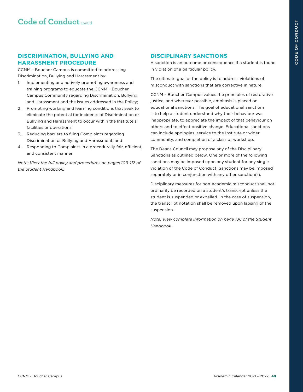#### **DISCRIMINATION, BULLYING AND HARASSMENT PROCEDURE**

CCNM – Boucher Campus is committed to addressing Discrimination, Bullying and Harassment by:

- 1. Implementing and actively promoting awareness and training programs to educate the CCNM – Boucher Campus Community regarding Discrimination, Bullying and Harassment and the issues addressed in the Policy;
- 2. Promoting working and learning conditions that seek to eliminate the potential for incidents of Discrimination or Bullying and Harassment to occur within the Institute's facilities or operations;
- 3. Reducing barriers to filing Complaints regarding Discrimination or Bullying and Harassment; and
- 4. Responding to Complaints in a procedurally fair, efficient, and consistent manner.

*Note: View the full policy and procedures on pages 109-117 of the Student Handbook.* 

#### **DISCIPLINARY SANCTIONS**

A sanction is an outcome or consequence if a student is found in violation of a particular policy.

The ultimate goal of the policy is to address violations of misconduct with sanctions that are corrective in nature.

CCNM – Boucher Campus values the principles of restorative justice, and wherever possible, emphasis is placed on educational sanctions. The goal of educational sanctions is to help a student understand why their behaviour was inappropriate, to appreciate the impact of that behaviour on others and to effect positive change. Educational sanctions can include apologies, service to the Institute or wider community, and completion of a class or workshop.

The Deans Council may propose any of the Disciplinary Sanctions as outlined below. One or more of the following sanctions may be imposed upon any student for any single violation of the Code of Conduct. Sanctions may be imposed separately or in conjunction with any other sanction(s).

Disciplinary measures for non-academic misconduct shall not ordinarily be recorded on a student's transcript unless the student is suspended or expelled. In the case of suspension, the transcript notation shall be removed upon lapsing of the suspension.

*Note: View complete information on page 136 of the Student Handbook.*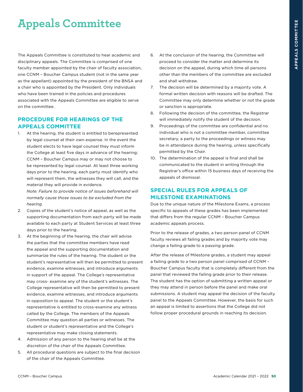# **Appeals Committee**

The Appeals Committee is constituted to hear academic and disciplinary appeals. The Committee is comprised of one faculty member appointed by the chair of faculty association, one CCNM – Boucher Campus student (not in the same year as the appellant) appointed by the president of the BNSA and a chair who is appointed by the President. Only individuals who have been trained in the policies and procedures associated with the Appeals Committee are eligible to serve on the committee.

#### **PROCEDURE FOR HEARINGS OF THE APPEALS COMMITTEE**

1. At the hearing, the student is entitled to berepresented by legal counsel at their own expense. In the event the student elects to have legal counsel they must inform the College at least five days in advance of the hearing; CCNM – Boucher Campus may or may not choose to be represented by legal counsel. At least three working days prior to the hearing, each party must identify who will represent them, the witnesses they will call, and the material they will provide in evidence.

*Note: Failure to provide notice of issues beforehand will normally cause those issues to be excluded from the hearing.*

- 2. Copies of the student's notice of appeal, as well as the supporting documentation from each party will be made available to each party at Student Services at least three days prior to the hearing.
- 3. At the beginning of the hearing, the chair will advise the parties that the committee members have read the appeal and the supporting documentation and summarize the rules of the hearing. The student or the student's representative will then be permitted to present evidence, examine witnesses, and introduce arguments in support of the appeal. The College's representative may cross- examine any of the student's witnesses. The College representative will then be permitted to present evidence, examine witnesses, and introduce arguments in opposition to appeal. The student or the student's representative is entitled to cross-examine any witness called by the College. The members of the Appeals Committee may question all parties or witnesses. The student or student's representative and the College's representative may make closing statements.
- 4. Admission of any person to the hearing shall be at the discretion of the chair of the Appeals Committee.
- 5. All procedural questions are subject to the final decision of the chair of the Appeals Committee.
- 6. At the conclusion of the hearing, the Committee will proceed to consider the matter and determine its decision on the appeal, during which time all persons other than the members of the committee are excluded and shall withdraw.
- 7. The decision will be determined by a majority vote. A formal written decision with reasons will be drafted. The Committee may only determine whether or not the grade or sanction is appropriate.
- 8. Following the decision of the committee, the Registrar will immediately notify the student of the decision.
- 9. Proceedings of the committee are confidential and no individual who is not a committee member, committee secretary, a party to the proceedings or witness may be in attendance during the hearing, unless specifically permitted by the Chair.
- 10. The determination of the appeal is final and shall be communicated to the student in writing through the Registrar's office within 15 business days of receiving the appeals of dismissal.

#### **SPECIAL RULES FOR APPEALS OF MILESTONE EXAMINATIONS**

Due to the unique nature of the Milestone Exams, a process specific to appeals of these grades has been implemented that differs from the regular CCNM – Boucher Campus academic appeals process.

Prior to the release of grades, a two person panel of CCNM faculty reviews all failing grades and by majority vote may change a failing grade to a passing grade.

After the release of Milestone grades, a student may appeal a failing grade to a two person panel comprised of CCNM – Boucher Campus faculty that is completely different from the panel that reviewed the failing grade prior to their release. The student has the option of submitting a written appeal or they may attend in person before the panel and make oral submissions. A student may appeal the decision of the faculty panel to the Appeals Committee. However, the basis for such an appeal is limited to assertions that the College did not follow proper procedural grounds in reaching its decision.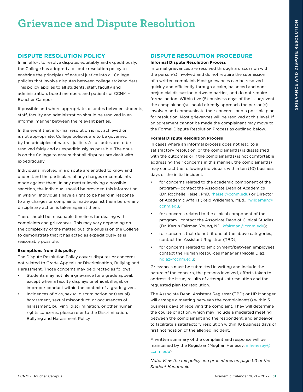# **Grievance and Dispute Resolution**

#### **DISPUTE RESOLUTION POLICY**

In an effort to resolve disputes equitably and expeditiously, the College has adopted a dispute resolution policy to enshrine the principles of natural justice into all College policies that involve disputes between college stakeholders. This policy applies to all students, staff, faculty and administration, board members and patients of CCNM – Boucher Campus.

If possible and where appropriate, disputes between students, staff, faculty and administration should be resolved in an informal manner between the relevant parties.

In the event that informal resolution is not achieved or is not appropriate, College policies are to be governed by the principles of natural justice. All disputes are to be resolved fairly and as expeditiously as possible. The onus is on the College to ensure that all disputes are dealt with expeditiously.

Individuals involved in a dispute are entitled to know and understand the particulars of any charges or complaints made against them. In any matter involving a possible sanction, the individual should be provided this information in writing. Individuals have a right to be heard in response to any charges or complaints made against them before any disciplinary action is taken against them.

There should be reasonable timelines for dealing with complaints and grievances. This may vary depending on the complexity of the matter, but, the onus is on the College to demonstrate that it has acted as expeditiously as is reasonably possible.

#### **Exemptions from this policy**

The Dispute Resolution Policy covers disputes or concerns not related to Grade Appeals or Discrimination, Bullying and Harassment. Those concerns may be directed as follows:

- Students may not file a grievance for a grade appeal, except when a faculty displays unethical, illegal, or improper conduct within the context of a grade given.
- Incidences of bias, sexual discrimination or (sexual) harassment, sexual misconduct, or occurrences of harassment, bullying, discrimination, or other human rights concerns, please refer to the Discrimination, Bullying and Harassment Policy

#### **DISPUTE RESOLUTION PROCEDURE**

#### **Informal Dispute Resolution Process**

Informal grievances are resolved through a discussion with the person(s) involved and do not require the submission of a written complaint. Most grievances can be resolved quickly and efficiently through a calm, balanced and nonprejudicial discussion between parties, and do not require formal action. Within five (5) business days of the issue/event the complainant(s) should directly approach the person(s) involved and communicate their concerns and a possible plan for resolution. Most grievances will be resolved at this level. If an agreement cannot be made the complainant may move to the Formal Dispute Resolution Process as outlined below.

#### **Formal Dispute Resolution Process**

In cases where an informal process does not lead to a satisfactory resolution, or the complainant(s) is dissatisfied with the outcomes or if the complainant(s) is not comfortable addressing their concerns in this manner, the complainant(s) may contact the following individuals within ten (10) business days of the initial incident:

- for concerns related to the academic component of the program—contact the Associate Dean of Academics (Dr. Rochelle Heisel, PhD, [rheisel@ccnm.edu\)](mailto:rheisel%40ccnm.edu?subject=) or Director of Academic Affairs (Reid Wildeman, MEd., [rwildeman@](mailto:rwildeman%40ccnm.edu?subject=) [ccnm.edu\)](mailto:rwildeman%40ccnm.edu?subject=);
- for concerns related to the clinical component of the program—contact the Associate Dean of Clinical Studies (Dr. Karrin Fairman-Young, ND, [kfairman@ccnm.edu\)](mailto:kfairman%40ccnm.edu?subject=);
- for concerns that do not fit one of the above categories, contact the Assistant Registrar (TBD);
- for concerns related to employment/between employees, contact the Human Resources Manager (Nicola Diaz, [ndiaz@ccnm.edu\)](mailto:ndiaz%40ccnm.edu?subject=).

Grievances must be submitted in writing and include the nature of the concern, the persons involved, efforts taken to address the issue, results of attempts at resolution and the requested plan for resolution.

The Associate Dean, Assistant Registrar (TBD) or HR Manager will arrange a meeting between the complainant(s) within 5 business days of receiving the complaint. They will determine the course of action, which may include a mediated meeting between the complainant and the respondent, and endeavor to facilitate a satisfactory resolution within 10 business days of first notification of the alleged incident.

A written summary of the complaint and response will be maintained by the Registrar (Meghan Henesey, [mhenesey@](mailto:mhenesey%40ccnm.edu?subject=) [ccnm.edu\)](mailto:mhenesey%40ccnm.edu?subject=)

*Note: View the full policy and procedures on page 141 of the Student Handbook.*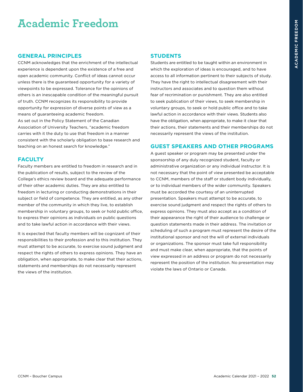# **Academic Freedom**

#### **GENERAL PRINCIPLES**

CCNM acknowledges that the enrichment of the intellectual experience is dependent upon the existence of a free and open academic community. Conflict of ideas cannot occur unless there is the guaranteed opportunity for a variety of viewpoints to be expressed. Tolerance for the opinions of others is an inescapable condition of the meaningful pursuit of truth. CCNM recognizes its responsibility to provide opportunity for expression of diverse points of view as a means of guaranteeing academic freedom. As set out in the Policy Statement of the Canadian Association of University Teachers, "academic freedom carries with it the duty to use that freedom in a manner consistent with the scholarly obligation to base research and teaching on an honest search for knowledge."

#### **FACULTY**

Faculty members are entitled to freedom in research and in the publication of results, subject to the review of the College's ethics review board and the adequate performance of their other academic duties. They are also entitled to freedom in lecturing or conducting demonstrations in their subject or field of competence. They are entitled, as any other member of the community in which they live, to establish membership in voluntary groups, to seek or hold public office, to express their opinions as individuals on public questions and to take lawful action in accordance with their views.

It is expected that faculty members will be cognizant of their responsibilities to their profession and to this institution. They must attempt to be accurate, to exercise sound judgment and respect the rights of others to express opinions. They have an obligation, when appropriate, to make clear that their actions, statements and memberships do not necessarily represent the views of the institution.

#### **STUDENTS**

Students are entitled to be taught within an environment in which the exploration of ideas is encouraged, and to have access to all information pertinent to their subjects of study. They have the right to intellectual disagreement with their instructors and associates and to question them without fear of recrimination or punishment. They are also entitled to seek publication of their views, to seek membership in voluntary groups, to seek or hold public office and to take lawful action in accordance with their views. Students also have the obligation, when appropriate, to make it clear that their actions, their statements and their memberships do not necessarily represent the views of the institution.

#### **GUEST SPEAKERS AND OTHER PROGRAMS**

A guest speaker or program may be presented under the sponsorship of any duly recognized student, faculty or administrative organization or any individual instructor. It is not necessary that the point of view presented be acceptable to CCNM, members of the staff or student body individually, or to individual members of the wider community. Speakers must be accorded the courtesy of an uninterrupted presentation. Speakers must attempt to be accurate, to exercise sound judgment and respect the rights of others to express opinions. They must also accept as a condition of their appearance the right of their audience to challenge or question statements made in their address. The invitation or scheduling of such a program must represent the desire of the institutional sponsor and not the will of external individuals or organizations. The sponsor must take full responsibility and must make clear, when appropriate, that the points of view expressed in an address or program do not necessarily represent the position of the institution. No presentation may violate the laws of Ontario or Canada.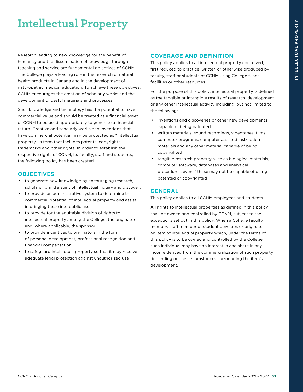# **Intellectual Property**

Research leading to new knowledge for the benefit of humanity and the dissemination of knowledge through teaching and service are fundamental objectives of CCNM. The College plays a leading role in the research of natural health products in Canada and in the development of naturopathic medical education. To achieve these objectives, CCNM encourages the creation of scholarly works and the development of useful materials and processes.

Such knowledge and technology has the potential to have commercial value and should be treated as a financial asset of CCNM to be used appropriately to generate a financial return. Creative and scholarly works and inventions that have commercial potential may be protected as "intellectual property," a term that includes patents, copyrights, trademarks and other rights. In order to establish the respective rights of CCNM, its faculty, staff and students, the following policy has been created.

#### **OBJECTIVES**

- to generate new knowledge by encouraging research, scholarship and a spirit of intellectual inquiry and discovery
- to provide an administrative system to determine the commercial potential of intellectual property and assist in bringing these into public use
- to provide for the equitable division of rights to intellectual property among the College, the originator and, where applicable, the sponsor
- to provide incentives to originators in the form of personal development, professional recognition and financial compensation
- to safeguard intellectual property so that it may receive adequate legal protection against unauthorized use

#### **COVERAGE AND DEFINITION**

This policy applies to all intellectual property conceived, first reduced to practice, written or otherwise produced by faculty, staff or students of CCNM using College funds, facilities or other resources.

For the purpose of this policy, intellectual property is defined as the tangible or intangible results of research, development or any other intellectual activity including, but not limited to, the following:

- inventions and discoveries or other new developments capable of being patented
- written materials, sound recordings, videotapes, films, computer programs, computer assisted instruction materials and any other material capable of being copyrighted
- tangible research property such as biological materials, computer software, databases and analytical procedures, even if these may not be capable of being patented or copyrighted

#### **GENERAL**

This policy applies to all CCNM employees and students.

All rights to intellectual properties as defined in this policy shall be owned and controlled by CCNM, subject to the exceptions set out in this policy. When a College faculty member, staff member or student develops or originates an item of intellectual property which, under the terms of this policy is to be owned and controlled by the College, such individual may have an interest in and share in any income derived from the commercialization of such property depending on the circumstances surrounding the item's development.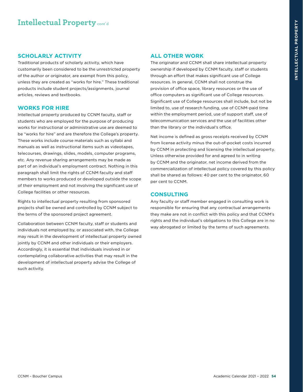#### **SCHOLARLY ACTIVITY**

Traditional products of scholarly activity, which have customarily been considered to be the unrestricted property of the author or originator, are exempt from this policy, unless they are created as "works for hire." These traditional products include student projects/assignments, journal articles, reviews and textbooks.

#### **WORKS FOR HIRE**

Intellectual property produced by CCNM faculty, staff or students who are employed for the purpose of producing works for instructional or administrative use are deemed to be "works for hire" and are therefore the College's property. These works include course materials such as syllabi and manuals as well as instructional items such as videotapes, telecourses, drawings, slides, models, computer programs, etc. Any revenue sharing arrangements may be made as part of an individual's employment contract. Nothing in this paragraph shall limit the rights of CCNM faculty and staff members to works produced or developed outside the scope of their employment and not involving the significant use of College facilities or other resources.

Rights to intellectual property resulting from sponsored projects shall be owned and controlled by CCNM subject to the terms of the sponsored project agreement.

Collaboration between CCNM faculty, staff or students and individuals not employed by, or associated with, the College may result in the development of intellectual property owned jointly by CCNM and other individuals or their employers. Accordingly, it is essential that individuals involved in or contemplating collaborative activities that may result in the development of intellectual property advise the College of such activity.

#### **ALL OTHER WORK**

The originator and CCNM shall share intellectual property ownership if developed by CCNM faculty, staff or students through an effort that makes significant use of College resources. In general, CCNM shall not construe the provision of office space, library resources or the use of office computers as significant use of College resources. Significant use of College resources shall include, but not be limited to, use of research funding, use of CCNM-paid time within the employment period, use of support staff, use of telecommunication services and the use of facilities other than the library or the individual's office.

Net income is defined as gross receipts received by CCNM from license activity minus the out-of-pocket costs incurred by CCNM in protecting and licensing the intellectual property. Unless otherwise provided for and agreed to in writing by CCNM and the originator, net income derived from the commercialization of intellectual policy covered by this policy shall be shared as follows: 40 per cent to the originator, 60 per cent to CCNM.

#### **CONSULTING**

Any faculty or staff member engaged in consulting work is responsible for ensuring that any contractual arrangements they make are not in conflict with this policy and that CCNM's rights and the individual's obligations to this College are in no way abrogated or limited by the terms of such agreements.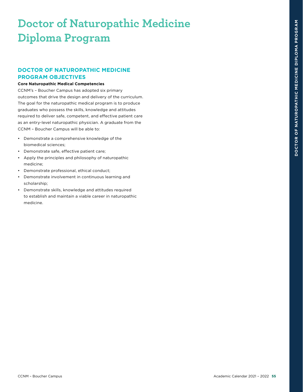# **Doctor of Naturopathic Medicine Diploma Program**

#### **DOCTOR OF NATUROPATHIC MEDICINE PROGRAM OBJECTIVES**

#### **Core Naturopathic Medical Competencies**

CCNM's – Boucher Campus has adopted six primary outcomes that drive the design and delivery of the curriculum. The goal for the naturopathic medical program is to produce graduates who possess the skills, knowledge and attitudes required to deliver safe, competent, and effective patient care as an entry-level naturopathic physician. A graduate from the CCNM – Boucher Campus will be able to:

- Demonstrate a comprehensive knowledge of the biomedical sciences;
- Demonstrate safe, effective patient care;
- Apply the principles and philosophy of naturopathic medicine;
- Demonstrate professional, ethical conduct;
- Demonstrate involvement in continuous learning and scholarship;
- Demonstrate skills, knowledge and attitudes required to establish and maintain a viable career in naturopathic medicine.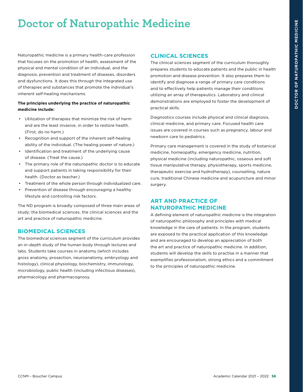# **Doctor of Naturopathic Medicine**

Naturopathic medicine is a primary health-care profession that focuses on the promotion of health, assessment of the physical and mental condition of an individual, and the diagnosis, prevention and treatment of diseases, disorders and dysfunctions. It does this through the integrated use of therapies and substances that promote the individual's inherent self-healing mechanisms.

#### **The principles underlying the practice of naturopathic medicine include:**

- Utilization of therapies that minimize the risk of harm and are the least invasive, in order to restore health. (First, do no harm.)
- Recognition and support of the inherent self-healing ability of the individual. (The healing power of nature.)
- Identification and treatment of the underlying cause of disease. (Treat the cause.)
- The primary role of the naturopathic doctor is to educate and support patients in taking responsibility for their health. (Doctor as teacher.)
- Treatment of the whole person through individualized care.
- Prevention of disease through encouraging a healthy lifestyle and controlling risk factors.

The ND program is broadly composed of three main areas of study: the biomedical sciences, the clinical sciences and the art and practice of naturopathic medicine.

#### **BIOMEDICAL SCIENCES**

The biomedical sciences segment of the curriculum provides an in-depth study of the human body through lectures and labs. Students take courses in anatomy (which includes gross anatomy, prosection, neuroanatomy, embryology and histology), clinical physiology, biochemistry, immunology, microbiology, public health (including infectious diseases), pharmacology and pharmacognosy.

#### **CLINICAL SCIENCES**

The clinical sciences segment of the curriculum thoroughly prepares students to educate patients and the public in health promotion and disease prevention. It also prepares them to identify and diagnose a range of primary care conditions and to effectively help patients manage their conditions utilizing an array of therapeutics. Laboratory and clinical demonstrations are employed to foster the development of practical skills.

Diagnostics courses include physical and clinical diagnosis, clinical medicine, and primary care. Focused health care issues are covered in courses such as pregnancy, labour and newborn care to pediatrics.

Primary care management is covered in the study of botanical medicine, homeopathy, emergency medicine, nutrition, physical medicine (including naturopathic, osseous and soft tissue manipulative therapy, physiotherapy, sports medicine, therapeutic exercise and hydrotherapy), counselling, nature cure, traditional Chinese medicine and acupuncture and minor surgery.

#### **ART AND PRACTICE OF NATUROPATHIC MEDICINE**

A defining element of naturopathic medicine is the integration of naturopathic philosophy and principles with medical knowledge in the care of patients. In the program, students are exposed to the practical application of this knowledge and are encouraged to develop an appreciation of both the art and practice of naturopathic medicine. In addition, students will develop the skills to practise in a manner that exemplifies professionalism, strong ethics and a commitment to the principles of naturopathic medicine.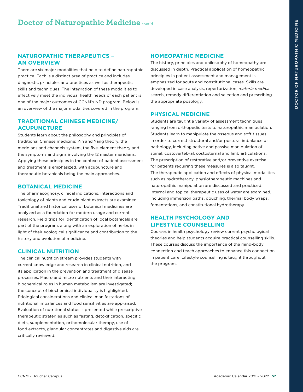#### **NATUROPATHIC THERAPEUTICS – AN OVERVIEW**

There are six major modalities that help to define naturopathic practice. Each is a distinct area of practice and includes diagnostic principles and practices as well as therapeutic skills and techniques. The integration of these modalities to effectively meet the individual health needs of each patient is one of the major outcomes of CCNM's ND program. Below is an overview of the major modalities covered in the program.

#### **TRADITIONAL CHINESE MEDICINE/ ACUPUNCTURE**

Students learn about the philosophy and principles of traditional Chinese medicine: Yin and Yang theory, the meridians and channels system, the five-element theory and the symptoms and signs involving the 12 master meridians. Applying these principles in the context of patient assessment and treatment is emphasized, with acupuncture and therapeutic botanicals being the main approaches.

#### **BOTANICAL MEDICINE**

The pharmacognosy, clinical indications, interactions and toxicology of plants and crude plant extracts are examined. Traditional and historical uses of botanical medicines are analyzed as a foundation for modern usage and current research. Field trips for identification of local botanicals are part of the program, along with an exploration of herbs in light of their ecological significance and contribution to the history and evolution of medicine.

#### **CLINICAL NUTRITION**

The clinical nutrition stream provides students with current knowledge and research in clinical nutrition, and its application in the prevention and treatment of disease processes. Macro and micro nutrients and their interacting biochemical roles in human metabolism are investigated; the concept of biochemical individuality is highlighted. Etiological considerations and clinical manifestations of nutritional imbalances and food sensitivities are appraised. Evaluation of nutritional status is presented while prescriptive therapeutic strategies such as fasting, detoxification, specific diets, supplementation, orthomolecular therapy, use of food extracts, glandular concentrates and digestive aids are critically reviewed.

#### **HOMEOPATHIC MEDICINE**

The history, principles and philosophy of homeopathy are discussed in depth. Practical application of homeopathic principles in patient assessment and management is emphasized for acute and constitutional cases. Skills are developed in case analysis, repertorization, *materia medica*  search, remedy differentiation and selection and prescribing the appropriate posology.

#### **PHYSICAL MEDICINE**

Students are taught a variety of assessment techniques ranging from orthopedic tests to naturopathic manipulation. Students learn to manipulate the osseous and soft tissues in order to correct structural and/or postural imbalance or pathology, including active and passive manipulation of spinal, costovertebral, costosternal and limb articulations. The prescription of restorative and/or preventive exercise for patients requiring these measures is also taught. The therapeutic application and effects of physical modalities such as hydrotherapy, physiotherapeutic machines and naturopathic manipulation are discussed and practiced. Internal and topical therapeutic uses of water are examined, including immersion baths, douching, thermal body wraps, fomentations, and constitutional hydrotherapy.

#### **HEALTH PSYCHOLOGY AND LIFESTYLE COUNSELLING**

Courses in health psychology review current psychological theories and help students acquire practical counselling skills. These courses discuss the importance of the mind-body connection and teach approaches to enhance this connection in patient care. Lifestyle counselling is taught throughout the program.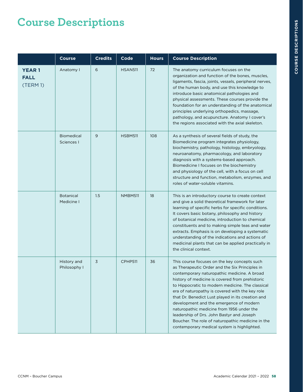# **Course Descriptions**

|                                        | <b>Course</b>                   | <b>Credits</b> | Code           | <b>Hours</b> | <b>Course Description</b>                                                                                                                                                                                                                                                                                                                                                                                                                                                                                                                                                                             |
|----------------------------------------|---------------------------------|----------------|----------------|--------------|-------------------------------------------------------------------------------------------------------------------------------------------------------------------------------------------------------------------------------------------------------------------------------------------------------------------------------------------------------------------------------------------------------------------------------------------------------------------------------------------------------------------------------------------------------------------------------------------------------|
| <b>YEAR1</b><br><b>FALL</b><br>(TERM1) | Anatomy I                       | 6              | <b>HSAN511</b> | 72           | The anatomy curriculum focuses on the<br>organization and function of the bones, muscles,<br>ligaments, fascia, joints, vessels, peripheral nerves,<br>of the human body, and use this knowledge to<br>introduce basic anatomical pathologies and<br>physical assessments. These courses provide the<br>foundation for an understanding of the anatomical<br>principles underlying orthopedics, massage,<br>pathology, and acupuncture. Anatomy I cover's<br>the regions associated with the axial skeleton.                                                                                          |
|                                        | <b>Biomedical</b><br>Sciences I | 9              | <b>HSBM511</b> | 108          | As a synthesis of several fields of study, the<br>Biomedicine program integrates physiology,<br>biochemistry, pathology, histology, embryology,<br>neuroanatomy, pharmacology, and laboratory<br>diagnosis with a systems-based approach.<br>Biomedicine I focuses on the biochemistry<br>and physiology of the cell, with a focus on cell<br>structure and function, metabolism, enzymes, and<br>roles of water-soluble vitamins.                                                                                                                                                                    |
|                                        | <b>Botanical</b><br>Medicine I  | 1.5            | NMBM511        | 18           | This is an introductory course to create context<br>and give a solid theoretical framework for later<br>learning of specific herbs for specific conditions.<br>It covers basic botany, philosophy and history<br>of botanical medicine, introduction to chemical<br>constituents and to making simple teas and water<br>extracts. Emphasis is on developing a systematic<br>understanding of the indications and actions of<br>medicinal plants that can be applied practically in<br>the clinical context.                                                                                           |
|                                        | History and<br>Philosophy I     | 3              | CPHP511        | 36           | This course focuses on the key concepts such<br>as Therapeutic Order and the Six Principles in<br>contemporary naturopathic medicine. A broad<br>history of medicine is covered from prehistoric<br>to Hippocratic to modern medicine. The classical<br>era of naturopathy is covered with the key role<br>that Dr. Benedict Lust played in its creation and<br>development and the emergence of modern<br>naturopathic medicine from 1956 under the<br>leadership of Drs. John Bastyr and Joseph<br>Boucher. The role of naturopathic medicine in the<br>contemporary medical system is highlighted. |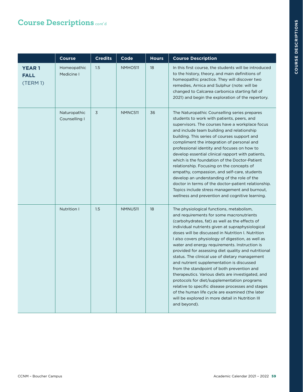|                                        | <b>Course</b>                 | <b>Credits</b> | Code           | <b>Hours</b> | <b>Course Description</b>                                                                                                                                                                                                                                                                                                                                                                                                                                                                                                                                                                                                                                                                                                                                                                                                                 |
|----------------------------------------|-------------------------------|----------------|----------------|--------------|-------------------------------------------------------------------------------------------------------------------------------------------------------------------------------------------------------------------------------------------------------------------------------------------------------------------------------------------------------------------------------------------------------------------------------------------------------------------------------------------------------------------------------------------------------------------------------------------------------------------------------------------------------------------------------------------------------------------------------------------------------------------------------------------------------------------------------------------|
| <b>YEAR1</b><br><b>FALL</b><br>(TERM1) | Homeopathic<br>Medicine I     | 1.5            | <b>NMHO511</b> | 18           | In this first course, the students will be introduced<br>to the history, theory, and main definitions of<br>homeopathic practice. They will discover two<br>remedies, Arnica and Sulphur (note: will be<br>changed to Calcarea carbonica starting fall of<br>2021) and begin the exploration of the repertory.                                                                                                                                                                                                                                                                                                                                                                                                                                                                                                                            |
|                                        | Naturopathic<br>Counselling I | 3              | NMNC511        | 36           | The Naturopathic Counselling series prepares<br>students to work with patients, peers, and<br>supervisors. The courses have a workplace focus<br>and include team building and relationship<br>building. This series of courses support and<br>compliment the integration of personal and<br>professional identity and focuses on how to<br>develop essential clinical rapport with patients,<br>which is the foundation of the Doctor-Patient<br>relationship. Focusing on the concepts of<br>empathy, compassion, and self-care, students<br>develop an understanding of the role of the<br>doctor in terms of the doctor-patient relationship.<br>Topics include stress management and burnout,<br>wellness and prevention and cognitive learning.                                                                                     |
|                                        | Nutrition I                   | 1.5            | NMNU511        | 18           | The physiological functions, metabolism,<br>and requirements for some macronutrients<br>(carbohydrates, fat) as well as the effects of<br>individual nutrients given at supraphysiological<br>doses will be discussed in Nutrition I. Nutrition<br>I also covers physiology of digestion, as well as<br>water and energy requirements. Instruction is<br>provided for assessing diet quality and nutritional<br>status. The clinical use of dietary management<br>and nutrient supplementation is discussed<br>from the standpoint of both prevention and<br>therapeutics. Various diets are investigated, and<br>protocols for diet/supplementation programs<br>relative to specific disease processes and stages<br>of the human life cycle are examined (the later<br>will be explored in more detail in Nutrition III<br>and beyond). |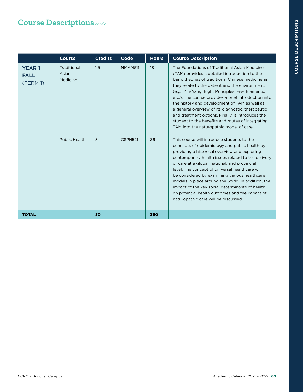|                                         | Course                             | <b>Credits</b> | Code           | <b>Hours</b> | <b>Course Description</b>                                                                                                                                                                                                                                                                                                                                                                                                                                                                                                                                                       |
|-----------------------------------------|------------------------------------|----------------|----------------|--------------|---------------------------------------------------------------------------------------------------------------------------------------------------------------------------------------------------------------------------------------------------------------------------------------------------------------------------------------------------------------------------------------------------------------------------------------------------------------------------------------------------------------------------------------------------------------------------------|
| <b>YEAR1</b><br><b>FALL</b><br>(TERM 1) | Traditional<br>Asian<br>Medicine I | 1.5            | <b>NMAM511</b> | 18           | The Foundations of Traditional Asian Medicine<br>(TAM) provides a detailed introduction to the<br>basic theories of traditional Chinese medicine as<br>they relate to the patient and the environment.<br>(e.g.: Yin/Yang, Eight Principles, Five Elements,<br>etc.). The course provides a brief introduction into<br>the history and development of TAM as well as<br>a general overview of its diagnostic, therapeutic<br>and treatment options. Finally, it introduces the<br>student to the benefits and routes of integrating<br>TAM into the naturopathic model of care. |
|                                         | Public Health                      | 3              | CSPH521        | 36           | This course will introduce students to the<br>concepts of epidemiology and public health by<br>providing a historical overview and exploring<br>contemporary health issues related to the delivery<br>of care at a global, national, and provincial<br>level. The concept of universal healthcare will<br>be considered by examining various healthcare<br>models in place around the world. In addition, the<br>impact of the key social determinants of health<br>on potential health outcomes and the impact of<br>naturopathic care will be discussed.                      |
| <b>TOTAL</b>                            |                                    | 30             |                | 360          |                                                                                                                                                                                                                                                                                                                                                                                                                                                                                                                                                                                 |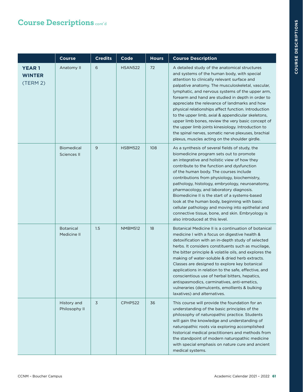|                                           | <b>Course</b>                    | <b>Credits</b> | Code           | <b>Hours</b> | <b>Course Description</b>                                                                                                                                                                                                                                                                                                                                                                                                                                                                                                                                                                                                                                                                      |
|-------------------------------------------|----------------------------------|----------------|----------------|--------------|------------------------------------------------------------------------------------------------------------------------------------------------------------------------------------------------------------------------------------------------------------------------------------------------------------------------------------------------------------------------------------------------------------------------------------------------------------------------------------------------------------------------------------------------------------------------------------------------------------------------------------------------------------------------------------------------|
| <b>YEAR1</b><br><b>WINTER</b><br>(TERM 2) | Anatomy II                       | 6              | <b>HSAN522</b> | 72           | A detailed study of the anatomical structures<br>and systems of the human body, with special<br>attention to clinically relevant surface and<br>palpative anatomy. The musculoskeletal, vascular,<br>lymphatic, and nervous systems of the upper arm,<br>forearm and hand are studied in depth in order to<br>appreciate the relevance of landmarks and how<br>physical relationships affect function. Introduction<br>to the upper limb, axial & appendicular skeletons,<br>upper limb bones, review the very basic concept of<br>the upper limb joints kinesiology. Introduction to<br>the spinal nerves, somatic nerve plexuses, brachial<br>plexus, muscles acting on the shoulder girdle. |
|                                           | <b>Biomedical</b><br>Sciences II | 9              | <b>HSBM522</b> | 108          | As a synthesis of several fields of study, the<br>biomedicine program sets out to promote<br>an integrative and holistic view of how they<br>contribute to the function and dysfunction<br>of the human body. The courses include<br>contributions from physiology, biochemistry,<br>pathology, histology, embryology, neuroanatomy,<br>pharmacology, and laboratory diagnosis.<br>Biomedicine II is the start of a systems-based<br>look at the human body, beginning with basic<br>cellular pathology and moving into epithelial and<br>connective tissue, bone, and skin. Embryology is<br>also introduced at this level.                                                                   |
|                                           | <b>Botanical</b><br>Medicine II  | 1.5            | <b>NMBM512</b> | 18           | Botanical Medicine II is a continuation of botanical<br>medicine I with a focus on digestive health &<br>detoxification with an in-depth study of selected<br>herbs. It considers constituents such as mucilage,<br>the bitter principle & volatile oils, and explores the<br>making of water-soluble & dried herb extracts.<br>Classes are designed to explore key botanical<br>applications in relation to the safe, effective, and<br>conscientious use of herbal bitters, hepatics,<br>antispasmodics, carminatives, anti-emetics,<br>vulneraries (demulcents, emollients & bulking<br>laxatives) and alternatives.                                                                        |
|                                           | History and<br>Philosophy II     | 3              | CPHP522        | 36           | This course will provide the foundation for an<br>understanding of the basic principles of the<br>philosophy of naturopathic practice. Students<br>will gain the knowledge and understanding of<br>naturopathic roots via exploring accomplished<br>historical medical practitioners and methods from<br>the standpoint of modern naturopathic medicine<br>with special emphasis on nature cure and ancient<br>medical systems.                                                                                                                                                                                                                                                                |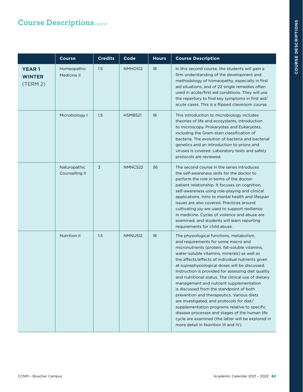# **COURSE DESCRIPTIONS COURSE DESCRIPTIONS**

|                                           | <b>Course</b>                  | <b>Credits</b> | Code           | <b>Hours</b> | <b>Course Description</b>                                                                                                                                                                                                                                                                                                                                                                                                                                                                                                                                                                                                                                                                                                                                                                 |
|-------------------------------------------|--------------------------------|----------------|----------------|--------------|-------------------------------------------------------------------------------------------------------------------------------------------------------------------------------------------------------------------------------------------------------------------------------------------------------------------------------------------------------------------------------------------------------------------------------------------------------------------------------------------------------------------------------------------------------------------------------------------------------------------------------------------------------------------------------------------------------------------------------------------------------------------------------------------|
| <b>YEAR1</b><br><b>WINTER</b><br>(TERM 2) | Homeopathic<br>Medicine II     | 1.5            | <b>NMHO512</b> | 18           | In this second course, the students will gain a<br>firm understanding of the development and<br>methodology of homeopathy, especially in first<br>aid situations, and of 22 single remedies often<br>used in acute/first aid conditions. They will use<br>the repertory to find key symptoms in first aid/<br>acute cases. This is a flipped classroom course.                                                                                                                                                                                                                                                                                                                                                                                                                            |
|                                           | Microbiology I                 | 1.5            | <b>HSMB521</b> | 18           | This introduction to microbiology includes:<br>theories of life and ecosystems, introduction<br>to microscopy. Prokaryotes and Eukaryotes,<br>including the Gram-stain classification of<br>bacteria. The evolution of bacteria and bacterial<br>genetics and an introduction to prions and<br>viruses is covered. Laboratory tests and safety<br>protocols are reviewed.                                                                                                                                                                                                                                                                                                                                                                                                                 |
|                                           | Naturopathic<br>Counselling II | 3              | NMNC522        | 36           | The second course in the series introduces<br>the self-awareness skills for the doctor to<br>perform the role in terms of the doctor-<br>patient relationship. It focuses on cognition,<br>self-awareness using role-playing and clinical<br>applications. Intro to mental health and lifespan<br>issues are also covered. Practices around<br>cultivating joy are used to support resilience<br>in medicine. Cycles of violence and abuse are<br>examined, and students will learn reporting<br>requirements for child abuse.                                                                                                                                                                                                                                                            |
|                                           | <b>Nutrition II</b>            | 1.5            | <b>NMNU512</b> | 18           | The physiological functions, metabolism,<br>and requirements for some macro and<br>micronutrients (protein, fat-soluble vitamins,<br>water-soluble vitamins, minerals) as well as<br>the affects/effects of individual nutrients given<br>at supraphysiological doses will be discussed.<br>Instruction is provided for assessing diet quality<br>and nutritional status. The clinical use of dietary<br>management and nutrient supplementation<br>is discussed from the standpoint of both<br>prevention and therapeutics. Various diets<br>are investigated, and protocols for diet/<br>supplementation programs relative to specific<br>disease processes and stages of the human life<br>cycle are examined (the latter will be explored in<br>more detail in Nutrition III and IV). |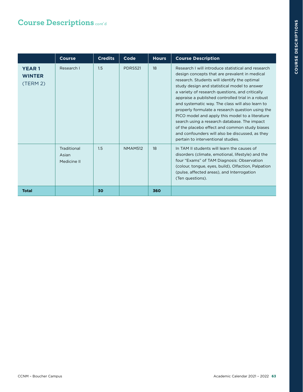|                                           | <b>Course</b>                       | <b>Credits</b> | Code           | <b>Hours</b> | <b>Course Description</b>                                                                                                                                                                                                                                                                                                                                                                                                                                                                                                                                                                                                                                        |
|-------------------------------------------|-------------------------------------|----------------|----------------|--------------|------------------------------------------------------------------------------------------------------------------------------------------------------------------------------------------------------------------------------------------------------------------------------------------------------------------------------------------------------------------------------------------------------------------------------------------------------------------------------------------------------------------------------------------------------------------------------------------------------------------------------------------------------------------|
| <b>YEAR1</b><br><b>WINTER</b><br>(TERM 2) | Research I                          | 1.5            | <b>PDRS521</b> | 18           | Research I will introduce statistical and research<br>design concepts that are prevalent in medical<br>research. Students will identify the optimal<br>study design and statistical model to answer<br>a variety of research questions, and critically<br>appraise a published controlled trial in a robust<br>and systematic way. The class will also learn to<br>properly formulate a research question using the<br>PICO model and apply this model to a literature<br>search using a research database. The impact<br>of the placebo effect and common study biases<br>and confounders will also be discussed, as they<br>pertain to interventional studies. |
|                                           | Traditional<br>Asian<br>Medicine II | 1.5            | <b>NMAM512</b> | 18           | In TAM II students will learn the causes of<br>disorders (climate, emotional, lifestyle) and the<br>four "Exams" of TAM Diagnosis: Observation<br>(colour, tongue, eyes, build), Olfaction, Palpation<br>(pulse, affected areas), and Interrogation<br>(Ten questions).                                                                                                                                                                                                                                                                                                                                                                                          |
| <b>Total</b>                              |                                     | 30             |                | 360          |                                                                                                                                                                                                                                                                                                                                                                                                                                                                                                                                                                                                                                                                  |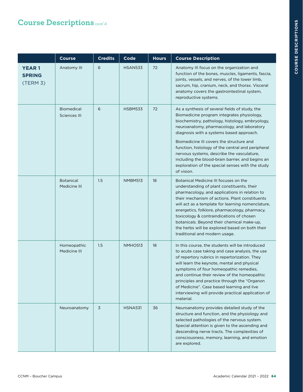# **COURSE DESCRIPTIONS COURSE DESCRIPTIONS**

|                                           | <b>Course</b>                     | <b>Credits</b> | Code           | <b>Hours</b> | <b>Course Description</b>                                                                                                                                                                                                                                                                                                                                                                                                                                                                                      |
|-------------------------------------------|-----------------------------------|----------------|----------------|--------------|----------------------------------------------------------------------------------------------------------------------------------------------------------------------------------------------------------------------------------------------------------------------------------------------------------------------------------------------------------------------------------------------------------------------------------------------------------------------------------------------------------------|
| <b>YEAR1</b><br><b>SPRING</b><br>(TERM 3) | Anatomy III                       | 6              | <b>HSAN533</b> | 72           | Anatomy III focus on the organization and<br>function of the bones, muscles, ligaments, fascia,<br>joints, vessels, and nerves, of the lower limb,<br>sacrum, hip, cranium, neck, and thorax. Visceral<br>anatomy covers the gastrointestinal system,<br>reproductive systems.                                                                                                                                                                                                                                 |
|                                           | <b>Biomedical</b><br>Sciences III | 6              | <b>HSBM533</b> | 72           | As a synthesis of several fields of study, the<br>Biomedicine program integrates physiology,<br>biochemistry, pathology, histology, embryology,<br>neuroanatomy, pharmacology, and laboratory<br>diagnosis with a systems based approach.<br>Biomedicine III covers the structure and<br>function, histology of the central and peripheral<br>nervous systems, describe the vasculature,<br>including the blood-brain barrier, and begins an<br>exploration of the special senses with the study<br>of vision. |
|                                           | <b>Botanical</b><br>Medicine III  | 1.5            | NMBM513        | 18           | Botanical Medicine III focuses on the<br>understanding of plant constituents, their<br>pharmacology, and applications in relation to<br>their mechanism of actions. Plant constituents<br>will act as a template for learning nomenclature,<br>energetics, folklore, pharmacology, pharmacy,<br>toxicology & contraindications of chosen<br>botanicals. Beyond their chemical make-up,<br>the herbs will be explored based on both their<br>traditional and modern usage.                                      |
|                                           | Homeopathic<br>Medicine III       | 1.5            | NMHO513        | 18           | In this course, the students will be introduced<br>to acute case taking and case analysis, the use<br>of repertory rubrics in repertorization. They<br>will learn the keynote, mental and physical<br>symptoms of four homeopathic remedies,<br>and continue their review of the homeopathic<br>principles and practice through the "Organon"<br>of Medicine". Case based learning and live<br>interviewing will provide practical application of<br>material.                                                 |
|                                           | Neuroanatomy                      | 3              | <b>HSNA531</b> | 36           | Neuroanatomy provides detailed study of the<br>structure and function, and the physiology and<br>selected pathologies of the nervous system.<br>Special attention is given to the ascending and<br>descending nerve tracts. The complexities of<br>consciousness, memory, learning, and emotion<br>are explored.                                                                                                                                                                                               |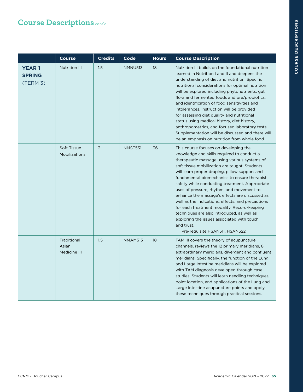|                                           | <b>Course</b>                        | <b>Credits</b> | Code           | <b>Hours</b> | <b>Course Description</b>                                                                                                                                                                                                                                                                                                                                                                                                                                                                                                                                                                                                                                                              |
|-------------------------------------------|--------------------------------------|----------------|----------------|--------------|----------------------------------------------------------------------------------------------------------------------------------------------------------------------------------------------------------------------------------------------------------------------------------------------------------------------------------------------------------------------------------------------------------------------------------------------------------------------------------------------------------------------------------------------------------------------------------------------------------------------------------------------------------------------------------------|
| <b>YEAR1</b><br><b>SPRING</b><br>(TERM 3) | <b>Nutrition III</b>                 | 1.5            | <b>NMNU513</b> | 18           | Nutrition III builds on the foundational nutrition<br>learned in Nutrition I and II and deepens the<br>understanding of diet and nutrition. Specific<br>nutritional considerations for optimal nutrition<br>will be explored including phytonutrients, gut<br>flora and fermented foods and pre/probiotics,<br>and identification of food sensitivities and<br>intolerances. Instruction will be provided<br>for assessing diet quality and nutritional<br>status using medical history, diet history,<br>anthropometrics, and focused laboratory tests.<br>Supplementation will be discussed and there will<br>be an emphasis on nutrition from whole food.                           |
|                                           | Soft Tissue<br>Mobilizations         | $\overline{3}$ | <b>NMST531</b> | 36           | This course focuses on developing the<br>knowledge and skills required to conduct a<br>therapeutic massage using various systems of<br>soft tissue mobilization are taught. Students<br>will learn proper draping, pillow support and<br>fundamental biomechanics to ensure therapist<br>safety while conducting treatment. Appropriate<br>uses of pressure, rhythm, and movement to<br>enhance the massage's effects are discussed as<br>well as the indications, effects, and precautions<br>for each treatment modality. Record-keeping<br>techniques are also introduced, as well as<br>exploring the issues associated with touch<br>and trust.<br>Pre-requisite HSAN511, HSAN522 |
|                                           | Traditional<br>Asian<br>Medicine III | 1.5            | NMAM513        | 18           | TAM III covers the theory of acupuncture<br>channels, reviews the 12 primary meridians, 8<br>extraordinary meridians, divergent and confluent<br>meridians. Specifically, the function of the Lung<br>and Large Intestine meridians will be explored<br>with TAM diagnosis developed through case<br>studies. Students will learn needling techniques,<br>point location, and applications of the Lung and<br>Large Intestine acupuncture points and apply<br>these techniques through practical sessions.                                                                                                                                                                             |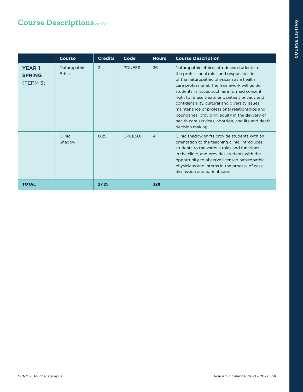|                                           | <b>Course</b>          | <b>Credits</b> | Code           | <b>Hours</b>   | <b>Course Description</b>                                                                                                                                                                                                                                                                                                                                                                                                                                                                                                |
|-------------------------------------------|------------------------|----------------|----------------|----------------|--------------------------------------------------------------------------------------------------------------------------------------------------------------------------------------------------------------------------------------------------------------------------------------------------------------------------------------------------------------------------------------------------------------------------------------------------------------------------------------------------------------------------|
| <b>YEAR1</b><br><b>SPRING</b><br>(TERM 3) | Naturopathic<br>Ethics | 3              | <b>PDNE511</b> | 36             | Naturopathic ethics introduces students to<br>the professional roles and responsibilities<br>of the naturopathic physician as a health<br>care professional. The framework will guide<br>students in issues such as informed consent.<br>right to refuse treatment, patient privacy and<br>confidentiality, cultural and diversity issues,<br>maintenance of professional relationships and<br>boundaries, providing equity in the delivery of<br>health care services, abortion, and life and death<br>decision making. |
|                                           | Clinic<br>Shadow I     | 0.25           | CPCE501        | $\overline{4}$ | Clinic shadow shifts provide students with an<br>orientation to the teaching clinic, introduces<br>students to the various roles and functions<br>in the clinic, and provides students with the<br>opportunity to observe licensed naturopathic<br>physicians and interns in the process of case<br>discussion and patient care.                                                                                                                                                                                         |
| <b>TOTAL</b>                              |                        | 27.25          |                | 328            |                                                                                                                                                                                                                                                                                                                                                                                                                                                                                                                          |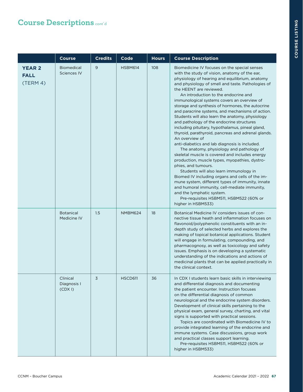|                                          | Course                                  | <b>Credits</b> | Code           | <b>Hours</b> | <b>Course Description</b>                                                                                                                                                                                                                                                                                                                                                                                                                                                                                                                                                                                                                                                                                                                                                                                                                                                                                                                                                                                                                                                                                                                                                         |
|------------------------------------------|-----------------------------------------|----------------|----------------|--------------|-----------------------------------------------------------------------------------------------------------------------------------------------------------------------------------------------------------------------------------------------------------------------------------------------------------------------------------------------------------------------------------------------------------------------------------------------------------------------------------------------------------------------------------------------------------------------------------------------------------------------------------------------------------------------------------------------------------------------------------------------------------------------------------------------------------------------------------------------------------------------------------------------------------------------------------------------------------------------------------------------------------------------------------------------------------------------------------------------------------------------------------------------------------------------------------|
| <b>YEAR 2</b><br><b>FALL</b><br>(TERM 4) | <b>Biomedical</b><br><b>Sciences IV</b> | 9              | <b>HSBM614</b> | 108          | Biomedicine IV focuses on the special senses<br>with the study of vision, anatomy of the ear,<br>physiology of hearing and equilibrium, anatomy<br>and physiology of smell and taste. Pathologies of<br>the HEENT are reviewed.<br>An introduction to the endocrine and<br>immunological systems covers an overview of<br>storage and synthesis of hormones, the autocrine<br>and paracrine systems, and mechanisms of action.<br>Students will also learn the anatomy, physiology<br>and pathology of the endocrine structures<br>including pituitary, hypothalamus, pineal gland,<br>thyroid, parathyroid, pancreas and adrenal glands.<br>An overview of<br>anti-diabetics and lab diagnosis is included.<br>The anatomy, physiology and pathology of<br>skeletal muscle is covered and includes energy<br>production, muscle types, myopathies, dystro-<br>phies, and tumours.<br>Students will also learn immunology in<br>Biomed IV including organs and cells of the im-<br>mune system, different types of immunity, innate<br>and humoral immunity, cell-mediate immunity,<br>and the lymphatic system.<br>Pre-requisites HSBM511, HSBM522 (60% or<br>higher in HSBM533) |
|                                          | <b>Botanical</b><br>Medicine IV         | 1.5            | NMBM624        | 18           | Botanical Medicine IV considers issues of con-<br>nective tissue heath and inflammation focuses on<br>flavonoid/polyphenolic constituents with an in-<br>depth study of selected herbs and explores the<br>making of topical botanical applications. Student<br>will engage in formulating, compounding, and<br>pharmacognosy, as well as toxicology and safety<br>issues. Emphasis is on developing a systematic<br>understanding of the indications and actions of<br>medicinal plants that can be applied practically in<br>the clinical context.                                                                                                                                                                                                                                                                                                                                                                                                                                                                                                                                                                                                                              |
|                                          | Clinical<br>Diagnosis I<br>(CDX I)      | 3              | HSCD611        | 36           | In CDX I students learn basic skills in interviewing<br>and differential diagnosis and documenting<br>the patient encounter. Instruction focuses<br>on the differential diagnosis of common<br>neurological and the endocrine system disorders.<br>Development of clinical skills pertaining to the<br>physical exam, general survey, charting, and vital<br>signs is supported with practical sessions.<br>Topics are coordinated with Biomedicine IV to<br>provide integrated learning of the endocrine and<br>immune systems. Case discussions, group work<br>and practical classes support learning.<br>Pre-requisites HSBM511, HSBM522 (60% or<br>higher in HSBM533)                                                                                                                                                                                                                                                                                                                                                                                                                                                                                                         |

ш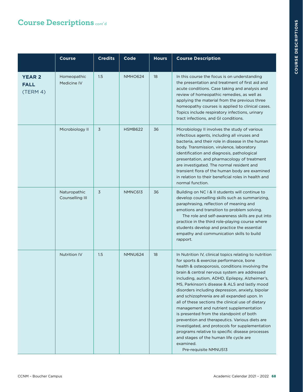|                                          | <b>Course</b>                   | <b>Credits</b> | Code           | <b>Hours</b> | <b>Course Description</b>                                                                                                                                                                                                                                                                                                                                                                                                                                                                                                                                                                                                                                                                                                                                                                       |
|------------------------------------------|---------------------------------|----------------|----------------|--------------|-------------------------------------------------------------------------------------------------------------------------------------------------------------------------------------------------------------------------------------------------------------------------------------------------------------------------------------------------------------------------------------------------------------------------------------------------------------------------------------------------------------------------------------------------------------------------------------------------------------------------------------------------------------------------------------------------------------------------------------------------------------------------------------------------|
| <b>YEAR 2</b><br><b>FALL</b><br>(TERM 4) | Homeopathic<br>Medicine IV      | 1.5            | <b>NMHO624</b> | 18           | In this course the focus is on understanding<br>the presentation and treatment of first aid and<br>acute conditions. Case taking and analysis and<br>review of homeopathic remedies, as well as<br>applying the material from the previous three<br>homeopathy courses is applied to clinical cases.<br>Topics include respiratory infections, urinary<br>tract infections, and GI conditions.                                                                                                                                                                                                                                                                                                                                                                                                  |
|                                          | Microbiology II                 | 3              | <b>HSMB622</b> | 36           | Microbiology II involves the study of various<br>infectious agents, including all viruses and<br>bacteria, and their role in disease in the human<br>body. Transmission, virulence, laboratory<br>identification and diagnosis, pathological<br>presentation, and pharmacology of treatment<br>are investigated. The normal resident and<br>transient flora of the human body are examined<br>in relation to their beneficial roles in health and<br>normal function.                                                                                                                                                                                                                                                                                                                           |
|                                          | Naturopathic<br>Counselling III | 3              | NMNC613        | 36           | Building on NC I & II students will continue to<br>develop counselling skills such as summarizing,<br>paraphrasing, reflection of meaning and<br>emotions and transition to problem solving.<br>The role and self-awareness skills are put into<br>practice in the third role-playing course where<br>students develop and practice the essential<br>empathy and communication skills to build<br>rapport.                                                                                                                                                                                                                                                                                                                                                                                      |
|                                          | <b>Nutrition IV</b>             | 1.5            | NMNU624        | 18           | In Nutrition IV, clinical topics relating to nutrition<br>for sports & exercise performance, bone<br>health & osteoporosis, conditions involving the<br>brain & central nervous system are addressed<br>including, autism, ADHD, Epilepsy, Alzheimer's,<br>MS, Parkinson's disease & ALS and lastly mood<br>disorders including depression, anxiety, bipolar<br>and schizophrenia are all expanded upon. In<br>all of these sections the clinical use of dietary<br>management and nutrient supplementation<br>is presented from the standpoint of both<br>prevention and therapeutics. Various diets are<br>investigated, and protocols for supplementation<br>programs relative to specific disease processes<br>and stages of the human life cycle are<br>examined.<br>Pre-requisite NMNU513 |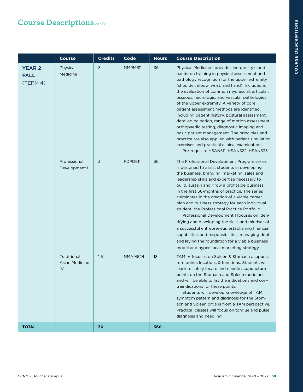|                                          | <b>Course</b>                              | <b>Credits</b> | Code    | <b>Hours</b> | <b>Course Description</b>                                                                                                                                                                                                                                                                                                                                                                                                                                                                                                                                                                                                                                                                                                                                       |
|------------------------------------------|--------------------------------------------|----------------|---------|--------------|-----------------------------------------------------------------------------------------------------------------------------------------------------------------------------------------------------------------------------------------------------------------------------------------------------------------------------------------------------------------------------------------------------------------------------------------------------------------------------------------------------------------------------------------------------------------------------------------------------------------------------------------------------------------------------------------------------------------------------------------------------------------|
| <b>YEAR 2</b><br><b>FALL</b><br>(TERM 4) | Physical<br>Medicine I                     | 3              | NMPM611 | 36           | Physical Medicine I provides lecture style and<br>hands-on training in physical assessment and<br>pathology recognition for the upper extremity<br>(shoulder, elbow, wrist, and hand). Included is<br>the evaluation of common myofascial, articular,<br>osseous, neurologic, and vascular pathologies<br>of the upper extremity. A variety of core<br>patient assessment methods are identified,<br>including patient history, postural assessment,<br>detailed palpation, range of motion assessment,<br>orthopaedic testing, diagnostic imaging and<br>basic patient management. The principles and<br>practice are also applied with patient simulation<br>exercises and practical clinical examinations.<br>Pre-requisite HSAN511, HSAN522, HSAN533        |
|                                          | Professional<br>Development I              | 3              | PDPD611 | 36           | The Professional Development Program series<br>is designed to assist students in developing<br>the business, branding, marketing, sales and<br>leadership skills and expertise necessary to<br>build, sustain and grow a profitable business<br>in the first 36-months of practice. The series<br>culminates in the creation of a viable career<br>plan and business strategy for each individual<br>student; the Professional Practice Portfolio.<br>Professional Development I focuses on iden-<br>tifying and developing the skills and mindset of<br>a successful entrepreneur, establishing financial<br>capabilities and responsibilities, managing debt,<br>and laying the foundation for a viable business<br>model and hyper-local marketing strategy. |
|                                          | Traditional<br><b>Asian Medicine</b><br>IV | 1.5            | NMAM624 | 18           | TAM IV focuses on Spleen & Stomach acupunc-<br>ture points locations & functions. Students will<br>learn to safely locate and needle acupuncture<br>points on the Stomach and Spleen meridians<br>and will be able to list the indications and con-<br>traindications for these points.<br>Students will develop knowledge of TAM<br>symptom pattern and diagnosis for the Stom-<br>ach and Spleen organs from a TAM perspective.<br>Practical classes will focus on tongue and pulse<br>diagnosis and needling.                                                                                                                                                                                                                                                |
| <b>TOTAL</b>                             |                                            | 30             |         | 360          |                                                                                                                                                                                                                                                                                                                                                                                                                                                                                                                                                                                                                                                                                                                                                                 |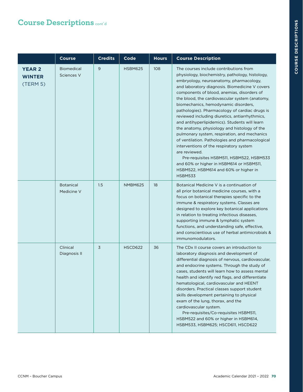|                                            | <b>Course</b>                   | <b>Credits</b> | Code           | <b>Hours</b> | <b>Course Description</b>                                                                                                                                                                                                                                                                                                                                                                                                                                                                                                                                                                                                                                                                                                                                                                                                                             |
|--------------------------------------------|---------------------------------|----------------|----------------|--------------|-------------------------------------------------------------------------------------------------------------------------------------------------------------------------------------------------------------------------------------------------------------------------------------------------------------------------------------------------------------------------------------------------------------------------------------------------------------------------------------------------------------------------------------------------------------------------------------------------------------------------------------------------------------------------------------------------------------------------------------------------------------------------------------------------------------------------------------------------------|
| <b>YEAR 2</b><br><b>WINTER</b><br>(TERM 5) | <b>Biomedical</b><br>Sciences V | 9              | <b>HSBM625</b> | 108          | The courses include contributions from<br>physiology, biochemistry, pathology, histology,<br>embryology, neuroanatomy, pharmacology,<br>and laboratory diagnosis. Biomedicine V covers<br>components of blood, anemias, disorders of<br>the blood, the cardiovascular system (anatomy,<br>biomechanics, hemodynamic disorders,<br>pathologies). Pharmacology of cardiac drugs is<br>reviewed including diuretics, antiarrhythmics,<br>and antihyperlipidemics). Students will learn<br>the anatomy, physiology and histology of the<br>pulmonary system, respiration, and mechanics<br>of ventilation. Pathologies and pharmacological<br>interventions of the respiratory system<br>are reviewed.<br>Pre-requisites HSBM511, HSBM522, HSBM533<br>and 60% or higher in HSBM614 or HSBM511,<br>HSBM522, HSBM614 and 60% or higher in<br><b>HSBM533</b> |
|                                            | <b>Botanical</b><br>Medicine V  | 1.5            | NMBM625        | 18           | Botanical Medicine V is a continuation of<br>all prior botanical medicine courses, with a<br>focus on botanical therapies specific to the<br>immune & respiratory systems. Classes are<br>designed to explore key botanical applications<br>in relation to treating infectious diseases,<br>supporting immune & lymphatic system<br>functions, and understanding safe, effective,<br>and conscientious use of herbal antimicrobials &<br>immunomodulators.                                                                                                                                                                                                                                                                                                                                                                                            |
|                                            | Clinical<br>Diagnosis II        | 3              | <b>HSCD622</b> | 36           | The CD <sub>x</sub> II course covers an introduction to<br>laboratory diagnosis and development of<br>differential diagnosis of nervous, cardiovascular,<br>and endocrine systems. Through the study of<br>cases, students will learn how to assess mental<br>health and identify red flags, and differentiate<br>hematological, cardiovascular and HEENT<br>disorders. Practical classes support student<br>skills development pertaining to physical<br>exam of the lung, thorax, and the<br>cardiovascular system.<br>Pre-requisites/Co-requisites HSBM511,<br>HSBM522 and 60% or higher in HSBM614,<br>HSBM533, HSBM625; HSCD611, HSCD622                                                                                                                                                                                                         |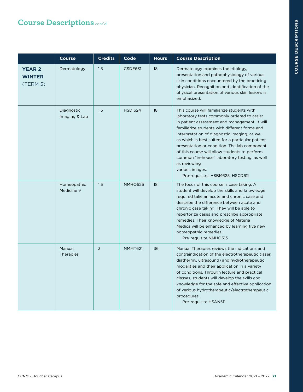|                                            | <b>Course</b>               | <b>Credits</b> | Code           | <b>Hours</b> | <b>Course Description</b>                                                                                                                                                                                                                                                                                                                                                                                                                                                                                                |
|--------------------------------------------|-----------------------------|----------------|----------------|--------------|--------------------------------------------------------------------------------------------------------------------------------------------------------------------------------------------------------------------------------------------------------------------------------------------------------------------------------------------------------------------------------------------------------------------------------------------------------------------------------------------------------------------------|
| <b>YEAR 2</b><br><b>WINTER</b><br>(TERM 5) | Dermatology                 | 1.5            | CSDE631        | 18           | Dermatology examines the etiology,<br>presentation and pathophysiology of various<br>skin conditions encountered by the practicing<br>physician. Recognition and identification of the<br>physical presentation of various skin lesions is<br>emphasized.                                                                                                                                                                                                                                                                |
|                                            | Diagnostic<br>Imaging & Lab | 1.5            | <b>HSDI624</b> | 18           | This course will familiarize students with<br>laboratory tests commonly ordered to assist<br>in patient assessment and management. It will<br>familiarize students with different forms and<br>interpretation of diagnostic imaging, as well<br>as which is best suited for a particular patient<br>presentation or condition. The lab component<br>of this course will allow students to perform<br>common "in-house" laboratory testing, as well<br>as reviewing<br>various images.<br>Pre-requisites HSBM625, HSCD611 |
|                                            | Homeopathic<br>Medicine V   | 1.5            | <b>NMHO625</b> | 18           | The focus of this course is case taking. A<br>student will develop the skills and knowledge<br>required take an acute and chronic case and<br>describe the difference between acute and<br>chronic case taking. They will be able to<br>repertorize cases and prescribe appropriate<br>remedies. Their knowledge of Materia<br>Medica will be enhanced by learning five new<br>homeopathic remedies.<br>Pre-requisite NMHO513                                                                                            |
|                                            | Manual<br>Therapies         | 3              | NMMT621        | 36           | Manual Therapies reviews the indications and<br>contraindication of the electrotherapeutic (laser,<br>diathermy, ultrasound) and hydrotherapeutic<br>modalities and their application in a variety<br>of conditions. Through lecture and practical<br>classes, students will develop the skills and<br>knowledge for the safe and effective application<br>of various hydrotherapeutic/electrotherapeutic<br>procedures.<br>Pre-requisite HSAN511                                                                        |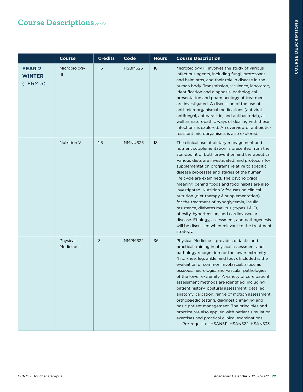|                                            | <b>Course</b>           | <b>Credits</b> | Code           | <b>Hours</b> | <b>Course Description</b>                                                                                                                                                                                                                                                                                                                                                                                                                                                                                                                                                                                                                                                                                                                                       |
|--------------------------------------------|-------------------------|----------------|----------------|--------------|-----------------------------------------------------------------------------------------------------------------------------------------------------------------------------------------------------------------------------------------------------------------------------------------------------------------------------------------------------------------------------------------------------------------------------------------------------------------------------------------------------------------------------------------------------------------------------------------------------------------------------------------------------------------------------------------------------------------------------------------------------------------|
| <b>YEAR 2</b><br><b>WINTER</b><br>(TERM 5) | Microbiology<br>Ш       | 1.5            | <b>HSBM623</b> | 18           | Microbiology III involves the study of various<br>infectious agents, including fungi, protozoans<br>and helminths, and their role in disease in the<br>human body. Transmission, virulence, laboratory<br>identification and diagnosis, pathological<br>presentation and pharmacology of treatment<br>are investigated. A discussion of the use of<br>anti-microorganismal medications (antiviral,<br>antifungal, antiparasitic, and antibacterial), as<br>well as naturopathic ways of dealing with these<br>infections is explored. An overview of antibiotic-<br>resistant microorganisms is also explored.                                                                                                                                                  |
|                                            | Nutrition V             | 1.5            | <b>NMNU625</b> | 18           | The clinical use of dietary management and<br>nutrient supplementation is presented from the<br>standpoint of both prevention and therapeutics.<br>Various diets are investigated, and protocols for<br>supplementation programs relative to specific<br>disease processes and stages of the human<br>life cycle are examined. The psychological<br>meaning behind foods and food habits are also<br>investigated. Nutrition V focuses on clinical<br>nutrition (diet therapy & supplementation)<br>for the treatment of hypoglycemia, insulin<br>resistance, diabetes mellitus (types 1 & 2),<br>obesity, hypertension, and cardiovascular<br>disease. Etiology, assessment, and pathogenesis<br>will be discussed when relevant to the treatment<br>strategy. |
|                                            | Physical<br>Medicine II | 3              | NMPM622        | 36           | Physical Medicine II provides didactic and<br>practical training in physical assessment and<br>pathology recognition for the lower extremity<br>(hip, knee, leg, ankle, and foot). Included is the<br>evaluation of common myofascial, articular,<br>osseous, neurologic, and vascular pathologies<br>of the lower extremity. A variety of core patient<br>assessment methods are identified, including<br>patient history, postural assessment, detailed<br>anatomy palpation, range of motion assessment,<br>orthopaedic testing, diagnostic imaging and<br>basic patient management. The principles and<br>practice are also applied with patient simulation<br>exercises and practical clinical examinations.<br>Pre-requisites HSAN511, HSAN522, HSAN533   |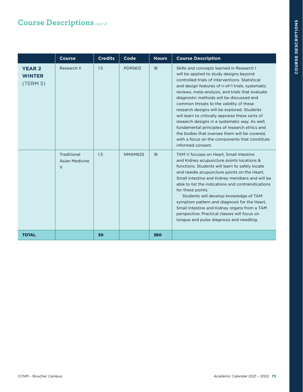|                                            | <b>Course</b>                           | <b>Credits</b> | Code           | <b>Hours</b> | <b>Course Description</b>                                                                                                                                                                                                                                                                                                                                                                                                                                                                                                                                                                                                                                            |
|--------------------------------------------|-----------------------------------------|----------------|----------------|--------------|----------------------------------------------------------------------------------------------------------------------------------------------------------------------------------------------------------------------------------------------------------------------------------------------------------------------------------------------------------------------------------------------------------------------------------------------------------------------------------------------------------------------------------------------------------------------------------------------------------------------------------------------------------------------|
| <b>YEAR 2</b><br><b>WINTER</b><br>(TERM 5) | Research II                             | 1.5            | <b>PDRS612</b> | 18           | Skills and concepts learned in Research I<br>will be applied to study designs beyond<br>controlled trials of interventions. Statistical<br>and design features of n-of-1 trials, systematic<br>reviews, meta-analysis, and trials that evaluate<br>diagnostic methods will be discussed and<br>common threats to the validity of these<br>research designs will be explored. Students<br>will learn to critically appraise these sorts of<br>research designs in a systematic way. As well,<br>fundamental principles of research ethics and<br>the bodies that oversee them will be covered.<br>with a focus on the components that constitute<br>informed consent. |
|                                            | Traditional<br>Asian Medicine<br>$\vee$ | 1.5            | <b>NMAM625</b> | 18           | TAM V focuses on Heart, Small Intestine<br>and Kidney acupuncture points locations &<br>functions. Students will learn to safely locate<br>and needle acupuncture points on the Heart,<br>Small Intestine and Kidney meridians and will be<br>able to list the indications and contraindications<br>for these points.<br>Students will develop knowledge of TAM<br>symptom pattern and diagnosis for the Heart,<br>Small Intestine and Kidney organs from a TAM<br>perspective. Practical classes will focus on<br>tongue and pulse diagnosis and needling.                                                                                                          |
| <b>TOTAL</b>                               |                                         | 30             |                | 360          |                                                                                                                                                                                                                                                                                                                                                                                                                                                                                                                                                                                                                                                                      |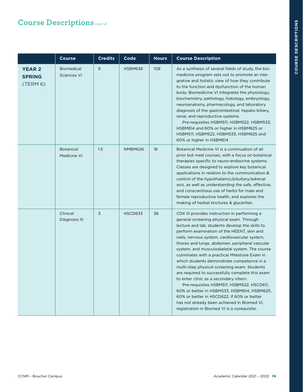|                                            | <b>Course</b>                           | <b>Credits</b> | Code           | <b>Hours</b> | <b>Course Description</b>                                                                                                                                                                                                                                                                                                                                                                                                                                                                                                                                                                                                                                                                                                                                                                                                          |
|--------------------------------------------|-----------------------------------------|----------------|----------------|--------------|------------------------------------------------------------------------------------------------------------------------------------------------------------------------------------------------------------------------------------------------------------------------------------------------------------------------------------------------------------------------------------------------------------------------------------------------------------------------------------------------------------------------------------------------------------------------------------------------------------------------------------------------------------------------------------------------------------------------------------------------------------------------------------------------------------------------------------|
| <b>YEAR 2</b><br><b>SPRING</b><br>(TERM 6) | <b>Biomedical</b><br><b>Sciences VI</b> | 9              | <b>HSBM636</b> | 108          | As a synthesis of several fields of study, the bio-<br>medicine program sets out to promote an inte-<br>grative and holistic view of how they contribute<br>to the function and dysfunction of the human<br>body. Biomedicine VI integrates the physiology,<br>biochemistry, pathology, histology, embryology,<br>neuroanatomy, pharmacology, and laboratory<br>diagnosis of the gastrointestinal, hepato-biliary,<br>renal, and reproductive systems.<br>Pre-requisites HSBM511, HSBM522, HSBM533,<br>HSBM614 and 60% or higher in HSBM625 or<br>HSBM511, HSBM522, HSBM533, HSBM625 and<br>60% or higher in HSBM614                                                                                                                                                                                                               |
|                                            | <b>Botanical</b><br>Medicine VI         | 1.5            | <b>NMBM626</b> | 18           | Botanical Medicine VI is a continuation of all<br>prior bot med courses, with a focus on botanical<br>therapies specific to neuro-endocrine systems.<br>Classes are designed to explore key botanical<br>applications in relation to the communication &<br>control of the hypothalamic/pituitary/adrenal<br>axis, as well as understanding the safe, effective,<br>and conscientious use of herbs for male and<br>female reproductive health, and explores the<br>making of herbal tinctures & glycerites.                                                                                                                                                                                                                                                                                                                        |
|                                            | Clinical<br>Diagnosis III               | $\overline{3}$ | <b>HSCD633</b> | 36           | CDX III provides instruction in performing a<br>general screening physical exam. Through<br>lecture and lab, students develop the skills to<br>perform examination of the HEENT, skin and<br>nails, nervous system, cardiovascular system,<br>thorax and lungs, abdomen, peripheral vascular<br>system, and musculoskeletal system. The course<br>culminates with a practical Milestone Exam in<br>which students demonstrate competence in a<br>multi-step physical screening exam. Students<br>are required to successfully complete this exam<br>to enter clinic as a secondary intern.<br>Pre-requisites HSBM511, HSBM522, HSCD611,<br>60% or better in HSBM533, HSBM614, HSBM625,<br>60% or better in HSCD622. If 60% or better<br>has not already been achieved in Biomed VI,<br>registration in Biomed VI is a corequisite. |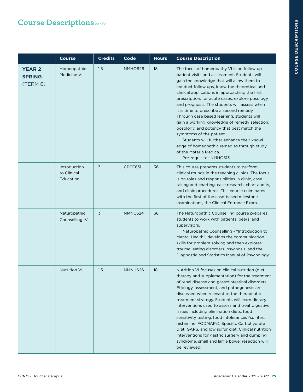|                                            | <b>Course</b>                            | <b>Credits</b> | Code           | <b>Hours</b> | <b>Course Description</b>                                                                                                                                                                                                                                                                                                                                                                                                                                                                                                                                                                                                                                                                                         |
|--------------------------------------------|------------------------------------------|----------------|----------------|--------------|-------------------------------------------------------------------------------------------------------------------------------------------------------------------------------------------------------------------------------------------------------------------------------------------------------------------------------------------------------------------------------------------------------------------------------------------------------------------------------------------------------------------------------------------------------------------------------------------------------------------------------------------------------------------------------------------------------------------|
| <b>YEAR 2</b><br><b>SPRING</b><br>(TERM 6) | Homeopathic<br>Medicine VI               | 1.5            | <b>NMHO626</b> | 18           | The focus of homeopathy VI is on follow up<br>patient visits and assessment. Students will<br>gain the knowledge that will allow them to<br>conduct follow ups, know the theoretical and<br>clinical applications in approaching the first<br>prescription, for acute cases, explore posology<br>and prognosis. The students will assess when<br>it is time to prescribe a second remedy.<br>Through case based learning, students will<br>gain a working knowledge of remedy selection,<br>posology, and potency that best match the<br>symptoms of the patient.<br>Students will further enhance their knowl-<br>edge of homeopathic remedies through study<br>of the Materia Medica.<br>Pre-requisites NMHO513 |
|                                            | Introduction<br>to Clinical<br>Education | 3              | CPCE631        | 36           | This course prepares students to perform<br>clinical rounds in the teaching clinics. The focus<br>is on roles and responsibilities in clinic, case<br>taking and charting, case research, chart audits,<br>and clinic procedures. This course culminates<br>with the first of the case-based milestone<br>examinations, the Clinical Entrance Exam.                                                                                                                                                                                                                                                                                                                                                               |
|                                            | Naturopathic<br>Counselling IV           | 3              | NMNC624        | 36           | The Naturopathic Counselling course prepares<br>students to work with patients, peers, and<br>supervisors.<br>Naturopathic Counselling - "Introduction to<br>Mental Health", develops the communication<br>skills for problem solving and then explores<br>trauma, eating disorders, psychosis, and the<br>Diagnostic and Statistics Manual of Psychology.                                                                                                                                                                                                                                                                                                                                                        |
|                                            | <b>Nutrition VI</b>                      | 1.5            | <b>NMNU626</b> | 18           | Nutrition VI focuses on clinical nutrition (diet<br>therapy and supplementation) for the treatment<br>of renal disease and gastrointestinal disorders.<br>Etiology, assessment, and pathogenesis are<br>discussed when relevant to the therapeutic<br>treatment strategy. Students will learn dietary<br>interventions used to assess and treat digestive<br>issues including elimination diets, food<br>sensitivity testing, food intolerances (sulfites,<br>histamine, FODMAPs), Specific Carbohydrate<br>Diet, GAPS, and low sulfur diet. Clinical nutrition<br>interventions for gastric surgery and dumping<br>syndrome, small and large bowel resection will<br>be reviewed.                                |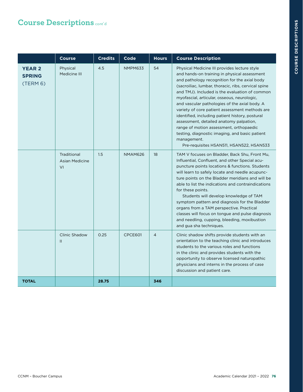|                                            | <b>Course</b>                       | <b>Credits</b> | Code           | <b>Hours</b>   | <b>Course Description</b>                                                                                                                                                                                                                                                                                                                                                                                                                                                                                                                                                                                                                                     |
|--------------------------------------------|-------------------------------------|----------------|----------------|----------------|---------------------------------------------------------------------------------------------------------------------------------------------------------------------------------------------------------------------------------------------------------------------------------------------------------------------------------------------------------------------------------------------------------------------------------------------------------------------------------------------------------------------------------------------------------------------------------------------------------------------------------------------------------------|
| <b>YEAR 2</b><br><b>SPRING</b><br>(TERM 6) | Physical<br>Medicine III            | 4.5            | <b>NMPM633</b> | 54             | Physical Medicine III provides lecture style<br>and hands-on training in physical assessment<br>and pathology recognition for the axial body<br>(sacroiliac, lumbar, thoracic, ribs, cervical spine<br>and TMJ). Included is the evaluation of common<br>myofascial, articular, osseous, neurologic,<br>and vascular pathologies of the axial body. A<br>variety of core patient assessment methods are<br>identified, including patient history, postural<br>assessment, detailed anatomy palpation,<br>range of motion assessment, orthopaedic<br>testing, diagnostic imaging, and basic patient<br>management.<br>Pre-requisites HSAN511, HSAN522, HSAN533 |
|                                            | Traditional<br>Asian Medicine<br>VI | 1.5            | <b>NMAM626</b> | 18             | TAM V focuses on Bladder, Back Shu, Front Mu,<br>Influential, Confluent, and other Special acu-<br>puncture points locations & functions. Students<br>will learn to safely locate and needle acupunc-<br>ture points on the Bladder meridians and will be<br>able to list the indications and contraindications<br>for these points.<br>Students will develop knowledge of TAM<br>symptom pattern and diagnosis for the Bladder<br>organs from a TAM perspective. Practical<br>classes will focus on tongue and pulse diagnosis<br>and needling, cupping, bleeding, moxibustion<br>and gua sha techniques.                                                    |
|                                            | Clinic Shadow<br>$\mathbf{H}$       | 0.25           | CPCE601        | $\overline{4}$ | Clinic shadow shifts provide students with an<br>orientation to the teaching clinic and introduces<br>students to the various roles and functions<br>in the clinic and provides students with the<br>opportunity to observe licensed naturopathic<br>physicians and interns in the process of case<br>discussion and patient care.                                                                                                                                                                                                                                                                                                                            |
| <b>TOTAL</b>                               |                                     | 28.75          |                | 346            |                                                                                                                                                                                                                                                                                                                                                                                                                                                                                                                                                                                                                                                               |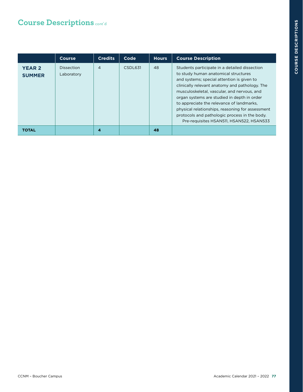|                                | <b>Course</b>                   | <b>Credits</b> | Code    | <b>Hours</b> | <b>Course Description</b>                                                                                                                                                                                                                                                                                                                                                                                                                                                         |
|--------------------------------|---------------------------------|----------------|---------|--------------|-----------------------------------------------------------------------------------------------------------------------------------------------------------------------------------------------------------------------------------------------------------------------------------------------------------------------------------------------------------------------------------------------------------------------------------------------------------------------------------|
| <b>YEAR 2</b><br><b>SUMMER</b> | <b>Dissection</b><br>Laboratory | $\overline{4}$ | CSDL631 | 48           | Students participate in a detailed dissection<br>to study human anatomical structures<br>and systems; special attention is given to<br>clinically relevant anatomy and pathology. The<br>musculoskeletal, vascular, and nervous, and<br>organ systems are studied in depth in order<br>to appreciate the relevance of landmarks,<br>physical relationships, reasoning for assessment<br>protocols and pathologic process in the body.<br>Pre-requisites HSAN511, HSAN522, HSAN533 |
| TOTAL                          |                                 | 4              |         | 48           |                                                                                                                                                                                                                                                                                                                                                                                                                                                                                   |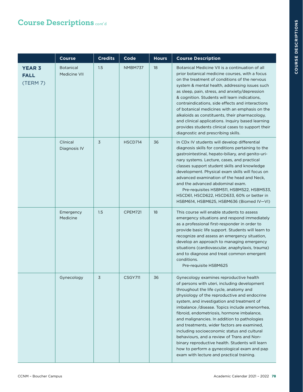|                                          | <b>Course</b>                    | <b>Credits</b> | Code    | <b>Hours</b> | <b>Course Description</b>                                                                                                                                                                                                                                                                                                                                                                                                                                                                                                                                                                                                                                                  |
|------------------------------------------|----------------------------------|----------------|---------|--------------|----------------------------------------------------------------------------------------------------------------------------------------------------------------------------------------------------------------------------------------------------------------------------------------------------------------------------------------------------------------------------------------------------------------------------------------------------------------------------------------------------------------------------------------------------------------------------------------------------------------------------------------------------------------------------|
| <b>YEAR 3</b><br><b>FALL</b><br>(TERM 7) | <b>Botanical</b><br>Medicine VII | 1.5            | NMBM737 | 18           | Botanical Medicine VII is a continuation of all<br>prior botanical medicine courses, with a focus<br>on the treatment of conditions of the nervous<br>system & mental health, addressing issues such<br>as sleep, pain, stress, and anxiety/depression<br>& cognition. Students will learn indications,<br>contraindications, side effects and interactions<br>of botanical medicines with an emphasis on the<br>alkaloids as constituents, their pharmacology,<br>and clinical applications. Inquiry based learning<br>provides students clinical cases to support their<br>diagnostic and prescribing skills.                                                            |
|                                          | Clinical<br>Diagnosis IV         | 3              | HSCD714 | 36           | In CDx IV students will develop differential<br>diagnosis skills for conditions pertaining to the<br>gastrointestinal, hepato-biliary, and genito-uri-<br>nary systems. Lecture, cases, and practical<br>classes support student skills and knowledge<br>development. Physical exam skills will focus on<br>advanced examination of the head and Neck,<br>and the advanced abdominal exam.<br>Pre-requisites HSBM511, HSBM522, HSBM533,<br>HSCD61, HSCD622, HSCD633, 60% or better in<br>HSBM614, HSBM625, HSBM636 (Biomed IV-VI)                                                                                                                                          |
|                                          | Emergency<br>Medicine            | 1.5            | CPEM721 | 18           | This course will enable students to assess<br>emergency situations and respond immediately<br>as a professional first-responder in order to<br>provide basic life support. Students will learn to<br>recognize and assess an emergency situation,<br>develop an approach to managing emergency<br>situations (cardiovascular, anaphylaxis, trauma)<br>and to diagnose and treat common emergent<br>conditions.<br>Pre-requisite HSBM625                                                                                                                                                                                                                                    |
|                                          | Gynecology                       | 3              | CSGY711 | 36           | Gynecology examines reproductive health<br>of persons with uteri, including development<br>throughout the life cycle, anatomy and<br>physiology of the reproductive and endocrine<br>system, and investigation and treatment of<br>imbalance /disease. Topics include amenorrhea,<br>fibroid, endometriosis, hormone imbalance,<br>and malignancies. In addition to pathologies<br>and treatments, wider factors are examined,<br>including socioeconomic status and cultural<br>behaviours, and a review of Trans and Non-<br>binary reproductive health. Students will learn<br>how to perform a gynecological exam and pap<br>exam with lecture and practical training. |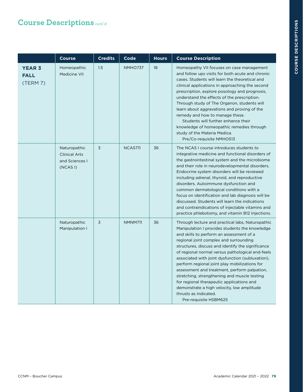|                                          | <b>Course</b>                                                     | <b>Credits</b> | Code           | <b>Hours</b> | <b>Course Description</b>                                                                                                                                                                                                                                                                                                                                                                                                                                                                                                                                                                                                                           |
|------------------------------------------|-------------------------------------------------------------------|----------------|----------------|--------------|-----------------------------------------------------------------------------------------------------------------------------------------------------------------------------------------------------------------------------------------------------------------------------------------------------------------------------------------------------------------------------------------------------------------------------------------------------------------------------------------------------------------------------------------------------------------------------------------------------------------------------------------------------|
| <b>YEAR 3</b><br><b>FALL</b><br>(TERM 7) | Homeopathic<br><b>Medicine VII</b>                                | 1.5            | <b>NMHO737</b> | 18           | Homeopathy VII focuses on case management<br>and follow ups visits for both acute and chronic<br>cases. Students will learn the theoretical and<br>clinical applications in approaching the second<br>prescription, explore posology and prognosis,<br>understand the effects of the prescription.<br>Through study of The Organon, students will<br>learn about aggravations and proving of the<br>remedy and how to manage these.<br>Students will further enhance their<br>knowledge of homeopathic remedies through<br>study of the Materia Medica.<br>Pre/Co-requisite NMHO513                                                                 |
|                                          | Naturopathic<br><b>Clinical Arts</b><br>and Sciences I<br>(NCASI) | 3              | <b>NCAS711</b> | 36           | The NCAS I course introduces students to<br>integrative medicine and functional disorders of<br>the gastrointestinal system and the microbiome<br>and their role in neurodevelopmental disorders.<br>Endocrine system disorders will be reviewed<br>including adrenal, thyroid, and reproductive<br>disorders. Autoimmune dysfunction and<br>common dermatological conditions with a<br>focus on identification and lab diagnosis will be<br>discussed. Students will learn the indications<br>and contraindications of injectable vitamins and<br>practice phlebotomy, and vitamin B12 Injections.                                                 |
|                                          | Naturopathic<br>Manipulation I                                    | 3              | <b>NMNM711</b> | 36           | Through lecture and practical labs, Naturopathic<br>Manipulation I provides students the knowledge<br>and skills to perform an assessment of a<br>regional joint complex and surrounding<br>structures, discuss and identify the significance<br>of regional normal versus pathological end-feels<br>associated with joint dysfunction (subluxation),<br>perform regional joint play mobilizations for<br>assessment and treatment, perform palpation,<br>stretching, strengthening and muscle testing<br>for regional therapeutic applications and<br>demonstrate a high velocity, low amplitude<br>thrusts as indicated.<br>Pre-requisite HSBM625 |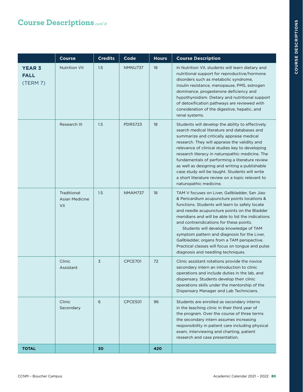|                                          | <b>Course</b>                               | <b>Credits</b> | Code           | <b>Hours</b> | <b>Course Description</b>                                                                                                                                                                                                                                                                                                                                                                                                                                                                                                               |
|------------------------------------------|---------------------------------------------|----------------|----------------|--------------|-----------------------------------------------------------------------------------------------------------------------------------------------------------------------------------------------------------------------------------------------------------------------------------------------------------------------------------------------------------------------------------------------------------------------------------------------------------------------------------------------------------------------------------------|
| <b>YEAR 3</b><br><b>FALL</b><br>(TERM 7) | <b>Nutrition VII</b>                        | 1.5            | NMNU737        | 18           | In Nutrition VII, students will learn dietary and<br>nutritional support for reproductive/hormone<br>disorders such as metabolic syndrome,<br>insulin resistance, menopause, PMS, estrogen<br>dominance, progesterone deficiency and<br>hypothyroidism. Dietary and nutritional support<br>of detoxification pathways are reviewed with<br>consideration of the digestive, hepatic, and<br>renal systems.                                                                                                                               |
|                                          | Research III                                | 1.5            | <b>PDRS723</b> | 18           | Students will develop the ability to effectively<br>search medical literature and databases and<br>summarize and critically appraise medical<br>research. They will appraise the validity and<br>relevance of clinical studies key to developing<br>research literacy in naturopathic medicine. The<br>fundamentals of performing a literature review<br>as well as designing and writing a publishable<br>case study will be taught. Students will write<br>a short literature review on a topic relevant to<br>naturopathic medicine. |
|                                          | Traditional<br><b>Asian Medicine</b><br>VII | 1.5            | <b>NMAM737</b> | 18           | TAM V focuses on Liver, Gallbladder, San Jiao<br>& Pericardium acupuncture points locations &<br>functions. Students will learn to safely locate<br>and needle acupuncture points on the Bladder<br>meridians and will be able to list the indications<br>and contraindications for these points.<br>Students will develop knowledge of TAM<br>symptom pattern and diagnosis for the Liver,<br>Gallbladder, organs from a TAM perspective.<br>Practical classes will focus on tongue and pulse<br>diagnosis and needling techniques.    |
|                                          | Clinic<br>Assistant                         | $\overline{3}$ | CPCE701        | 72           | Clinic assistant rotations provide the novice<br>secondary intern an introduction to clinic<br>operations and include duties in the lab, and<br>dispensary. Students develop their clinic<br>operations skills under the mentorship of the<br>Dispensary Manager and Lab Technicians.                                                                                                                                                                                                                                                   |
|                                          | Clinic<br>Secondary                         | 6              | <b>CPCE501</b> | 96           | Students are enrolled as secondary interns<br>in the teaching clinic in their third year of<br>the program. Over the course of three terms<br>the secondary intern assumes increasing<br>responsibility in patient care including physical<br>exam, interviewing and charting, patient<br>research and case presentation.                                                                                                                                                                                                               |
| <b>TOTAL</b>                             |                                             | 30             |                | 420          |                                                                                                                                                                                                                                                                                                                                                                                                                                                                                                                                         |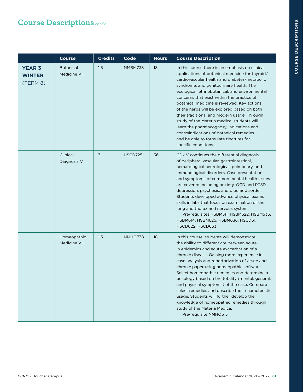|                                            | <b>Course</b>                     | <b>Credits</b> | Code           | <b>Hours</b> | <b>Course Description</b>                                                                                                                                                                                                                                                                                                                                                                                                                                                                                                                                                                                                                        |
|--------------------------------------------|-----------------------------------|----------------|----------------|--------------|--------------------------------------------------------------------------------------------------------------------------------------------------------------------------------------------------------------------------------------------------------------------------------------------------------------------------------------------------------------------------------------------------------------------------------------------------------------------------------------------------------------------------------------------------------------------------------------------------------------------------------------------------|
| <b>YEAR 3</b><br><b>WINTER</b><br>(TERM 8) | <b>Botanical</b><br>Medicine VIII | 1.5            | NMBM738        | 18           | In this course there is an emphasis on clinical<br>applications of botanical medicine for thyroid/<br>cardiovascular health and diabetes/metabolic<br>syndrome, and genitourinary health. The<br>ecological, ethnobotanical, and environmental<br>concerns that exist within the practice of<br>botanical medicine is reviewed. Key actions<br>of the herbs will be explored based on both<br>their traditional and modern usage. Through<br>study of the Materia medica, students will<br>learn the pharmacognosy, indications and<br>contraindications of botanical remedies<br>and be able to formulate tinctures for<br>specific conditions. |
|                                            | Clinical<br>Diagnosis V           | 3              | HSCD725        | 36           | CDx V continues the differential diagnosis<br>of peripheral vascular, gastrointestinal,<br>hematological neurological, pulmonary, and<br>immunological disorders. Case presentation<br>and symptoms of common mental health issues<br>are covered including anxiety, OCD and PTSD,<br>depression, psychosis, and bipolar disorder.<br>Students developed advance physical exams<br>skills in labs that focus on examination of the<br>lung and thorax and nervous system.<br>Pre-requisites HSBM511, HSBM522, HSBM533,<br>HSBM614, HSBM625, HSBM636, HSCD61,<br>HSCD622, HSCD633                                                                 |
|                                            | Homeopathic<br>Medicine VIII      | 1.5            | <b>NMHO738</b> | 18           | In this course, students will demonstrate<br>the ability to differentiate between acute<br>in epidemics and acute exacerbation of a<br>chronic disease. Gaining more experience in<br>case analysis and repertorization of acute and<br>chronic paper using homeopathic software.<br>Select homeopathic remedies and determine a<br>posology based on the totality (mental, general,<br>and physical symptoms) of the case. Compare<br>select remedies and describe their characteristic<br>usage. Students will further develop their<br>knowledge of homeopathic remedies through<br>study of the Materia Medica.<br>Pre-requisite NMHO513     |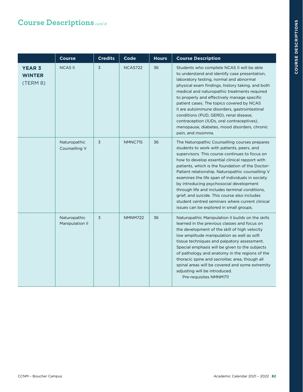|                                            | <b>Course</b>                   | <b>Credits</b> | Code           | <b>Hours</b> | <b>Course Description</b>                                                                                                                                                                                                                                                                                                                                                                                                                                                                                                                                                                               |
|--------------------------------------------|---------------------------------|----------------|----------------|--------------|---------------------------------------------------------------------------------------------------------------------------------------------------------------------------------------------------------------------------------------------------------------------------------------------------------------------------------------------------------------------------------------------------------------------------------------------------------------------------------------------------------------------------------------------------------------------------------------------------------|
| <b>YEAR 3</b><br><b>WINTER</b><br>(TERM 8) | <b>NCAS II</b>                  | 3              | <b>NCAS722</b> | 36           | Students who complete NCAS II will be able<br>to understand and identify case presentation,<br>laboratory testing, normal and abnormal<br>physical exam findings, history taking, and both<br>medical and naturopathic treatments required<br>to properly and effectively manage specific<br>patient cases. The topics covered by NCAS<br>Il are autoimmune disorders, gastrointestinal<br>conditions (PUD, GERD), renal disease,<br>contraception (IUDs, oral contraceptives),<br>menopause, diabetes, mood disorders, chronic<br>pain, and insomnia.                                                  |
|                                            | Naturopathic<br>Counselling V   | 3              | NMNC715        | 36           | The Naturopathic Counselling courses prepares<br>students to work with patients, peers, and<br>supervisors. This course continues to focus on<br>how to develop essential clinical rapport with<br>patients, which is the foundation of the Doctor-<br>Patient relationship. Naturopathic counselling V<br>examines the life span of individuals in society<br>by introducing psychosocial development<br>through life and includes terminal conditions,<br>grief, and suicide. This course also includes<br>student centred seminars where current clinical<br>issues can be explored in small groups. |
|                                            | Naturopathic<br>Manipulation II | 3              | <b>NMNM722</b> | 36           | Naturopathic Manipulation II builds on the skills<br>learned in the previous classes and focus on<br>the development of the skill of high velocity<br>low amplitude manipulation as well as soft<br>tissue techniques and palpatory assessment.<br>Special emphasis will be given to the subjects<br>of pathology and anatomy in the regions of the<br>thoracic spine and sacroiliac area, though all<br>spinal areas will be covered and some extremity<br>adjusting will be introduced.<br>Pre-requisites NMNM711                                                                                     |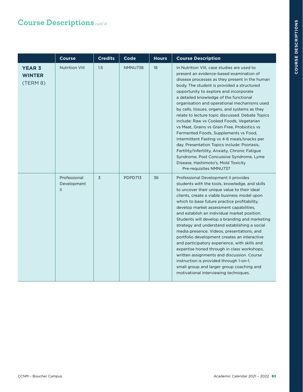|                                            | <b>Course</b>                                | <b>Credits</b> | Code    | <b>Hours</b> | <b>Course Description</b>                                                                                                                                                                                                                                                                                                                                                                                                                                                                                                                                                                                                                                                                                                                                                                                                              |
|--------------------------------------------|----------------------------------------------|----------------|---------|--------------|----------------------------------------------------------------------------------------------------------------------------------------------------------------------------------------------------------------------------------------------------------------------------------------------------------------------------------------------------------------------------------------------------------------------------------------------------------------------------------------------------------------------------------------------------------------------------------------------------------------------------------------------------------------------------------------------------------------------------------------------------------------------------------------------------------------------------------------|
| <b>YEAR 3</b><br><b>WINTER</b><br>(TERM 8) | <b>Nutrition VIII</b>                        | 1.5            | NMNU738 | 18           | In Nutrition VIII, case studies are used to<br>present an evidence-based examination of<br>disease processes as they present in the human<br>body. The student is provided a structured<br>opportunity to explore and incorporate<br>a detailed knowledge of the functional<br>organisation and operational mechanisms used<br>by cells, tissues, organs, and systems as they<br>relate to lecture topic discussed. Debate Topics<br>include: Raw vs Cooked Foods, Vegetarian<br>vs Meat, Grains vs Grain Free, Probiotics vs<br>Fermented Foods, Supplements vs Food,<br>Intermittent Fasting vs 4-6 meals/snacks per<br>day. Presentation Topics include: Psoriasis,<br>Fertility/Infertility, Anxiety, Chronic Fatigue<br>Syndrome, Post Concussive Syndrome, Lyme<br>Disease, Hashimoto's, Mold Toxicity<br>Pre-requisites NMNU737 |
|                                            | Professional<br>Development<br>$\mathbf{II}$ | 3              | PDPD713 | 36           | Professional Development II provides<br>students with the tools, knowledge, and skills<br>to uncover their unique value to their ideal<br>clients, create a viable business model upon<br>which to base future practice profitability,<br>develop market assessment capabilities,<br>and establish an individual market position.<br>Students will develop a branding and marketing<br>strategy and understand establishing a social<br>media presence. Videos, presentations, and<br>portfolio development creates an interactive<br>and participatory experience, with skills and<br>expertise honed through in class workshops,<br>written assignments and discussion. Course<br>instruction is provided through 1-on-1,<br>small group and larger group coaching and<br>motivational interviewing techniques.                      |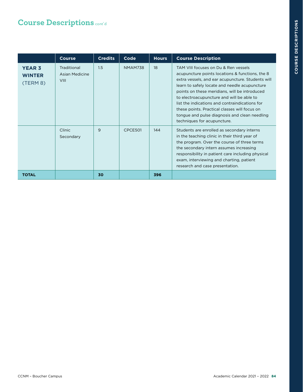|                                            | <b>Course</b>                                | <b>Credits</b> | Code           | <b>Hours</b> | <b>Course Description</b>                                                                                                                                                                                                                                                                                                                                                                                                                                                      |
|--------------------------------------------|----------------------------------------------|----------------|----------------|--------------|--------------------------------------------------------------------------------------------------------------------------------------------------------------------------------------------------------------------------------------------------------------------------------------------------------------------------------------------------------------------------------------------------------------------------------------------------------------------------------|
| <b>YEAR 3</b><br><b>WINTER</b><br>(TERM 8) | Traditional<br>Asian Medicine<br><b>VIII</b> | 1.5            | <b>NMAM738</b> | 18           | TAM VIII focuses on Du & Ren vessels<br>acupuncture points locations & functions, the 8<br>extra vessels, and ear acupuncture. Students will<br>learn to safely locate and needle acupuncture<br>points on these meridians, will be introduced<br>to electroacupuncture and will be able to<br>list the indications and contraindications for<br>these points. Practical classes will focus on<br>tongue and pulse diagnosis and clean needling<br>techniques for acupuncture. |
|                                            | Clinic<br>Secondary                          | 9              | CPCE501        | 144          | Students are enrolled as secondary interns<br>in the teaching clinic in their third year of<br>the program. Over the course of three terms<br>the secondary intern assumes increasing<br>responsibility in patient care including physical<br>exam, interviewing and charting, patient<br>research and case presentation.                                                                                                                                                      |
| <b>TOTAL</b>                               |                                              | 30             |                | 396          |                                                                                                                                                                                                                                                                                                                                                                                                                                                                                |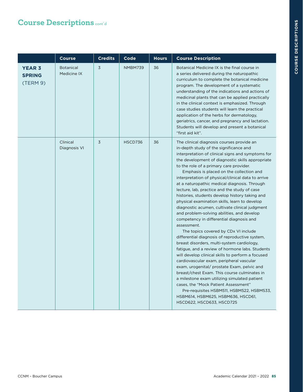|                                            | <b>Course</b>                   | <b>Credits</b> | Code           | <b>Hours</b> | <b>Course Description</b>                                                                                                                                                                                                                                                                                                                                                                                                                                                                                                                                                                                                                                                                                                                                                                                                                                                                                                                                                                                                                                                                                                                                                                                                                                                                                  |
|--------------------------------------------|---------------------------------|----------------|----------------|--------------|------------------------------------------------------------------------------------------------------------------------------------------------------------------------------------------------------------------------------------------------------------------------------------------------------------------------------------------------------------------------------------------------------------------------------------------------------------------------------------------------------------------------------------------------------------------------------------------------------------------------------------------------------------------------------------------------------------------------------------------------------------------------------------------------------------------------------------------------------------------------------------------------------------------------------------------------------------------------------------------------------------------------------------------------------------------------------------------------------------------------------------------------------------------------------------------------------------------------------------------------------------------------------------------------------------|
| <b>YEAR 3</b><br><b>SPRING</b><br>(TERM 9) | <b>Botanical</b><br>Medicine IX | 3              | NMBM739        | 36           | Botanical Medicine IX is the final course in<br>a series delivered during the naturopathic<br>curriculum to complete the botanical medicine<br>program. The development of a systematic<br>understanding of the indications and actions of<br>medicinal plants that can be applied practically<br>in the clinical context is emphasized. Through<br>case studies students will learn the practical<br>application of the herbs for dermatology,<br>geriatrics, cancer, and pregnancy and lactation.<br>Students will develop and present a botanical<br>"first aid kit".                                                                                                                                                                                                                                                                                                                                                                                                                                                                                                                                                                                                                                                                                                                                   |
|                                            | Clinical<br>Diagnosis VI        | 3              | <b>HSCD736</b> | 36           | The clinical diagnosis courses provide an<br>in-depth study of the significance and<br>interpretation of clinical signs and symptoms for<br>the development of diagnostic skills appropriate<br>to the role of a primary care provider.<br>Emphasis is placed on the collection and<br>interpretation of physical/clinical data to arrive<br>at a naturopathic medical diagnosis. Through<br>lecture, lab, practice and the study of case<br>histories, students develop history taking and<br>physical examination skills, learn to develop<br>diagnostic acumen, cultivate clinical judgment<br>and problem-solving abilities, and develop<br>competency in differential diagnosis and<br>assessment.<br>The topics covered by CDx VI include<br>differential diagnosis of reproductive system,<br>breast disorders, multi-system cardiology,<br>fatigue, and a review of hormone labs. Students<br>will develop clinical skills to perform a focused<br>cardiovascular exam, peripheral vascular<br>exam, urogenital/ prostate Exam, pelvic and<br>breast/chest Exam. This course culminates in<br>a milestone exam utilizing simulated patient<br>cases, the "Mock Patient Assessment"<br>Pre-requisites HSBM511, HSBM522, HSBM533,<br>HSBM614, HSBM625, HSBM636, HSCD61,<br>HSCD622, HSCD633, HSCD725 |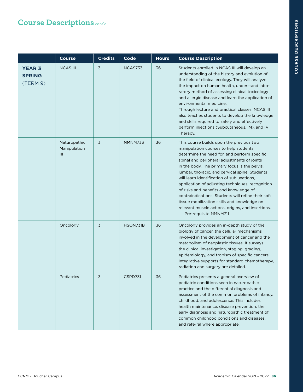|                                            | <b>Course</b>                                  | <b>Credits</b> | Code     | <b>Hours</b> | <b>Course Description</b>                                                                                                                                                                                                                                                                                                                                                                                                                                                                                                                                                                                          |
|--------------------------------------------|------------------------------------------------|----------------|----------|--------------|--------------------------------------------------------------------------------------------------------------------------------------------------------------------------------------------------------------------------------------------------------------------------------------------------------------------------------------------------------------------------------------------------------------------------------------------------------------------------------------------------------------------------------------------------------------------------------------------------------------------|
| <b>YEAR 3</b><br><b>SPRING</b><br>(TERM 9) | <b>NCAS III</b>                                | 3              | NCAS733  | 36           | Students enrolled in NCAS III will develop an<br>understanding of the history and evolution of<br>the field of clinical ecology. They will analyze<br>the impact on human health, understand labo-<br>ratory method of assessing clinical toxicology<br>and allergic disease and learn the application of<br>environmental medicine.<br>Through lecture and practical classes, NCAS III<br>also teaches students to develop the knowledge<br>and skills required to safely and effectively<br>perform injections (Subcutaneous, IM), and IV<br>Therapy.                                                            |
|                                            | Naturopathic<br>Manipulation<br>$\mathbf{III}$ | 3              | NMNM733  | 36           | This course builds upon the previous two<br>manipulation courses to help students<br>determine the need for, and perform specific<br>spinal and peripheral adjustments of joints<br>in the body. The primary focus is the pelvis,<br>lumbar, thoracic, and cervical spine. Students<br>will learn identification of subluxations.<br>application of adjusting techniques, recognition<br>of risks and benefits and knowledge of<br>contraindications. Students will refine their soft<br>tissue mobilization skills and knowledge on<br>relevant muscle actions, origins, and insertions.<br>Pre-requisite NMNM711 |
|                                            | Oncology                                       | 3              | HSON731B | 36           | Oncology provides an in-depth study of the<br>biology of cancer, the cellular mechanisms<br>involved in the development of cancer and the<br>metabolism of neoplastic tissues. It surveys<br>the clinical investigation, staging, grading,<br>epidemiology, and tropism of specific cancers.<br>Integrative supports for standard chemotherapy,<br>radiation and surgery are detailed.                                                                                                                                                                                                                             |
|                                            | Pediatrics                                     | 3              | CSPD731  | 36           | Pediatrics presents a general overview of<br>pediatric conditions seen in naturopathic<br>practice and the differential diagnosis and<br>assessment of the common problems of infancy,<br>childhood, and adolescence. This includes<br>health maintenance, disease prevention, the<br>early diagnosis and naturopathic treatment of<br>common childhood conditions and diseases,<br>and referral where appropriate.                                                                                                                                                                                                |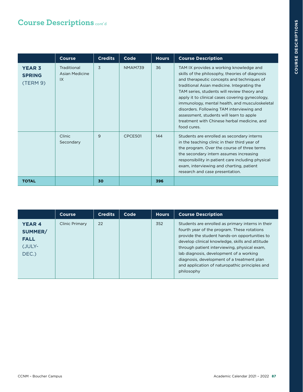|                                            | <b>Course</b>                       | <b>Credits</b> | Code           | <b>Hours</b> | <b>Course Description</b>                                                                                                                                                                                                                                                                                                                                                                                                                                                                          |
|--------------------------------------------|-------------------------------------|----------------|----------------|--------------|----------------------------------------------------------------------------------------------------------------------------------------------------------------------------------------------------------------------------------------------------------------------------------------------------------------------------------------------------------------------------------------------------------------------------------------------------------------------------------------------------|
| <b>YEAR 3</b><br><b>SPRING</b><br>(TERM 9) | Traditional<br>Asian Medicine<br>IX | 3              | <b>NMAM739</b> | 36           | TAM IX provides a working knowledge and<br>skills of the philosophy, theories of diagnosis<br>and therapeutic concepts and techniques of<br>traditional Asian medicine. Integrating the<br>TAM series, students will review theory and<br>apply it to clinical cases covering gynecology,<br>immunology, mental health, and musculoskeletal<br>disorders. Following TAM interviewing and<br>assessment, students will learn to apple<br>treatment with Chinese herbal medicine, and<br>food cures. |
|                                            | Clinic<br>Secondary                 | 9              | CPCE501        | 144          | Students are enrolled as secondary interns<br>in the teaching clinic in their third year of<br>the program. Over the course of three terms<br>the secondary intern assumes increasing<br>responsibility in patient care including physical<br>exam, interviewing and charting, patient<br>research and case presentation.                                                                                                                                                                          |
| <b>TOTAL</b>                               |                                     | 30             |                | 396          |                                                                                                                                                                                                                                                                                                                                                                                                                                                                                                    |

|                                                           | <b>Course</b>  | <b>Credits</b> | Code | <b>Hours</b> | <b>Course Description</b>                                                                                                                                                                                                                                                                                                                                                                                     |
|-----------------------------------------------------------|----------------|----------------|------|--------------|---------------------------------------------------------------------------------------------------------------------------------------------------------------------------------------------------------------------------------------------------------------------------------------------------------------------------------------------------------------------------------------------------------------|
| <b>YEAR4</b><br>SUMMER/<br><b>FALL</b><br>(JULY-<br>DEC.) | Clinic Primary | 22             |      | 352          | Students are enrolled as primary interns in their<br>fourth year of the program. These rotations<br>provide the student hands-on opportunities to<br>develop clinical knowledge, skills and attitude<br>through patient interviewing, physical exam,<br>lab diagnosis, development of a working<br>diagnosis, development of a treatment plan<br>and application of naturopathic principles and<br>philosophy |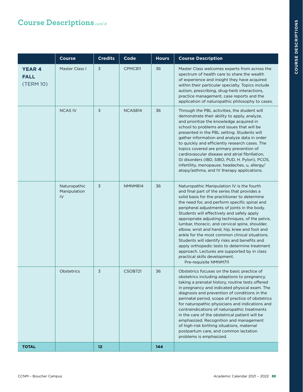|                                           | <b>Course</b>                      | <b>Credits</b> | Code           | <b>Hours</b> | <b>Course Description</b>                                                                                                                                                                                                                                                                                                                                                                                                                                                                                                                                                                                                                                                                                         |
|-------------------------------------------|------------------------------------|----------------|----------------|--------------|-------------------------------------------------------------------------------------------------------------------------------------------------------------------------------------------------------------------------------------------------------------------------------------------------------------------------------------------------------------------------------------------------------------------------------------------------------------------------------------------------------------------------------------------------------------------------------------------------------------------------------------------------------------------------------------------------------------------|
| <b>YEAR 4</b><br><b>FALL</b><br>(TERM 10) | Master Class I                     | 3              | CPMC811        | 36           | Master Class welcomes experts from across the<br>spectrum of health care to share the wealth<br>of experience and insight they have acquired<br>within their particular specialty. Topics include<br>autism, prescribing, drug-herb interactions,<br>practice management, case reports and the<br>application of naturopathic philosophy to cases.                                                                                                                                                                                                                                                                                                                                                                |
|                                           | <b>NCAS IV</b>                     | 3              | NCAS814        | 36           | Through the PBL activities, the student will<br>demonstrate their ability to apply, analyze,<br>and prioritize the knowledge acquired in<br>school to problems and issues that will be<br>presented in the PBL setting. Students will<br>gather information and analyze data in order<br>to quickly and efficiently research cases. The<br>topics covered are primary prevention of<br>cardiovascular disease and atrial fibrillation,<br>GI disorders (IBD, SIBO, PUD, H. Pylori), PCOS,<br>infertility, menopause, headaches, u, allergy/<br>atopy/asthma, and IV therapy applications.                                                                                                                         |
|                                           | Naturopathic<br>Manipulation<br>IV | 3              | NMNM814        | 36           | Naturopathic Manipulation IV is the fourth<br>and final part of the series that provides a<br>solid basis for the practitioner to determine<br>the need for, and perform specific spinal and<br>peripheral adjustments of joints in the body.<br>Students will effectively and safely apply<br>appropriate adjusting techniques, of the pelvis,<br>lumbar, thoracic, and cervical spine, shoulder,<br>elbow, wrist and hand, hip, knee and foot and<br>ankle for the most common clinical situations.<br>Students will identify risks and benefits and<br>apply orthopedic tests to determine treatment<br>approach. Lectures are supported by in class<br>practical skills development.<br>Pre-requisite NMNM711 |
|                                           | <b>Obstetrics</b>                  | 3              | <b>CSOB721</b> | 36           | Obstetrics focuses on the basic practice of<br>obstetrics including adaptions to pregnancy,<br>taking a prenatal history, routine tests offered<br>in pregnancy and indicated physical exam. The<br>diagnosis and prevention of conditions in the<br>perinatal period, scope of practice of obstetrics<br>for naturopathic physicians and indications and<br>contraindications of naturopathic treatments<br>in the care of the obstetrical patient will be<br>emphasized. Recognition and management<br>of high-risk birthing situations, maternal<br>postpartum care, and common lactation<br>problems is emphasized.                                                                                           |
| <b>TOTAL</b>                              |                                    | 12             |                | 144          |                                                                                                                                                                                                                                                                                                                                                                                                                                                                                                                                                                                                                                                                                                                   |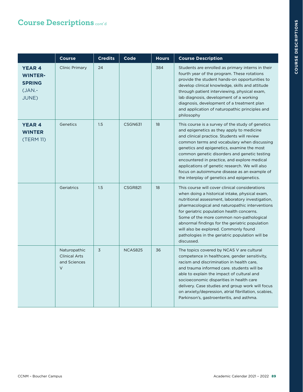|                                                                       | <b>Course</b>                                                  | <b>Credits</b> | Code           | <b>Hours</b> | <b>Course Description</b>                                                                                                                                                                                                                                                                                                                                                                                                                                                                 |
|-----------------------------------------------------------------------|----------------------------------------------------------------|----------------|----------------|--------------|-------------------------------------------------------------------------------------------------------------------------------------------------------------------------------------------------------------------------------------------------------------------------------------------------------------------------------------------------------------------------------------------------------------------------------------------------------------------------------------------|
| <b>YEAR4</b><br><b>WINTER-</b><br><b>SPRING</b><br>$(JAN.$ -<br>JUNE) | <b>Clinic Primary</b>                                          | 24             |                | 384          | Students are enrolled as primary interns in their<br>fourth year of the program. These rotations<br>provide the student hands-on opportunities to<br>develop clinical knowledge, skills and attitude<br>through patient interviewing, physical exam,<br>lab diagnosis, development of a working<br>diagnosis, development of a treatment plan<br>and application of naturopathic principles and<br>philosophy                                                                             |
| <b>YEAR 4</b><br><b>WINTER</b><br>(TERM 11)                           | Genetics                                                       | 1.5            | CSGN631        | 18           | This course is a survey of the study of genetics<br>and epigenetics as they apply to medicine<br>and clinical practice. Students will review<br>common terms and vocabulary when discussing<br>genetics and epigenetics, examine the most<br>common genetic disorders and genetic testing<br>encountered in practice, and explore medical<br>applications of genetic research. We will also<br>focus on autoimmune disease as an example of<br>the interplay of genetics and epigenetics. |
|                                                                       | Geriatrics                                                     | 1.5            | CSGR821        | 18           | This course will cover clinical considerations<br>when doing a historical intake, physical exam,<br>nutritional assessment, laboratory investigation,<br>pharmacological and naturopathic interventions<br>for geriatric population health concerns.<br>Some of the more common non-pathological<br>abnormal findings for the geriatric population<br>will also be explored. Commonly found<br>pathologies in the geriatric population will be<br>discussed.                              |
|                                                                       | Naturopathic<br><b>Clinical Arts</b><br>and Sciences<br>$\vee$ | 3              | <b>NCAS825</b> | 36           | The topics covered by NCAS V are cultural<br>competence in healthcare, gender sensitivity,<br>racism and discrimination in health care,<br>and trauma informed care, students will be<br>able to explain the impact of cultural and<br>socioeconomic disparities in health care<br>delivery. Case studies and group work will focus<br>on anxiety/depression, atrial fibrillation, scabies,<br>Parkinson's, gastroenteritis, and asthma.                                                  |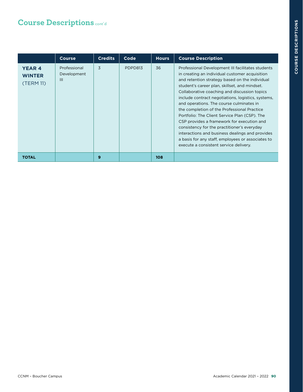|                                             | <b>Course</b>                                 | <b>Credits</b> | Code    | <b>Hours</b> | <b>Course Description</b>                                                                                                                                                                                                                                                                                                                                                                                                                                                                                                                                                                                                                                                                               |
|---------------------------------------------|-----------------------------------------------|----------------|---------|--------------|---------------------------------------------------------------------------------------------------------------------------------------------------------------------------------------------------------------------------------------------------------------------------------------------------------------------------------------------------------------------------------------------------------------------------------------------------------------------------------------------------------------------------------------------------------------------------------------------------------------------------------------------------------------------------------------------------------|
| <b>YEAR 4</b><br><b>WINTER</b><br>(TERM 11) | Professional<br>Development<br>$\mathbf{III}$ | 3              | PDPD813 | 36           | Professional Development III facilitates students<br>in creating an individual customer acquisition<br>and retention strategy based on the individual<br>student's career plan, skillset, and mindset.<br>Collaborative coaching and discussion topics<br>include contract negotiations, logistics, systems,<br>and operations. The course culminates in<br>the completion of the Professional Practice<br>Portfolio: The Client Service Plan (CSP). The<br>CSP provides a framework for execution and<br>consistency for the practitioner's everyday<br>interactions and business dealings and provides<br>a basis for any staff, employees or associates to<br>execute a consistent service delivery. |
| <b>TOTAL</b>                                |                                               | 9              |         | 108          |                                                                                                                                                                                                                                                                                                                                                                                                                                                                                                                                                                                                                                                                                                         |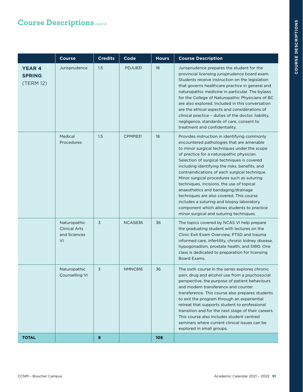|                                             | <b>Course</b>                                              | <b>Credits</b> | Code           | <b>Hours</b> | <b>Course Description</b>                                                                                                                                                                                                                                                                                                                                                                                                                                                                                                                                                                                                                                     |
|---------------------------------------------|------------------------------------------------------------|----------------|----------------|--------------|---------------------------------------------------------------------------------------------------------------------------------------------------------------------------------------------------------------------------------------------------------------------------------------------------------------------------------------------------------------------------------------------------------------------------------------------------------------------------------------------------------------------------------------------------------------------------------------------------------------------------------------------------------------|
| <b>YEAR 4</b><br><b>SPRING</b><br>(TERM 12) | Jurisprudence                                              | 1.5            | <b>PDJU831</b> | 18           | Jurisprudence prepares the student for the<br>provincial licensing jurisprudence board exam.<br>Students receive instruction on the legislation<br>that governs healthcare practice in general and<br>naturopathic medicine in particular. The bylaws<br>for the College of Naturopathic Physicians of BC<br>are also explored. Included in this conversation<br>are the ethical aspects and considerations of<br>clinical practice - duties of the doctor, liability,<br>negligence, standards of care, consent to<br>treatment and confidentiality.                                                                                                         |
|                                             | Medical<br>Procedures                                      | 1.5            | CPMP831        | 18           | Provides instruction in identifying commonly<br>encountered pathologies that are amenable<br>to minor surgical techniques under the scope<br>of practice for a naturopathic physician.<br>Selection of surgical techniques is covered<br>including identifying the risks, benefits, and<br>contraindications of each surgical technique.<br>Minor surgical procedures such as suturing<br>techniques, incisions, the use of topical<br>anaesthetics and bandaging/drainage<br>techniques are also covered. This course<br>includes a suturing and biopsy laboratory<br>component which allows students to practice<br>minor surgical and suturing techniques. |
|                                             | Naturopathic<br><b>Clinical Arts</b><br>and Sciences<br>VI | 3              | NCAS836        | 36           | The topics covered by NCAS VI help prepare<br>the graduating student with lectures on the<br>Clinic Exit Exam Overview, PTSD and trauma<br>informed care, infertility, chronic kidney disease,<br>hypogonadism, prostate health, and SIBO. One<br>class is dedicated to preparation for licensing<br>Board Exams.                                                                                                                                                                                                                                                                                                                                             |
|                                             | Naturopathic<br>Counselling VI                             | 3              | NMNC816        | 36           | The sixth course in the series explores chronic<br>pain, drug and alcohol use from a psychosocial<br>perspective, the purpose of patient behaviours<br>and modern transference and counter<br>transference. This course also prepares students<br>to exit the program through an experiential<br>retreat that supports student to professional<br>transition and for the next stage of their careers.<br>This course also includes student centred<br>seminars where current clinical issues can be<br>explored in small groups.                                                                                                                              |
| <b>TOTAL</b>                                |                                                            | 9              |                | 108          |                                                                                                                                                                                                                                                                                                                                                                                                                                                                                                                                                                                                                                                               |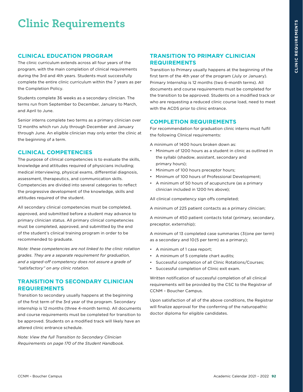# **Clinic Requirements**

## **CLINICAL EDUCATION PROGRAM**

The clinic curriculum extends across all four years of the program, with the main completion of clinical requirements during the 3rd and 4th years. Students must successfully complete the entire clinic curriculum within the 7 years as per the Completion Policy.

Students complete 36 weeks as a secondary clinician. The terms run from September to December, January to March, and April to June.

Senior interns complete two terms as a primary clinician over 12 months which run July through December and January through June. An eligible clinician may only enter the clinic at the beginning of a term.

## **CLINICAL COMPETENCIES**

The purpose of clinical competencies is to evaluate the skills, knowledge and attitudes required of physicians including; medical interviewing, physical exams, differential diagnosis, assessment, therapeutics, and communication skills. Competencies are divided into several categories to reflect the progressive development of the knowledge, skills and attitudes required of the student.

All secondary clinical competencies must be completed, approved, and submitted before a student may advance to primary clinician status. All primary clinical competencies must be completed, approved, and submitted by the end of the student's clinical training program in order to be recommended to graduate.

*Note: these competencies are not linked to the clinic rotation grades. They are a separate requirement for graduation, and a signed-off competency does not assure a grade of "satisfactory" on any clinic rotation.*

## **TRANSITION TO SECONDARY CLINICIAN REQUIREMENTS**

Transition to secondary usually happens at the beginning of the first term of the 3rd year of the program. Secondary internship is 12 months (three 4-month terms). All documents and course requirements must be completed for transition to be approved. Students on a modified track will likely have an altered clinic entrance schedule.

*Note: View the full Transition to Secondary Clinician Requirements on page 170 of the Student Handbook.* 

## **TRANSITION TO PRIMARY CLINICIAN REQUIREMENTS**

Transition to Primary usually happens at the beginning of the first term of the 4th year of the program (July or January). Primary Internship is 12 months (two 6-month terms). All documents and course requirements must be completed for the transition to be approved. Students on a modified track or who are requesting a reduced clinic course load, need to meet with the ACDS prior to clinic entrance.

## **COMPLETION REQUIREMENTS**

For recommendation for graduation clinic interns must fulfil the following Clinical requirements:

A minimum of 1400 hours broken down as:

- Minimum of 1200 hours as a student in clinic as outlined in the syllabi (shadow, assistant, secondary and primary hours);
- Minimum of 100 hours preceptor hours;
- Minimum of 100 hours of Professional Development;
- A minimum of 50 hours of acupuncture (as a primary clinician included in 1200 hrs above);

All clinical competency sign offs completed;

A minimum of 225 patient contacts as a primary clinician;

A minimum of 450 patient contacts total (primary, secondary, preceptor, externship);

A minimum of 13 completed case summaries (3{one per term} as a secondary and 10{5 per term} as a primary);

- A minimum of 1 case report;
- A minimum of 5 complete chart audits;
- Successful completion of all Clinic Rotations/Courses;
- Successful completion of Clinic exit exam.

Written notification of successful completion of all clinical requirements will be provided by the CSC to the Registrar of CCNM – Boucher Campus.

Upon satisfaction of all of the above conditions, the Registrar will finalize approval for the conferring of the naturopathic doctor diploma for eligible candidates.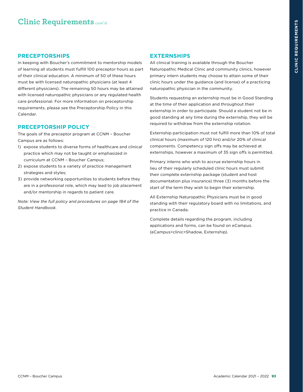## **Clinic Requirements** cont'd

#### **PRECEPTORSHIPS**

In keeping with Boucher's commitment to mentorship models of learning all students must fulfill 100 preceptor hours as part of their clinical education. A minimum of 50 of these hours must be with licensed naturopathic physicians (at least 4 different physicians). The remaining 50 hours may be attained with licensed naturopathic physicians or any regulated health care professional. For more information on preceptorship requirements, please see the Preceptorship Policy in this Calendar.

#### **PRECEPTORSHIP POLICY**

The goals of the preceptor program at CCNM – Boucher Campus are as follows:

- 1) expose students to diverse forms of healthcare and clinical practice which may not be taught or emphasized in curriculum at CCNM – Boucher Campus;
- 2) expose students to a variety of practice management strategies and styles;
- 3) provide networking opportunities to students before they are in a professional role, which may lead to job placement and/or mentorship in regards to patient care.

*Note: View the full policy and procedures on page 184 of the Student Handbook.* 

## **EXTERNSHIPS**

All clinical training is available through the Boucher Naturopathic Medical Clinic and community clinics, however primary intern students may choose to attain some of their clinic hours under the guidance (and license) of a practicing naturopathic physician in the community.

Students requesting an externship must be in Good Standing at the time of their application and throughout their externship in order to participate. Should a student not be in good standing at any time during the externship, they will be required to withdraw from the externship rotation.

Externship participation must not fulfill more than 10% of total clinical hours (maximum of 120 hrs) and/or 20% of clinical components. Competency sign offs may be achieved at externships, however a maximum of 35 sign offs is permitted.

Primary interns who wish to accrue externship hours in lieu of their regularly scheduled clinic hours must submit their complete externship package (student and host documentation plus insurance) three (3) months before the start of the term they wish to begin their externship.

All Externship Naturopathic Physicians must be in good standing with their regulatory board with no limitations, and practice in Canada.

Complete details regarding the program, including applications and forms, can be found on eCampus. (eCampus>clinic>Shadow, Externship)*.*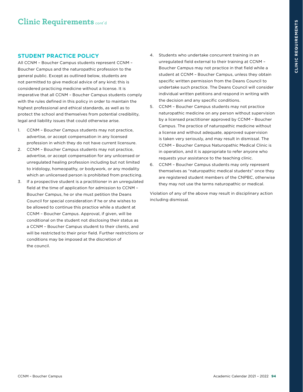## **STUDENT PRACTICE POLICY**

All CCNM – Boucher Campus students represent CCNM – Boucher Campus and the naturopathic profession to the general public. Except as outlined below, students are not permitted to give medical advice of any kind; this is considered practicing medicine without a license. It is imperative that all CCNM – Boucher Campus students comply with the rules defined in this policy in order to maintain the highest professional and ethical standards, as well as to protect the school and themselves from potential credibility, legal and liability issues that could otherwise arise.

- 1. CCNM Boucher Campus students may not practice, advertise, or accept compensation in any licensed profession in which they do not have current licensure.
- 2. CCNM Boucher Campus students may not practice, advertise, or accept compensation for any unlicensed or unregulated healing profession including but not limited to iridology, homeopathy, or bodywork, or any modality which an unlicensed person is prohibited from practicing.
- 3. If a prospective student is a practitioner in an unregulated field at the time of application for admission to CCNM – Boucher Campus, he or she must petition the Deans Council for special consideration if he or she wishes to be allowed to continue this practice while a student at CCNM – Boucher Campus. Approval, if given, will be conditional on the student not disclosing their status as a CCNM – Boucher Campus student to their clients, and will be restricted to their prior field. Further restrictions or conditions may be imposed at the discretion of the council.
- 4. Students who undertake concurrent training in an unregulated field external to their training at CCNM – Boucher Campus may not practice in that field while a student at CCNM – Boucher Campus, unless they obtain specific written permission from the Deans Council to undertake such practice. The Deans Council will consider individual written petitions and respond in writing with the decision and any specific conditions.
- 5. CCNM Boucher Campus students may not practice naturopathic medicine on any person without supervision by a licensed practitioner approved by CCNM – Boucher Campus. The practice of naturopathic medicine without a license and without adequate, approved supervision is taken very seriously, and may result in dismissal. The CCNM – Boucher Campus Naturopathic Medical Clinic is in operation, and it is appropriate to refer anyone who requests your assistance to the teaching clinic.
- 6. CCNM Boucher Campus students may only represent themselves as "naturopathic medical students" once they are registered student members of the CNPBC, otherwise they may not use the terms naturopathic or medical.

Violation of any of the above may result in disciplinary action including dismissal.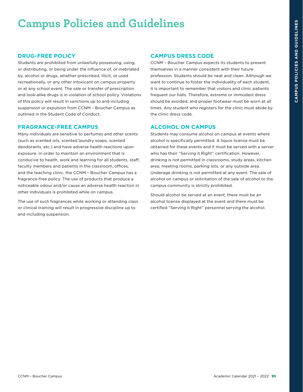# **Campus Policies and Guidelines**

## **DRUG-FREE POLICY**

Students are prohibited from unlawfully possessing, using, or distributing, or being under the influence of, or inebriated by, alcohol or drugs, whether prescribed, illicit, or used recreationally, or any other intoxicant on campus property or at any school event. The sale or transfer of prescription and look-alike drugs is in violation of school policy. Violations of this policy will result in sanctions up to and including suspension or expulsion from CCNM – Boucher Campus as outlined in the Student Code of Conduct.

#### **FRAGRANCE-FREE CAMPUS**

Many individuals are sensitive to perfumes and other scents (such as scented oils, scented laundry soaps, scented deodorants, etc.) and have adverse health reactions upon exposure. In order to maintain an environment that is conducive to health, work and learning for all students, staff, faculty members and patients in the classroom, offices, and the teaching clinic, the CCNM – Boucher Campus has a fragrance-free policy. The use of products that produce a noticeable odour and/or cause an adverse health reaction in other individuals is prohibited while on campus.

The use of such fragrances while working or attending class or clinical training will result in progressive discipline up to and including suspension.

## **CAMPUS DRESS CODE**

CCNM – Boucher Campus expects its students to present themselves in a manner consistent with their future profession. Students should be neat and clean. Although we want to continue to foster the individuality of each student, it is important to remember that visitors and clinic patients frequent our halls. Therefore, extreme or immodest dress should be avoided, and proper footwear must be worn at all times. Any student who registers for the clinic must abide by the clinic dress code.

## **ALCOHOL ON CAMPUS**

Students may consume alcohol on campus at events where alcohol is specifically permitted. A liquor license must be obtained for these events and it must be served with a server who has their "Serving it Right" certification. However, drinking is not permitted in classrooms, study areas, kitchen area, meeting rooms, parking lots, or any outside area. Underage drinking is not permitted at any event. The sale of alcohol on campus or solicitation of the sale of alcohol to the campus community is strictly prohibited.

Should alcohol be served at an event, there must be an alcohol license displayed at the event and there must be certified "Serving it Right" personnel serving the alcohol.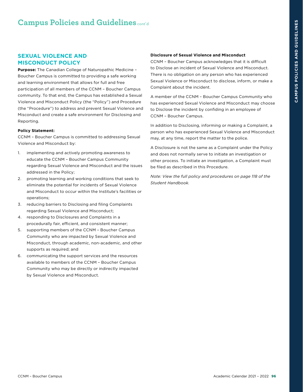## **Campus Policies and Guidelines** cont'd

## **SEXUAL VIOLENCE AND MISCONDUCT POLICY**

**Purpose:** The Canadian College of Naturopathic Medicine – Boucher Campus is committed to providing a safe working and learning environment that allows for full and free participation of all members of the CCNM – Boucher Campus community. To that end, the Campus has established a Sexual Violence and Misconduct Policy (the "Policy") and Procedure (the "Procedure") to address and prevent Sexual Violence and Misconduct and create a safe environment for Disclosing and Reporting.

#### **Policy Statement:**

CCNM – Boucher Campus is committed to addressing Sexual Violence and Misconduct by:

- 1. implementing and actively promoting awareness to educate the CCNM – Boucher Campus Community regarding Sexual Violence and Misconduct and the issues addressed in the Policy;
- 2. promoting learning and working conditions that seek to eliminate the potential for incidents of Sexual Violence and Misconduct to occur within the Institute's facilities or operations;
- 3. reducing barriers to Disclosing and filing Complaints regarding Sexual Violence and Misconduct;
- 4. responding to Disclosures and Complaints in a procedurally fair, efficient, and consistent manner;
- 5. supporting members of the CCNM Boucher Campus Community who are impacted by Sexual Violence and Misconduct, through academic, non-academic, and other supports as required; and
- 6. communicating the support services and the resources available to members of the CCNM – Boucher Campus Community who may be directly or indirectly impacted by Sexual Violence and Misconduct.

#### **Disclosure of Sexual Violence and Misconduct**

CCNM – Boucher Campus acknowledges that it is difficult to Disclose an incident of Sexual Violence and Misconduct. There is no obligation on any person who has experienced Sexual Violence or Misconduct to disclose, inform, or make a Complaint about the incident.

A member of the CCNM – Boucher Campus Community who has experienced Sexual Violence and Misconduct may choose to Disclose the incident by confiding in an employee of CCNM – Boucher Campus.

In addition to Disclosing, informing or making a Complaint, a person who has experienced Sexual Violence and Misconduct may, at any time, report the matter to the police.

A Disclosure is not the same as a Complaint under the Policy and does not normally serve to initiate an investigation or other process. To initiate an investigation, a Complaint must be filed as described in this Procedure.

*Note: View the full policy and procedures on page 118 of the Student Handbook.*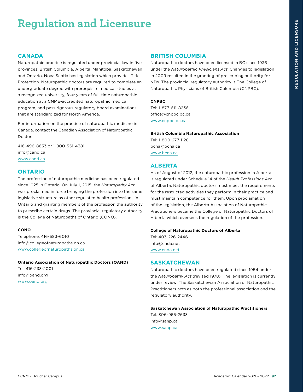# **Regulation and Licensure**

#### **CANADA**

Naturopathic practice is regulated under provincial law in five provinces: British Columbia, Alberta, Manitoba, Saskatchewan and Ontario. Nova Scotia has legislation which provides Title Protection. Naturopathic doctors are required to complete an undergraduate degree with prerequisite medical studies at a recognized university, four years of full-time naturopathic education at a CNME-accredited naturopathic medical program, and pass rigorous regulatory board examinations that are standardized for North America.

For information on the practice of naturopathic medicine in Canada, contact the Canadian Association of Naturopathic Doctors.

416-496-8633 or 1-800-551-4381 info@cand.ca [www.cand.ca](http://www.cand.ca)

#### **ONTARIO**

The profession of naturopathic medicine has been regulated since 1925 in Ontario. On July 1, 2015, the *Naturopathy Act* was proclaimed in force bringing the profession into the same legislative structure as other regulated health professions in Ontario and granting members of the profession the authority to prescribe certain drugs. The provincial regulatory authority is the College of Naturopaths of Ontario (CONO).

#### **CONO**

Telephone: 416-583-6010 info@collegeofnaturopaths.on.ca [www.collegeofnaturopaths.on.ca](http://www.collegeofnaturopaths.on.ca)

#### **Ontario Association of Naturopathic Doctors (OAND)**

Tel: 416-233-2001 info@oand.org [www.oand.org](https://oand.org/) 

#### **BRITISH COLUMBIA**

Naturopathic doctors have been licensed in BC since 1936 under the *Naturopathic Physicians Act*. Changes to legislation in 2009 resulted in the granting of prescribing authority for NDs. The provincial regulatory authority is The College of Naturopathic Physicians of British Columbia (CNPBC).

#### **CNPBC**

Tel: 1-877-611-8236 office@cnpbc.bc.ca [www.cnpbc.bc.ca](https://cnpbc.bc.ca/)

## **British Columbia Naturopathic Association**

Tel: 1-800-277-1128 bcna@bcna.ca [www.bcna.ca](https://www.bcna.ca/)

#### **ALBERTA**

As of August of 2012, the naturopathic profession in Alberta is regulated under Schedule 14 of the *Health Professions Act*  of Alberta. Naturopathic doctors must meet the requirements for the restricted activities they perform in their practice and must maintain competence for them. Upon proclamation of the legislation, the Alberta Association of Naturopathic Practitioners became the College of Naturopathic Doctors of Alberta which oversees the regulation of the profession.

#### **College of Naturopathic Doctors of Alberta**

Tel: 403-226-2446 [info@cnda.net](mailto:info%40cnda.net?subject=) [www.cnda.net](https://www.cnda.net/)

#### **SASKATCHEWAN**

Naturopathic doctors have been regulated since 1954 under the *Naturopathy Act* (revised 1978). The legislation is currently under review. The Saskatchewan Association of Naturopathic Practitioners acts as both the professional association and the regulatory authority.

#### **Saskatchewan Association of Naturopathic Practitioners**

Tel: 306-955-2633 [info@sanp.ca](mailto:info%40sanp.ca?subject=) [www.sanp.ca](http://www.sanp.ca/index.html)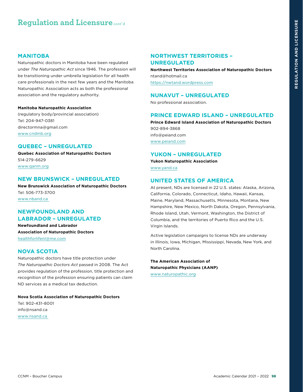## **Regulation and Licensure** cont'd

#### **MANITOBA**

Naturopathic doctors in Manitoba have been regulated under *The Naturopathic Act* since 1946. The profession will be transitioning under umbrella legislation for all health care professionals in the next few years and the Manitoba Naturopathic Association acts as both the professional association and the regulatory authority.

#### **Manitoba Naturopathic Association**

(regulatory body/provincial association) Tel: 204-947-0381 [directormna@gmail.com](mailto:directormna%40gmail.com%20?subject=)  [www.cndmb.org](https://www.cndmb.org)

#### **QUEBEC – UNREGULATED**

**Quebec Association of Naturopathic Doctors** 514-279-6629 [www.qanm.org](http://qanm.org/)

#### **NEW BRUNSWICK – UNREGULATED**

**New Brunswick Association of Naturopathic Doctors**  Tel: 506-773-3700 [www.nband.ca](https://www.nband.ca/) 

#### **NEWFOUNDLAND AND LABRADOR – UNREGULATED**

**Newfoundland and Labrador Association of Naturopathic Doctors** [healthforlifenl@me.com](mailto:healthforlifenl%40me.com?subject=)

#### **NOVA SCOTIA**

Naturopathic doctors have title protection under *The Naturopathic Doctors Act* passed in 2008. The Act provides regulation of the profession, title protection and recognition of the profession ensuring patients can claim ND services as a medical tax deduction.

**Nova Scotia Association of Naturopathic Doctors**  Tel: 902-431-8001 [info@nsand.ca](mailto:info%40nsand.ca?subject=)  [www.nsand.ca](https://nsand.ca/) 

## **NORTHWEST TERRITORIES – UNREGULATED**

**Northwest Territories Association of Naturopathic Doctors** [ntand@hotmail.ca](mailto:ntand%40hotmail.ca?subject=) <https://nwtand.wordpress.com>

#### **NUNAVUT – UNREGULATED**

No professional association.

#### **PRINCE EDWARD ISLAND – UNREGULATED**

**Prince Edward Island Association of Naturopathic Doctors** 902-894-3868 [info@peiand.com](mailto:info%40peiand.com?subject=) [www.peiand.com](https://peiand.com/)

#### **YUKON – UNREGULATED**

**Yukon Naturopathic Association** [www.yand.ca](http://www.yand.ca)

#### **UNITED STATES OF AMERICA**

At present, NDs are licensed in 22 U.S. states: Alaska, Arizona, California, Colorado, Connecticut, Idaho, Hawaii, Kansas, Maine, Maryland, Massachusetts, Minnesota, Montana, New Hampshire, New Mexico, North Dakota, Oregon, Pennsylvania, Rhode Island, Utah, Vermont, Washington, the District of Columbia, and the territories of Puerto Rico and the U.S. Virgin Islands.

Active legislation campaigns to license NDs are underway in Illinois, Iowa, Michigan, Mississippi, Nevada, New York, and North Carolina.

**The American Association of Naturopathic Physicians (AANP)**  [www.naturopathic.org](https://naturopathic.org/?)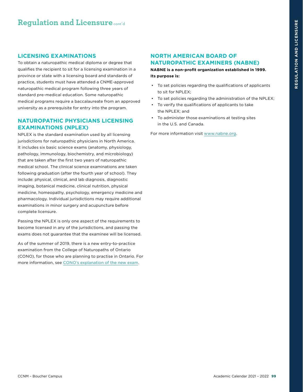#### **LICENSING EXAMINATIONS**

To obtain a naturopathic medical diploma or degree that qualifies the recipient to sit for a licensing examination in a province or state with a licensing board and standards of practice, students must have attended a CNME-approved naturopathic medical program following three years of standard pre-medical education. Some naturopathic medical programs require a baccalaureate from an approved university as a prerequisite for entry into the program.

## **NATUROPATHIC PHYSICIANS LICENSING EXAMINATIONS (NPLEX)**

NPLEX is the standard examination used by all licensing jurisdictions for naturopathic physicians in North America. It includes six basic science exams (anatomy, physiology, pathology, immunology, biochemistry, and microbiology) that are taken after the first two years of naturopathic medical school. The clinical science examinations are taken following graduation (after the fourth year of school). They include: physical, clinical, and lab diagnosis, diagnostic imaging, botanical medicine, clinical nutrition, physical medicine, homeopathy, psychology, emergency medicine and pharmacology. Individual jurisdictions may require additional examinations in minor surgery and acupuncture before complete licensure.

Passing the NPLEX is only one aspect of the requirements to become licensed in any of the jurisdictions, and passing the exams does not guarantee that the examinee will be licensed.

As of the summer of 2019, there is a new entry-to-practice examination from the College of Naturopaths of Ontario (CONO), for those who are planning to practise in Ontario. For more information, see [CONO's explanation of the new exam](https://www.collegeofnaturopaths.on.ca/applicants/entry-to-practice-exam/).

## **NORTH AMERICAN BOARD OF NATUROPATHIC EXAMINERS (NABNE)**

**NABNE is a non-profit organization established in 1999. Its purpose is:** 

- To set policies regarding the qualifications of applicants to sit for NPLEX;
- To set policies regarding the administration of the NPLEX;
- To verify the qualifications of applicants to take the NPLEX; and
- To administer those examinations at testing sites in the U.S. and Canada.

For more information visit [www.nabne.org](https://www.nabne.org/).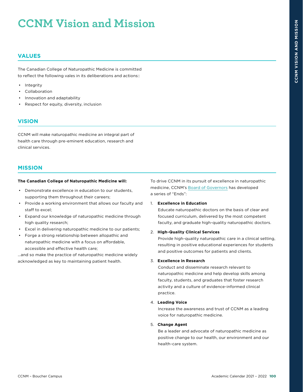# **CCNM Vision and Mission**

## **VALUES**

The Canadian College of Naturopathic Medicine is committed to reflect the following vales in its deliberations and actions::

- Integrity
- **Collaboration**
- Innovation and adaptability
- Respect for equity, diversity, inclusion

## **VISION**

CCNM will make naturopathic medicine an integral part of health care through pre-eminent education, research and clinical services.

#### **MISSION**

#### **The Canadian College of Naturopathic Medicine will:**

- Demonstrate excellence in education to our students, supporting them throughout their careers;
- Provide a working environment that allows our faculty and staff to excel;
- Expand our knowledge of naturopathic medicine through high quality research;
- Excel in delivering naturopathic medicine to our patients;
- Forge a strong relationship between allopathic and naturopathic medicine with a focus on affordable, accessible and effective health care;

…and so make the practice of naturopathic medicine widely acknowledged as key to maintaining patient health.

To drive CCNM in its pursuit of excellence in naturopathic medicine, CCNM's [Board of Governors](http://www.ccnm.edu/about-ccnm/board-governors) has developed a series of "Ends":

#### 1. **Excellence in Education**

Educate naturopathic doctors on the basis of clear and focused curriculum, delivered by the most competent faculty, and graduate high-quality naturopathic doctors.

#### 2. **High-Quality Clinical Services**

Provide high-quality naturopathic care in a clinical setting, resulting in positive educational experiences for students and positive outcomes for patients and clients.

#### 3. **Excellence in Research**

Conduct and disseminate research relevant to naturopathic medicine and help develop skills among faculty, students, and graduates that foster research activity and a culture of evidence-informed clinical practice.

#### 4. **Leading Voice**

Increase the awareness and trust of CCNM as a leading voice for naturopathic medicine.

#### 5. **Change Agent**

Be a leader and advocate of naturopathic medicine as positive change to our health, our environment and our health-care system.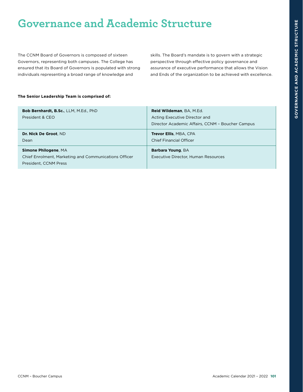# **Governance and Academic Structure**

The CCNM Board of Governors is composed of sixteen Governors, representing both campuses. The College has ensured that its Board of Governors is populated with strong individuals representing a broad range of knowledge and

skills. The Board's mandate is to govern with a strategic perspective through effective policy governance and assurance of executive performance that allows the Vision and Ends of the organization to be achieved with excellence.

#### **The Senior Leadership Team is comprised of:**

| Bob Bernhardt, B.Sc., LLM, M.Ed., PhD<br>President & CEO                                                      | Reid Wildeman, BA, M.Ed.<br>Acting Executive Director and<br>Director Academic Affairs, CCNM - Boucher Campus |
|---------------------------------------------------------------------------------------------------------------|---------------------------------------------------------------------------------------------------------------|
| Dr. Nick De Groot, ND<br>Dean                                                                                 | <b>Trevor Ellis, MBA, CPA</b><br><b>Chief Financial Officer</b>                                               |
| <b>Simone Philogene, MA</b><br>Chief Enrolment, Marketing and Communications Officer<br>President, CCNM Press | Barbara Young, BA<br>Executive Director, Human Resources                                                      |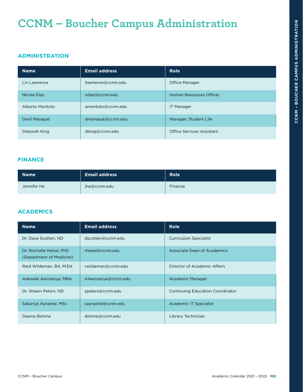## **ADMINISTRATION**

| <b>Name</b>          | <b>Email address</b> | <b>Role</b>               |
|----------------------|----------------------|---------------------------|
| Lin Lawrence         | llawrence@ccnm.edu   | Office Manager            |
| Nicola Diaz          | ndiaz@ccnm.edu       | Human Resources Officer   |
| Alberto Montoto      | amontoto@ccnm.edu    | <b>IT Manager</b>         |
| <b>Desil Manapat</b> | dmanapat@ccnm.edu    | Manager, Student Life     |
| Deborah King         | dking@ccnm.edu       | Office Services Assistant |

## **FINANCE**

| <b>Name</b> | <b>Email address</b> | <b>Role</b> |
|-------------|----------------------|-------------|
| Jennifer He | jhe@ccnm.edu         | Finance     |

## **ACADEMICS**

| <b>Name</b>                                          | <b>Email address</b> | <b>Role</b>                             |
|------------------------------------------------------|----------------------|-----------------------------------------|
| Dr. Dave Scotten, ND                                 | dscotten@ccnm.edu    | <b>Curriculum Specialist</b>            |
| Dr. Rochelle Heisel, PhD<br>(Department of Medicine) | rheisel@ccnm.edu     | Associate Dean of Academics             |
| Reid Wildeman, BA, M.Ed.                             | rwildeman@ccnm.edu   | Director of Academic Affairs            |
| Adewale Awosanya, MBA                                | AAwosanya@ccnm.edu   | Academic Manager                        |
| Dr. Shawn Peters, ND                                 | speters@ccnm.edu     | <b>Continuing Education Coordinator</b> |
| Sakariya Aynashe, MSc.                               | saynashe@ccnm.edu    | Academic IT Specialist                  |
| Dawne Bohme                                          | dohme@ccnm.edu       | Library Technician                      |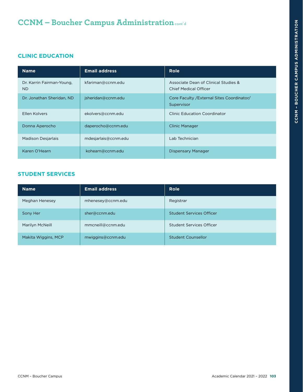## **CLINIC EDUCATION**

| <b>Name</b>                            | <b>Email address</b> | <b>Role</b>                                                   |
|----------------------------------------|----------------------|---------------------------------------------------------------|
| Dr. Karrin Fairman-Young,<br><b>ND</b> | kfariman@ccnm.edu    | Associate Dean of Clinical Studies &<br>Chief Medical Officer |
| Dr. Jonathan Sheridan, ND              | isheridan@ccnm.edu   | Core Faculty / External Sites Coordinator/<br>Supervisor      |
| Ellen Kolvers                          | ekolvers@ccnm.edu    | <b>Clinic Education Coordinator</b>                           |
| Donna Aperocho                         | daperocho@ccnm.edu   | Clinic Manager                                                |
| <b>Madison Desjarlais</b>              | mdesjarlais@ccnm.edu | Lab Technician                                                |
| Karen O'Hearn                          | kohearn@ccnm.edu     | Dispensary Manager                                            |

## **STUDENT SERVICES**

| <b>Name</b>         | <b>Email address</b> | <b>Role</b>                     |
|---------------------|----------------------|---------------------------------|
| Meghan Henesey      | mhenesey@ccnm.edu    | Registrar                       |
| Sony Her            | sher@ccnm.edu        | <b>Student Services Officer</b> |
| Marilyn McNeill     | mmcneill@ccnm.edu    | <b>Student Services Officer</b> |
| Makita Wiggins, MCP | mwiggins@ccnm.edu    | Student Counsellor              |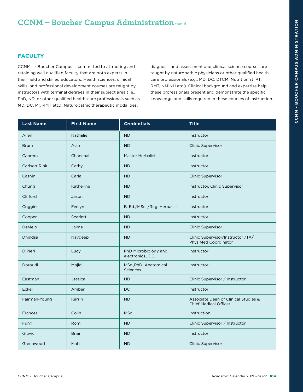## **FACULTY**

CCNM's - Boucher Campus is committed to attracting and retaining well qualified faculty that are both experts in their field and skilled educators. Health sciences, clinical skills, and professional development courses are taught by instructors with terminal degrees in their subject area (i.e., PhD, ND, or other qualified health-care professionals such as MD, DC, PT, RMT etc.). Naturopathic therapeutic modalities,

diagnosis and assessment and clinical science courses are taught by naturopathic physicians or other qualified healthcare professionals (e.g., MD, DC, DTCM, Nutritionist, PT, RMT, NMINH etc.). Clinical background and expertise help these professionals present and demonstrate the specific knowledge and skills required in these courses of instruction.

| <b>Last Name</b> | <b>First Name</b> | <b>Credentials</b>                        | <b>Title</b>                                                         |
|------------------|-------------------|-------------------------------------------|----------------------------------------------------------------------|
| Allen            | Nathalie          | <b>ND</b>                                 | Instructor                                                           |
| <b>Brum</b>      | Alan              | <b>ND</b>                                 | <b>Clinic Supervisor</b>                                             |
| Cabrera          | Chanchal          | <b>Master Herbalist</b>                   | Instructor                                                           |
| Carlson-Rink     | Cathy             | <b>ND</b>                                 | Instructor                                                           |
| Cashin           | Carla             | <b>ND</b>                                 | <b>Clinic Supervisor</b>                                             |
| Chung            | Katherine         | <b>ND</b>                                 | Instructor, Clinic Supervisor                                        |
| Clifford         | Jason             | <b>ND</b>                                 | Instructor                                                           |
| Coggins          | Evelyn            | B. Ed./MSc. /Reg. Herbalist               | Instructor                                                           |
| Cooper           | Scarlett          | <b>ND</b>                                 | Instructor                                                           |
| DeMelo           | Jaime             | <b>ND</b>                                 | <b>Clinic Supervisor</b>                                             |
| Dhindsa          | Navdeep           | <b>ND</b>                                 | Clinic Supervisor/Instructor /TA/<br>Phys Med Coordinator            |
| <b>DiPieri</b>   | Lucy              | PhD Microbiology and<br>electronics., DCH | Instructor                                                           |
| Doroudi          | Majid             | MSc., PhD Anatomical<br><b>Sciences</b>   | Instructor                                                           |
| Eastman          | Jessica           | <b>ND</b>                                 | Clinic Supervisor / Instructor                                       |
| Eckel            | Amber             | <b>DC</b>                                 | Instructor                                                           |
| Fairman-Young    | Karrin            | <b>ND</b>                                 | Associate Dean of Clinical Studies &<br><b>Chief Medical Officer</b> |
| <b>Frances</b>   | Colin             | <b>MSc</b>                                | Instruction                                                          |
| Fung             | Romi              | <b>ND</b>                                 | Clinic Supervisor / Instructor                                       |
| Gluvic           | <b>Brian</b>      | <b>ND</b>                                 | Instructor                                                           |
| Greenwood        | Matt              | <b>ND</b>                                 | <b>Clinic Supervisor</b>                                             |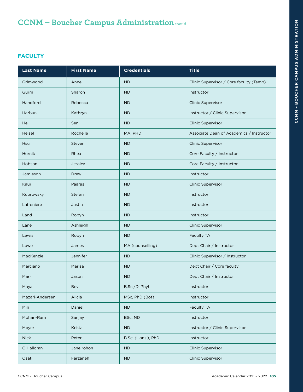## **FACULTY**

| <b>Last Name</b> | <b>First Name</b> | <b>Credentials</b> | <b>Title</b>                             |
|------------------|-------------------|--------------------|------------------------------------------|
| Grimwood         | Anne              | <b>ND</b>          | Clinic Supervisor / Core faculty (Temp)  |
| Gurm             | Sharon            | <b>ND</b>          | Instructor                               |
| Handford         | Rebecca           | <b>ND</b>          | Clinic Supervisor                        |
| Harbun           | Kathryn           | <b>ND</b>          | Instructor / Clinic Supervisor           |
| He               | Sen               | <b>ND</b>          | Clinic Supervisor                        |
| Heisel           | Rochelle          | MA, PHD            | Associate Dean of Academics / Instructor |
| Hsu              | Steven            | <b>ND</b>          | Clinic Supervisor                        |
| Hurnik           | Rhea              | <b>ND</b>          | Core Faculty / Instructor                |
| Hobson           | Jessica           | <b>ND</b>          | Core Faculty / Instructor                |
| Jamieson         | Drew              | <b>ND</b>          | Instructor                               |
| Kaur             | Paaras            | <b>ND</b>          | Clinic Supervisor                        |
| Kuprowsky        | Stefan            | <b>ND</b>          | Instructor                               |
| Lafreniere       | Justin            | <b>ND</b>          | Instructor                               |
| Land             | Robyn             | <b>ND</b>          | Instructor                               |
| Lane             | Ashleigh          | <b>ND</b>          | Clinic Supervisor                        |
| Lewis            | Robyn             | <b>ND</b>          | Faculty TA                               |
| Lowe             | James             | MA (counselling)   | Dept Chair / Instructor                  |
| MacKenzie        | Jennifer          | <b>ND</b>          | Clinic Supervisor / Instructor           |
| Marciano         | Marisa            | <b>ND</b>          | Dept Chair / Core faculty                |
| Marr             | Jason             | <b>ND</b>          | Dept Chair / Instructor                  |
| Maya             | Bev               | B.Sc./D. Phyt      | <b>Instructor</b>                        |
| Mazari-Andersen  | Alicia            | MSc, PhD (Bot)     | Instructor                               |
| Min              | Daniel            | <b>ND</b>          | Faculty TA                               |
| Mohan-Ram        | Sanjay            | BSc. ND            | Instructor                               |
| Moyer            | Krista            | <b>ND</b>          | Instructor / Clinic Supervisor           |
| <b>Nick</b>      | Peter             | B.Sc. (Hons.), PhD | Instructor                               |
| O'Halloran       | Jane rohon        | <b>ND</b>          | Clinic Supervisor                        |
| Osati            | Farzaneh          | <b>ND</b>          | <b>Clinic Supervisor</b>                 |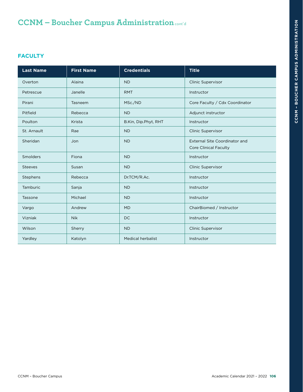## **FACULTY**

| <b>Last Name</b> | <b>First Name</b> | <b>Credentials</b>       | <b>Title</b>                                                         |
|------------------|-------------------|--------------------------|----------------------------------------------------------------------|
| Overton          | Alaina            | <b>ND</b>                | <b>Clinic Supervisor</b>                                             |
| Petrescue        | Janelle           | <b>RMT</b>               | Instructor                                                           |
| Pirani           | Tasneem           | MSc./ND                  | Core Faculty / Cdx Coordinator                                       |
| Pitfield         | Rebecca           | <b>ND</b>                | Adjunct instructor                                                   |
| Poulton          | Krista            | B.Kin, Dip.Phyt, RHT     | Instructor                                                           |
| St. Arnault      | Rae               | <b>ND</b>                | <b>Clinic Supervisor</b>                                             |
| Sheridan         | Jon               | <b>ND</b>                | <b>External Site Coordinator and</b><br><b>Core Clinical Faculty</b> |
| Smolders         | Fiona             | <b>ND</b>                | Instructor                                                           |
| <b>Steeves</b>   | Susan             | <b>ND</b>                | <b>Clinic Supervisor</b>                                             |
| Stephens         | Rebecca           | Dr.TCM/R.Ac.             | Instructor                                                           |
| Tamburic         | Sanja             | <b>ND</b>                | Instructor                                                           |
| Tassone          | Michael           | <b>ND</b>                | Instructor                                                           |
| Vargo            | Andrew            | <b>MD</b>                | ChairBiomed / Instructor                                             |
| Vizniak          | <b>Nik</b>        | <b>DC</b>                | Instructor                                                           |
| Wilson           | Sherry            | <b>ND</b>                | <b>Clinic Supervisor</b>                                             |
| Yardley          | Katolyn           | <b>Medical herbalist</b> | Instructor                                                           |